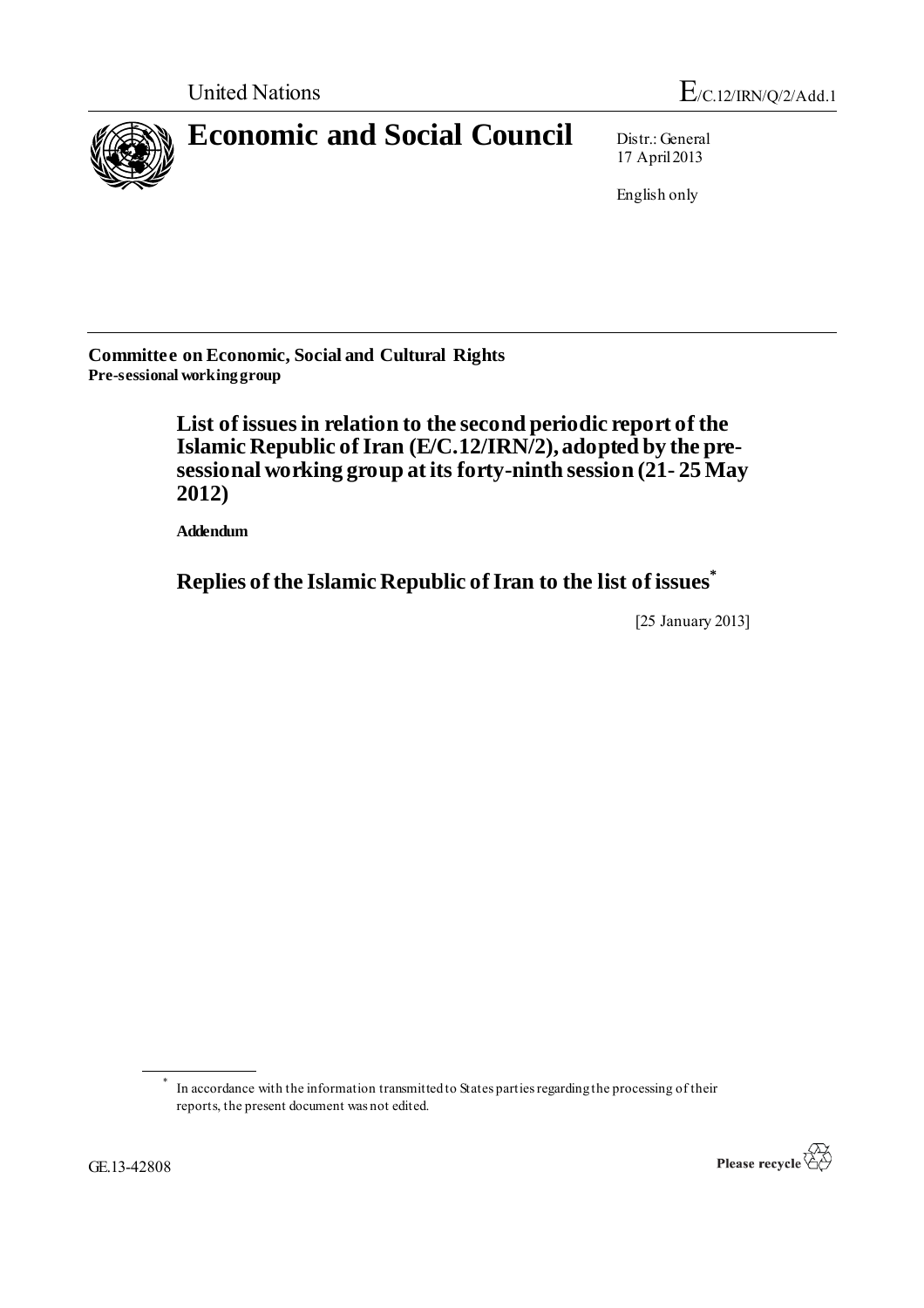

17 April 2013

English only

**Committee on Economic, Social and Cultural Rights Pre-sessional working group**

> **List of issuesin relation to the second periodic report of the Islamic Republic ofIran (E/C.12/IRN/2), adopted by the presessional working group at its forty-ninth session (21- 25 May 2012)**

**Addendum**

**Replies of the Islamic Republic of Iran to the list of issues\***

[25 January 2013]

<sup>\*</sup> In accordance with the information transmitted to States parties regarding the processing of their reports, the present document was not edited.

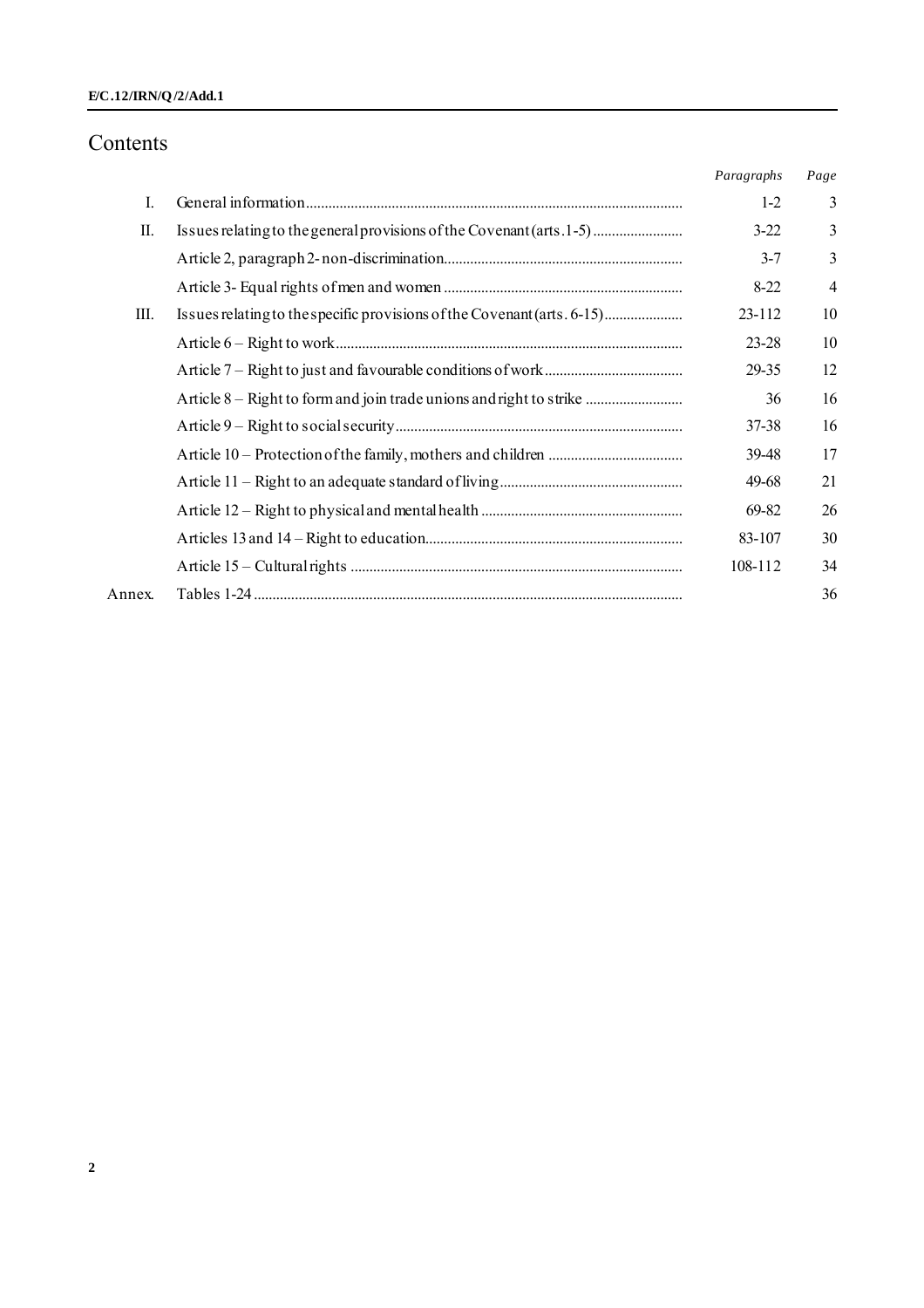### **E/C.12/IRN/Q /2/Add.1**

## Contents

|        |                                                                         | Paragraphs | Page           |
|--------|-------------------------------------------------------------------------|------------|----------------|
| L      |                                                                         | $1-2$      | 3              |
| П.     | Issues relating to the general provisions of the Covenant (arts. 1-5)   | $3-22$     | 3              |
|        |                                                                         | $3 - 7$    | 3              |
|        |                                                                         | $8 - 22$   | $\overline{4}$ |
| Ш.     | Issues relating to the specific provisions of the Covenant (arts. 6-15) | 23-112     | 10             |
|        |                                                                         | 23-28      | 10             |
|        |                                                                         | 29-35      | 12             |
|        | Article 8 – Right to form and join trade unions and right to strike     | 36         | 16             |
|        |                                                                         | 37-38      | 16             |
|        |                                                                         | 39-48      | 17             |
|        |                                                                         | 49-68      | 21             |
|        |                                                                         | 69-82      | 26             |
|        |                                                                         | 83-107     | 30             |
|        |                                                                         | 108-112    | 34             |
| Annex. |                                                                         |            | 36             |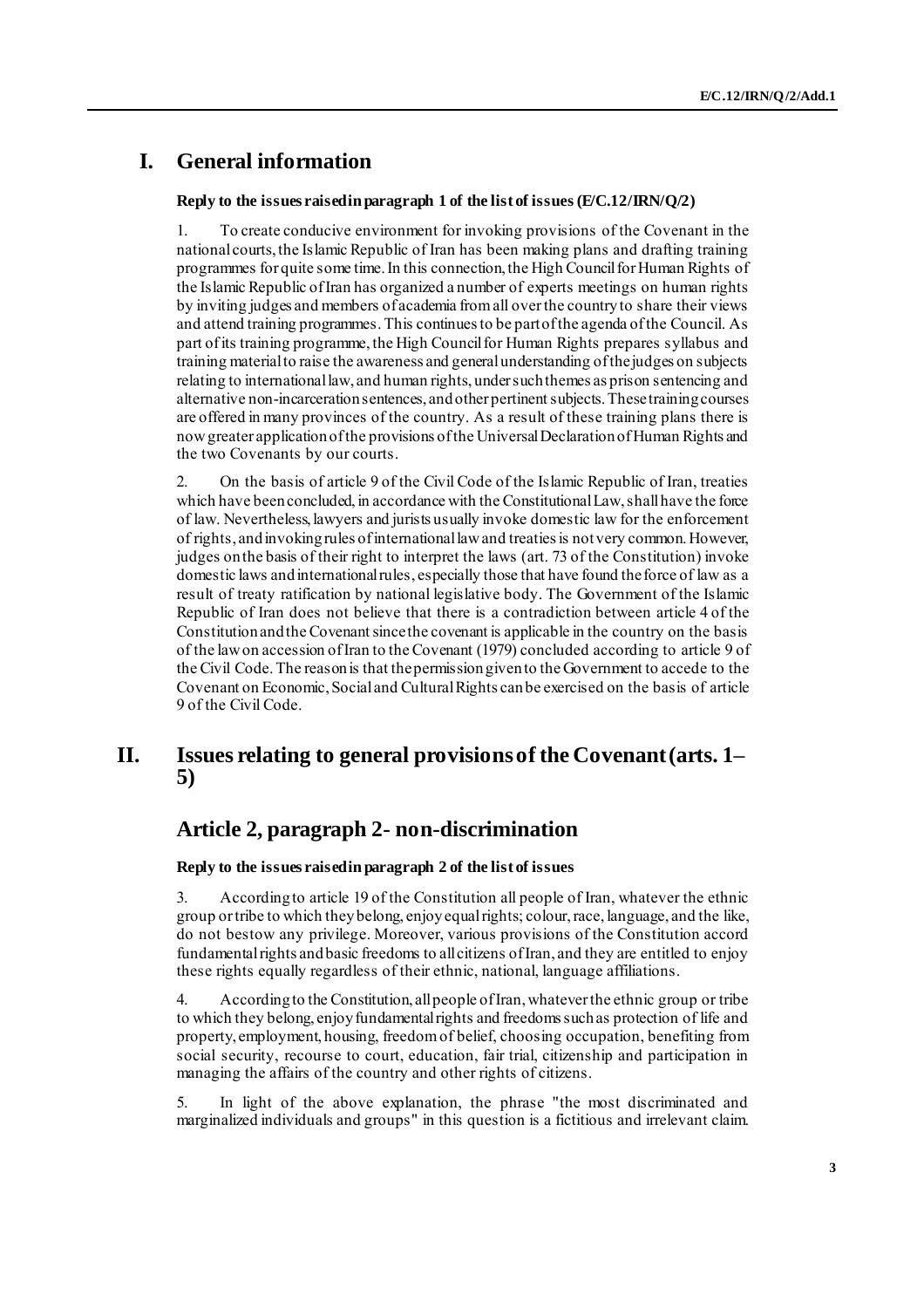## **I. General information**

### **Reply to the issues raised in paragraph 1 of the list of issues(E/C.12/IRN/Q/2)**

1. To create conducive environment for invoking provisions of the Covenant in the national courts, the Islamic Republic of Iran has been making plans and drafting training programmes for quite some time. In this connection, the High Council for Human Rights of the Islamic Republic of Iran has organized a number of experts meetings on human rights by inviting judges and members of academia from all over the country to share their views and attend training programmes. This continues to be part of the agenda of the Council. As part of its training programme, the High Council for Human Rights prepares syllabus and training material to raise the awareness and general understanding of the judges on subjects relating to international law, and human rights, under such themes as prison sentencing and alternative non-incarceration sentences, and other pertinent subjects. These training courses are offered in many provinces of the country. As a result of these training plans there is now greater application of the provisions of the Universal Declaration of Human Rights and the two Covenants by our courts.

2. On the basis of article 9 of the Civil Code of the Islamic Republic of Iran, treaties which have been concluded, in accordance with the Constitutional Law, shall have the force of law. Nevertheless, lawyers and jurists usually invoke domestic law for the enforcement of rights, and invoking rules of international law and treaties is not very common. However, judges on the basis of their right to interpret the laws (art. 73 of the Constitution) invoke domestic laws and international rules, especially those that have found the force of law as a result of treaty ratification by national legislative body. The Government of the Islamic Republic of Iran does not believe that there is a contradiction between article 4 of the Constitution and the Covenant since the covenant is applicable in the country on the basis of the law on accession of Iran to the Covenant (1979) concluded according to article 9 of the Civil Code. The reason is that the permission given to the Government to accede to the Covenant on Economic, Social and Cultural Rights can be exercised on the basis of article 9 of the Civil Code.

## **II. Issues relating to general provisions of the Covenant (arts. 1– 5)**

## **Article 2, paragraph 2- non-discrimination**

### **Reply to the issues raised in paragraph 2 of the list of issues**

3. According to article 19 of the Constitution all people of Iran, whatever the ethnic group or tribe to which they belong, enjoy equal rights; colour, race, language, and the like, do not bestow any privilege. Moreover, various provisions of the Constitution accord fundamental rights and basic freedoms to all citizens of Iran, and they are entitled to enjoy these rights equally regardless of their ethnic, national, language affiliations.

4. According to the Constitution, all people of Iran, whatever the ethnic group or tribe to which they belong, enjoy fundamental rights and freedoms such as protection of life and property, employment, housing, freedom of belief, choosing occupation, benefiting from social security, recourse to court, education, fair trial, citizenship and participation in managing the affairs of the country and other rights of citizens.

In light of the above explanation, the phrase "the most discriminated and marginalized individuals and groups" in this question is a fictitious and irrelevant claim.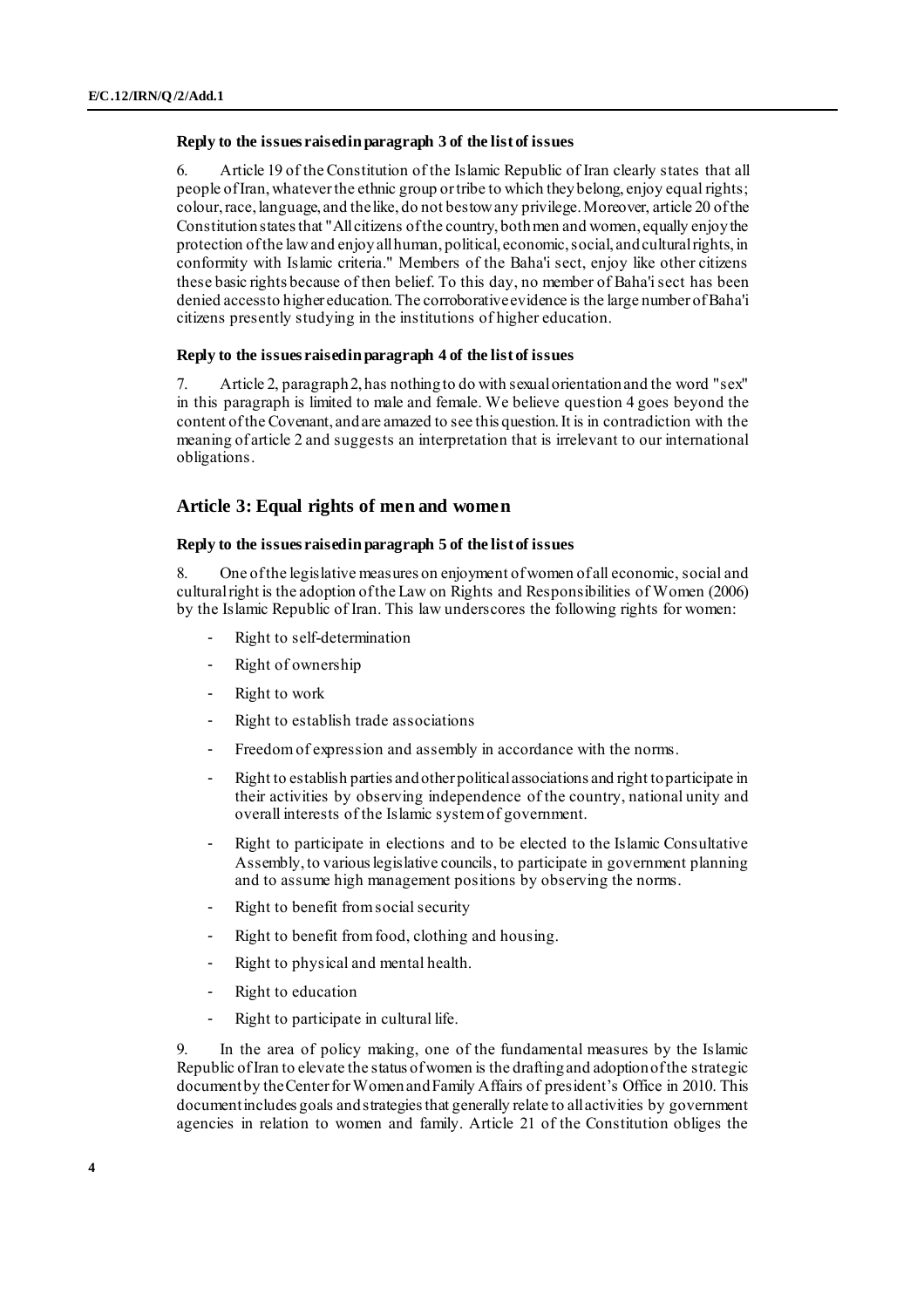#### **Reply to the issues raised in paragraph 3 of the list of issues**

6. Article 19 of the Constitution of the Islamic Republic of Iran clearly states that all people of Iran, whatever the ethnic group or tribe to which they belong, enjoy equal rights; colour, race, language, and the like, do not bestow any privilege. Moreover, article 20 of the Constitution states that "All citizens of the country, both men and women, equally enjoy the protection of the law and enjoy all human, political, economic, social, and cultural rights, in conformity with Islamic criteria." Members of the Baha'i sect, enjoy like other citizens these basic rights because of then belief. To this day, no member of Baha'i sect has been denied access to higher education. The corroborative evidence is the large number of Baha'i citizens presently studying in the institutions of higher education.

#### **Reply to the issues raised in paragraph 4 of the list of issues**

7. Article 2, paragraph 2, has nothing to do with sexual orientation and the word "sex" in this paragraph is limited to male and female. We believe question 4 goes beyond the content of the Covenant, and are amazed to see this question. It is in contradiction with the meaning of article 2 and suggests an interpretation that is irrelevant to our international obligations.

### **Article 3: Equal rights of men and women**

#### **Reply to the issues raised in paragraph 5 of the list of issues**

8. One of the legislative measures on enjoyment of women of all economic, social and cultural right is the adoption of the Law on Rights and Responsibilities of Women (2006) by the Islamic Republic of Iran. This law underscores the following rights for women:

- Right to self-determination
- Right of ownership
- Right to work
- Right to establish trade associations
- Freedom of expression and assembly in accordance with the norms.
- Right to establish parties and other political associations and right to participate in their activities by observing independence of the country, national unity and overall interests of the Islamic system of government.
- Right to participate in elections and to be elected to the Islamic Consultative Assembly, to various legislative councils, to participate in government planning and to assume high management positions by observing the norms.
- Right to benefit from social security
- Right to benefit from food, clothing and housing.
- Right to physical and mental health.
- Right to education
- Right to participate in cultural life.

9. In the area of policy making, one of the fundamental measures by the Islamic Republic of Iran to elevate the status of women is the drafting and adoption of the strategic document by the Center for Women and Family Affairs of president's Office in 2010. This document includes goals and strategies that generally relate to all activities by government agencies in relation to women and family. Article 21 of the Constitution obliges the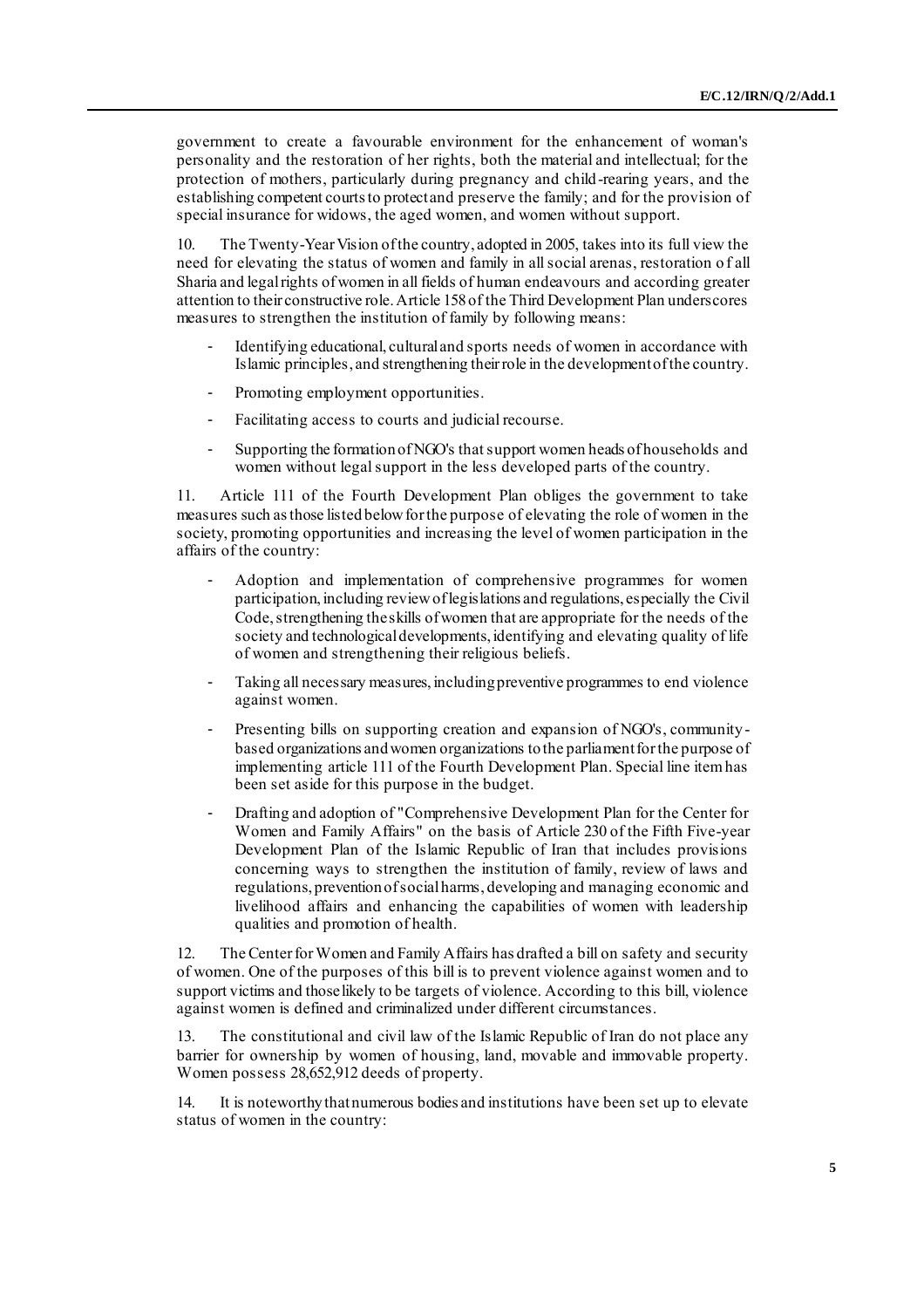government to create a favourable environment for the enhancement of woman's personality and the restoration of her rights, both the material and intellectual; for the protection of mothers, particularly during pregnancy and child-rearing years, and the establishing competent courts to protect and preserve the family; and for the provision of special insurance for widows, the aged women, and women without support.

10. The Twenty-Year Vision of the country, adopted in 2005, takes into its full view the need for elevating the status of women and family in all social arenas, restoration o f all Sharia and legal rights of women in all fields of human endeavours and according greater attention to their constructive role. Article 158 of the Third Development Plan underscores measures to strengthen the institution of family by following means:

- Identifying educational, cultural and sports needs of women in accordance with Islamic principles, and strengthening their role in the development of the country.
- Promoting employment opportunities.
- Facilitating access to courts and judicial recourse.
- Supporting the formation of NGO's that support women heads of households and women without legal support in the less developed parts of the country.

11. Article 111 of the Fourth Development Plan obliges the government to take measures such as those listed below for the purpose of elevating the role of women in the society, promoting opportunities and increasing the level of women participation in the affairs of the country:

- Adoption and implementation of comprehensive programmes for women participation, including review of legislations and regulations, especially the Civil Code, strengthening the skills of women that are appropriate for the needs of the society and technological developments, identifying and elevating quality of life of women and strengthening their religious beliefs.
- Taking all necessary measures, including preventive programmes to end violence against women.
- Presenting bills on supporting creation and expansion of NGO's, communitybased organizations and women organizations to the parliament for the purpose of implementing article 111 of the Fourth Development Plan. Special line item has been set aside for this purpose in the budget.
- Drafting and adoption of "Comprehensive Development Plan for the Center for Women and Family Affairs" on the basis of Article 230 of the Fifth Five-year Development Plan of the Islamic Republic of Iran that includes provisions concerning ways to strengthen the institution of family, review of laws and regulations, prevention of social harms, developing and managing economic and livelihood affairs and enhancing the capabilities of women with leadership qualities and promotion of health.

12. The Center for Women and Family Affairs has drafted a bill on safety and security of women. One of the purposes of this bill is to prevent violence against women and to support victims and those likely to be targets of violence. According to this bill, violence against women is defined and criminalized under different circumstances.

13. The constitutional and civil law of the Islamic Republic of Iran do not place any barrier for ownership by women of housing, land, movable and immovable property. Women possess 28,652,912 deeds of property.

14. It is noteworthy that numerous bodies and institutions have been set up to elevate status of women in the country: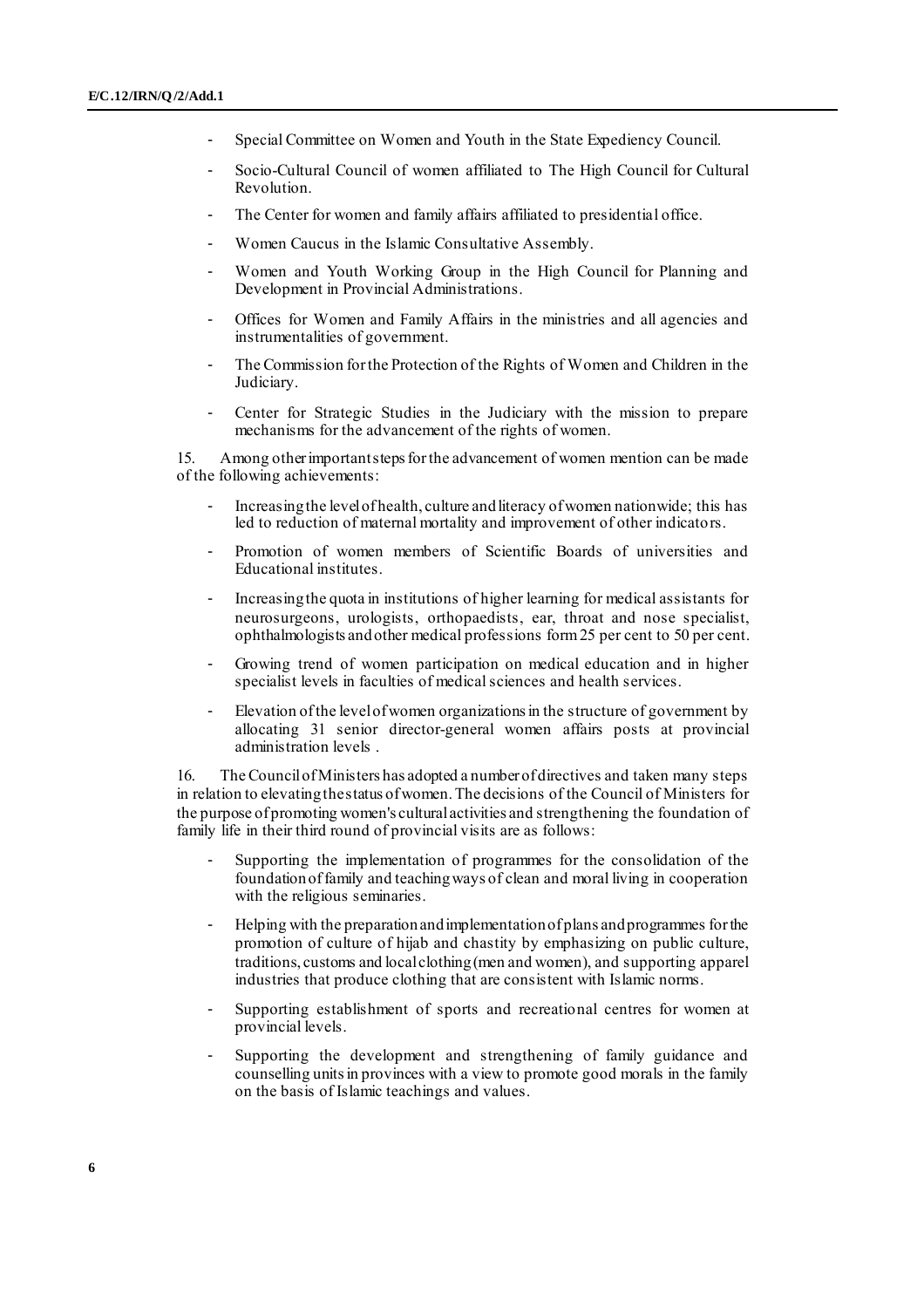- Special Committee on Women and Youth in the State Expediency Council.
- Socio-Cultural Council of women affiliated to The High Council for Cultural Revolution.
- The Center for women and family affairs affiliated to presidential office.
- Women Caucus in the Islamic Consultative Assembly.
- Women and Youth Working Group in the High Council for Planning and Development in Provincial Administrations.
- Offices for Women and Family Affairs in the ministries and all agencies and instrumentalities of government.
- The Commission for the Protection of the Rights of Women and Children in the Judiciary.
- Center for Strategic Studies in the Judiciary with the mission to prepare mechanisms for the advancement of the rights of women.

15. Among other important steps for the advancement of women mention can be made of the following achievements:

- Increasing the level of health, culture and literacy of women nationwide; this has led to reduction of maternal mortality and improvement of other indicators.
- Promotion of women members of Scientific Boards of universities and Educational institutes.
- Increasing the quota in institutions of higher learning for medical assistants for neurosurgeons, urologists, orthopaedists, ear, throat and nose specialist, ophthalmologists and other medical professions form 25 per cent to 50 per cent.
- Growing trend of women participation on medical education and in higher specialist levels in faculties of medical sciences and health services.
- Elevation of the level of women organizations in the structure of government by allocating 31 senior director-general women affairs posts at provincial administration levels .

16. The Council of Ministers has adopted a number of directives and taken many steps in relation to elevating the status of women. The decisions of the Council of Ministers for the purpose of promoting women's cultural activities and strengthening the foundation of family life in their third round of provincial visits are as follows:

- Supporting the implementation of programmes for the consolidation of the foundation of family and teaching ways of clean and moral living in cooperation with the religious seminaries.
- Helping with the preparation and implementation of plans and programmes for the promotion of culture of hijab and chastity by emphasizing on public culture, traditions, customs and local clothing (men and women), and supporting apparel industries that produce clothing that are consistent with Islamic norms.
- Supporting establishment of sports and recreational centres for women at provincial levels.
- Supporting the development and strengthening of family guidance and counselling units in provinces with a view to promote good morals in the family on the basis of Islamic teachings and values.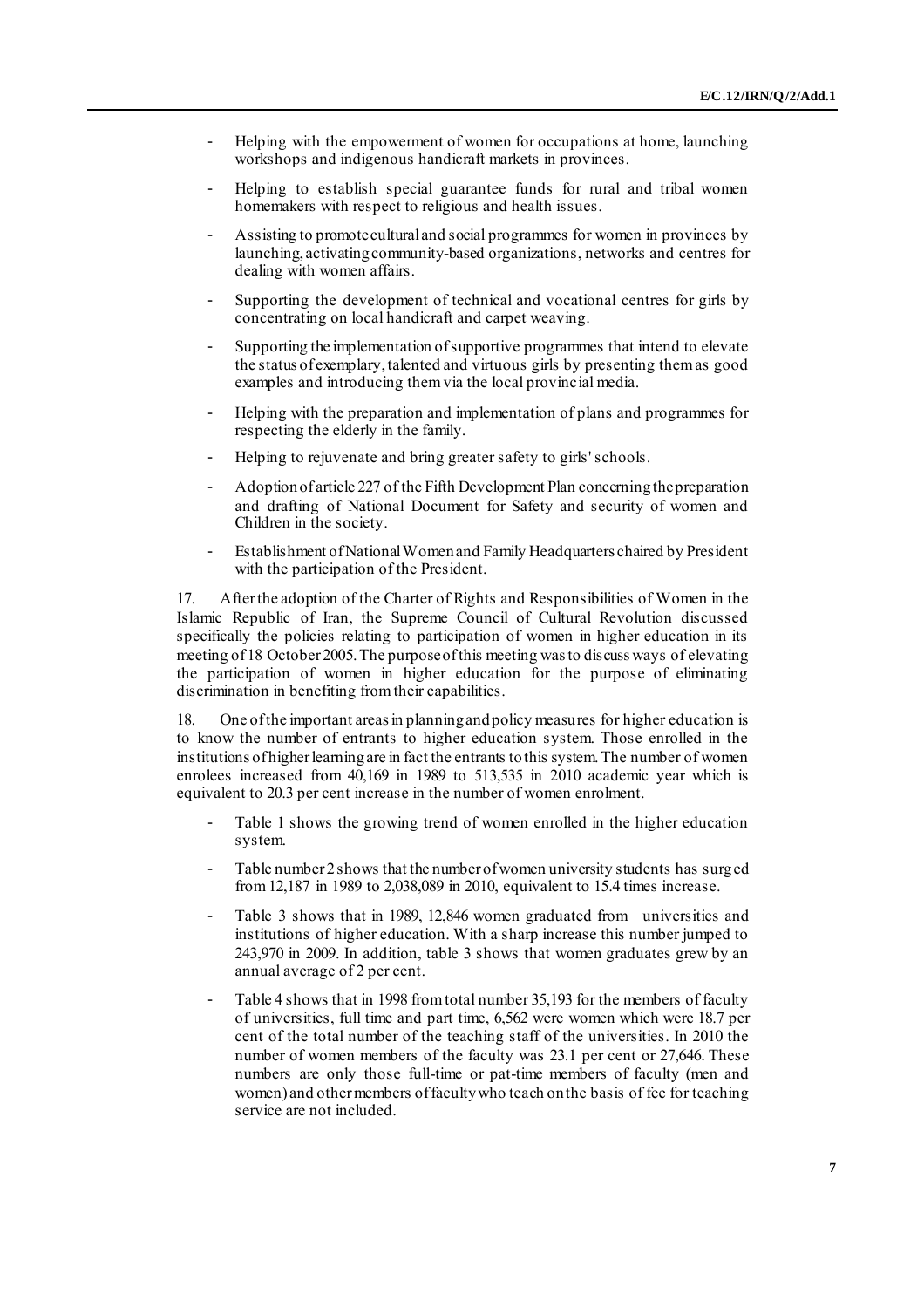- Helping with the empowerment of women for occupations at home, launching workshops and indigenous handicraft markets in provinces.
- Helping to establish special guarantee funds for rural and tribal women homemakers with respect to religious and health issues.
- Assisting to promote cultural and social programmes for women in provinces by launching, activating community-based organizations, networks and centres for dealing with women affairs.
- Supporting the development of technical and vocational centres for girls by concentrating on local handicraft and carpet weaving.
- Supporting the implementation of supportive programmes that intend to elevate the status of exemplary, talented and virtuous girls by presenting them as good examples and introducing them via the local provincial media.
- Helping with the preparation and implementation of plans and programmes for respecting the elderly in the family.
- Helping to rejuvenate and bring greater safety to girls' schools.
- Adoption of article 227 of the Fifth Development Plan concerning the preparation and drafting of National Document for Safety and security of women and Children in the society.
- Establishment of National Women and Family Headquarters chaired by President with the participation of the President.

17. After the adoption of the Charter of Rights and Responsibilities of Women in the Islamic Republic of Iran, the Supreme Council of Cultural Revolution discussed specifically the policies relating to participation of women in higher education in its meeting of 18 October 2005. The purpose of this meeting was to discuss ways of elevating the participation of women in higher education for the purpose of eliminating discrimination in benefiting from their capabilities.

18. One of the important areas in planning and policy measures for higher education is to know the number of entrants to higher education system. Those enrolled in the institutions of higher learning are in fact the entrants to this system. The number of women enrolees increased from 40,169 in 1989 to 513,535 in 2010 academic year which is equivalent to 20.3 per cent increase in the number of women enrolment.

- Table 1 shows the growing trend of women enrolled in the higher education system.
- Table number 2 shows that the number of women university students has surged from 12,187 in 1989 to 2,038,089 in 2010, equivalent to 15.4 times increase.
- Table 3 shows that in 1989, 12,846 women graduated from universities and institutions of higher education. With a sharp increase this number jumped to 243,970 in 2009. In addition, table 3 shows that women graduates grew by an annual average of 2 per cent.
- Table 4 shows that in 1998 from total number 35,193 for the members of faculty of universities, full time and part time, 6,562 were women which were 18.7 per cent of the total number of the teaching staff of the universities. In 2010 the number of women members of the faculty was 23.1 per cent or 27,646. These numbers are only those full-time or pat-time members of faculty (men and women) and other members of faculty who teach on the basis of fee for teaching service are not included.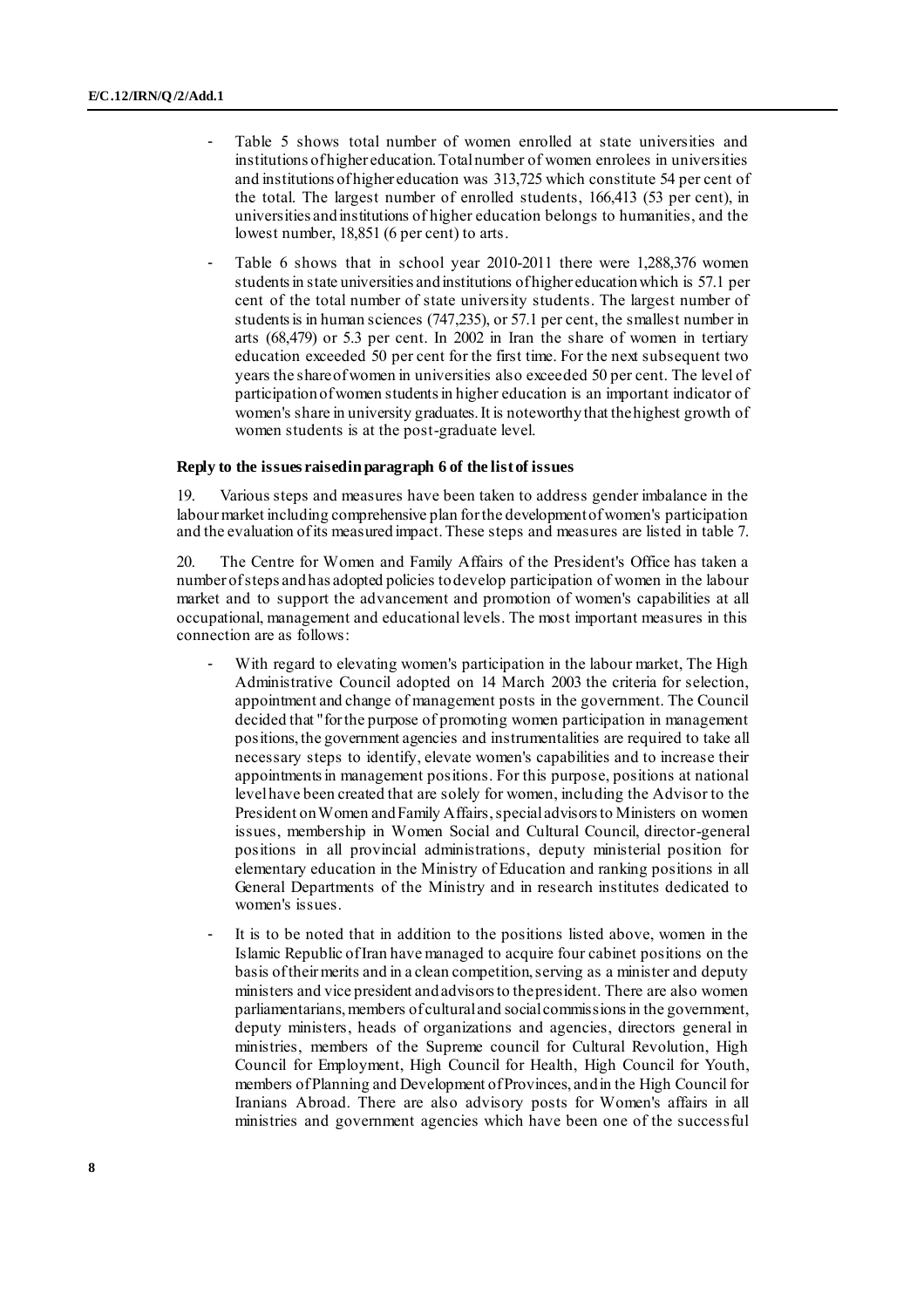- Table 5 shows total number of women enrolled at state universities and institutions of higher education. Total number of women enrolees in universities and institutions of higher education was 313,725 which constitute 54 per cent of the total. The largest number of enrolled students, 166,413 (53 per cent), in universities and institutions of higher education belongs to humanities, and the lowest number, 18,851 (6 per cent) to arts.
- Table 6 shows that in school year 2010-2011 there were 1,288,376 women students in state universities and institutions of higher education which is 57.1 per cent of the total number of state university students. The largest number of students is in human sciences (747,235), or 57.1 per cent, the smallest number in arts (68,479) or 5.3 per cent. In 2002 in Iran the share of women in tertiary education exceeded 50 per cent for the first time. For the next subsequent two years the share of women in universities also exceeded 50 per cent. The level of participation of women students in higher education is an important indicator of women's share in university graduates. It is noteworthy that the highest growth of women students is at the post-graduate level.

#### **Reply to the issues raised in paragraph 6 of the list of issues**

19. Various steps and measures have been taken to address gender imbalance in the labour market including comprehensive plan for the development of women's participation and the evaluation of its measured impact. These steps and measures are listed in table 7.

20. The Centre for Women and Family Affairs of the President's Office has taken a number of steps and has adopted policies to develop participation of women in the labour market and to support the advancement and promotion of women's capabilities at all occupational, management and educational levels. The most important measures in this connection are as follows:

- With regard to elevating women's participation in the labour market, The High Administrative Council adopted on 14 March 2003 the criteria for selection, appointment and change of management posts in the government. The Council decided that "for the purpose of promoting women participation in management positions, the government agencies and instrumentalities are required to take all necessary steps to identify, elevate women's capabilities and to increase their appointments in management positions. For this purpose, positions at national level have been created that are solely for women, including the Advisor to the President on Women and Family Affairs, special advisors to Ministers on women issues, membership in Women Social and Cultural Council, director-general positions in all provincial administrations, deputy ministerial position for elementary education in the Ministry of Education and ranking positions in all General Departments of the Ministry and in research institutes dedicated to women's issues.
- It is to be noted that in addition to the positions listed above, women in the Islamic Republic of Iran have managed to acquire four cabinet positions on the basis of their merits and in a clean competition, serving as a minister and deputy ministers and vice president and advisors to the president. There are also women parliamentarians, members of cultural and social commissions in the government, deputy ministers, heads of organizations and agencies, directors general in ministries, members of the Supreme council for Cultural Revolution, High Council for Employment, High Council for Health, High Council for Youth, members of Planning and Development of Provinces, and in the High Council for Iranians Abroad. There are also advisory posts for Women's affairs in all ministries and government agencies which have been one of the successful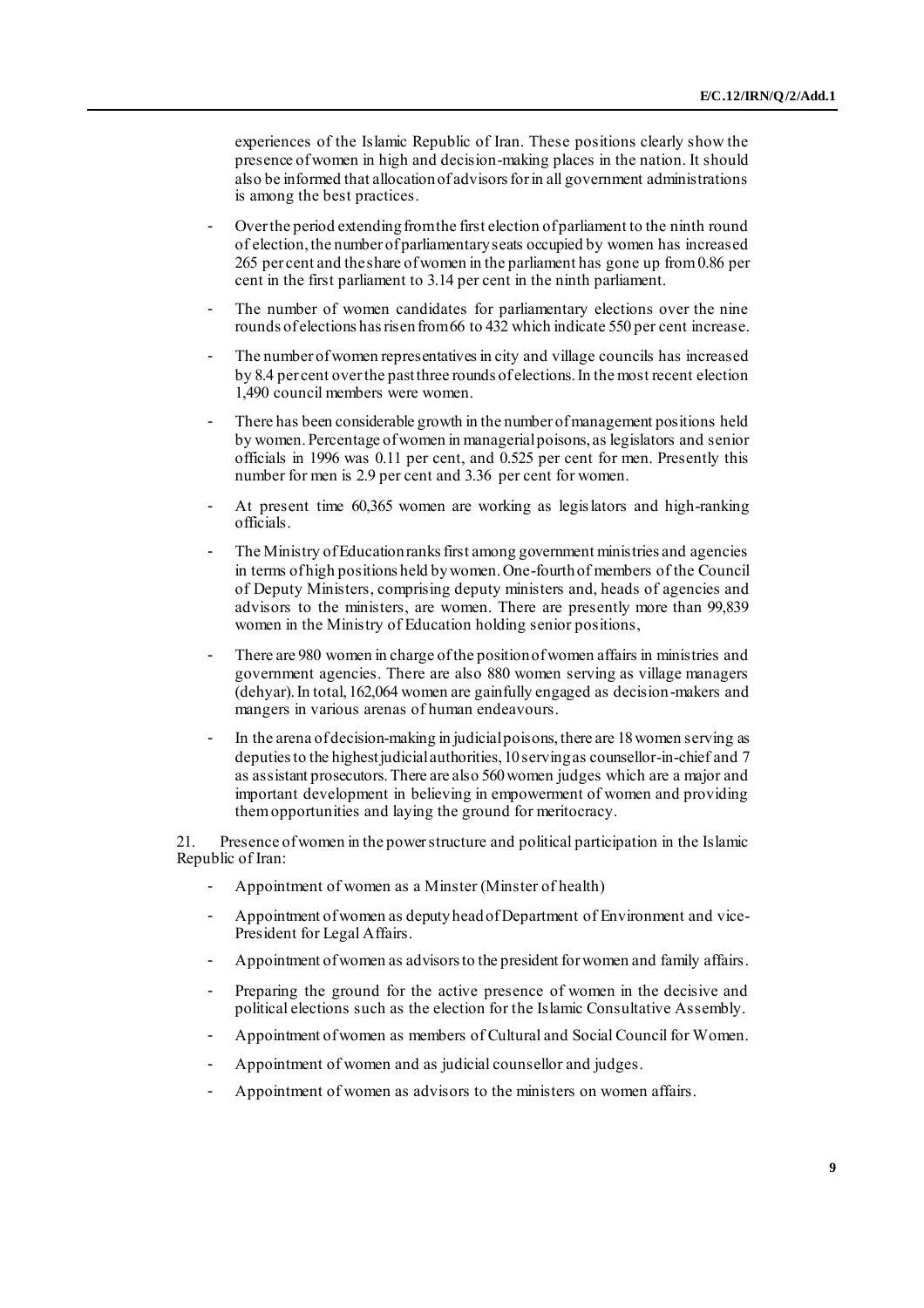experiences of the Islamic Republic of Iran. These positions clearly show the presence of women in high and decision-making places in the nation. It should also be informed that allocation of advisors for in all government administrations is among the best practices.

- Over the period extending from the first election of parliament to the ninth round of election, the number of parliamentary seats occupied by women has increased 265 per cent and the share of women in the parliament has gone up from 0.86 per cent in the first parliament to 3.14 per cent in the ninth parliament.
- The number of women candidates for parliamentary elections over the nine rounds of elections has risen from 66 to 432 which indicate 550 per cent increase.
- The number of women representatives in city and village councils has increased by 8.4 per cent over the past three rounds of elections. In the most recent election 1,490 council members were women.
- There has been considerable growth in the number of management positions held by women. Percentage of women in managerial poisons, as legislators and senior officials in 1996 was 0.11 per cent, and 0.525 per cent for men. Presently this number for men is 2.9 per cent and 3.36 per cent for women.
- At present time 60,365 women are working as legislators and high-ranking officials.
- The Ministry of Education ranks first among government ministries and agencies in terms of high positions held by women. One-fourth of members of the Council of Deputy Ministers, comprising deputy ministers and, heads of agencies and advisors to the ministers, are women. There are presently more than 99,839 women in the Ministry of Education holding senior positions,
- There are 980 women in charge of the position of women affairs in ministries and government agencies. There are also 880 women serving as village managers (dehyar). In total, 162,064 women are gainfully engaged as decision-makers and mangers in various arenas of human endeavours.
- In the arena of decision-making in judicial poisons, there are 18 women serving as deputies to the highest judicial authorities, 10 serving as counsellor-in-chief and 7 as assistant prosecutors. There are also 560 women judges which are a major and important development in believing in empowerment of women and providing them opportunities and laying the ground for meritocracy.

21. Presence of women in the power structure and political participation in the Islamic Republic of Iran:

- Appointment of women as a Minster (Minster of health)
- Appointment of women as deputy head of Department of Environment and vice-President for Legal Affairs.
- Appointment of women as advisors to the president for women and family affairs.
- Preparing the ground for the active presence of women in the decisive and political elections such as the election for the Islamic Consultative Assembly.
- Appointment of women as members of Cultural and Social Council for Women.
- Appointment of women and as judicial counsellor and judges.
- Appointment of women as advisors to the ministers on women affairs.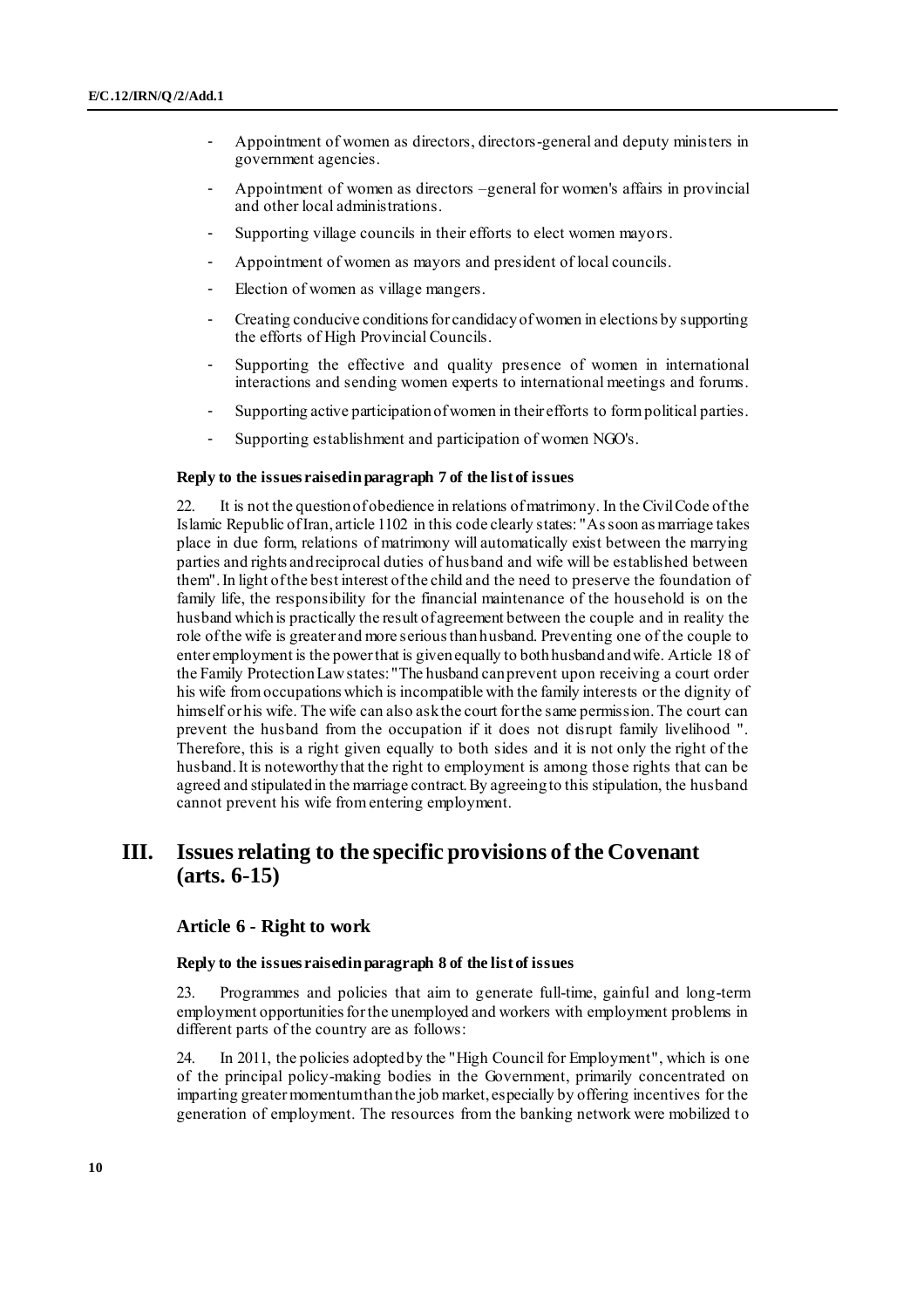- Appointment of women as directors, directors-general and deputy ministers in government agencies.
- Appointment of women as directors –general for women's affairs in provincial and other local administrations.
- Supporting village councils in their efforts to elect women mayors.
- Appointment of women as mayors and president of local councils.
- Election of women as village mangers.
- Creating conducive conditions for candidacy of women in elections by supporting the efforts of High Provincial Councils.
- Supporting the effective and quality presence of women in international interactions and sending women experts to international meetings and forums.
- Supporting active participation of women in their efforts to form political parties.
- Supporting establishment and participation of women NGO's.

### **Reply to the issues raised in paragraph 7 of the list of issues**

22. It is not the question of obedience in relations of matrimony. In the Civil Code of the Islamic Republic of Iran, article 1102 in this code clearly states: "As soon as marriage takes place in due form, relations of matrimony will automatically exist between the marrying parties and rights and reciprocal duties of husband and wife will be established between them". In light of the best interest of the child and the need to preserve the foundation of family life, the responsibility for the financial maintenance of the household is on the husband which is practically the result of agreement between the couple and in reality the role of the wife is greater and more serious than husband. Preventing one of the couple to enter employment is the power that is given equally to both husband and wife. Article 18 of the Family Protection Law states: "The husband can prevent upon receiving a court order his wife from occupations which is incompatible with the family interests or the dignity of himself or his wife. The wife can also ask the court for the same permission. The court can prevent the husband from the occupation if it does not disrupt family livelihood ". Therefore, this is a right given equally to both sides and it is not only the right of the husband. It is noteworthy that the right to employment is among those rights that can be agreed and stipulated in the marriage contract. By agreeing to this stipulation, the husband cannot prevent his wife from entering employment.

## **III. Issues relating to the specific provisions of the Covenant (arts. 6-15)**

### **Article 6 - Right to work**

#### **Reply to the issues raised in paragraph 8 of the list of issues**

23. Programmes and policies that aim to generate full-time, gainful and long-term employment opportunities for the unemployed and workers with employment problems in different parts of the country are as follows:

24. In 2011, the policies adopted by the "High Council for Employment", which is one of the principal policy-making bodies in the Government, primarily concentrated on imparting greater momentum than the job market, especially by offering incentives for the generation of employment. The resources from the banking network were mobilized to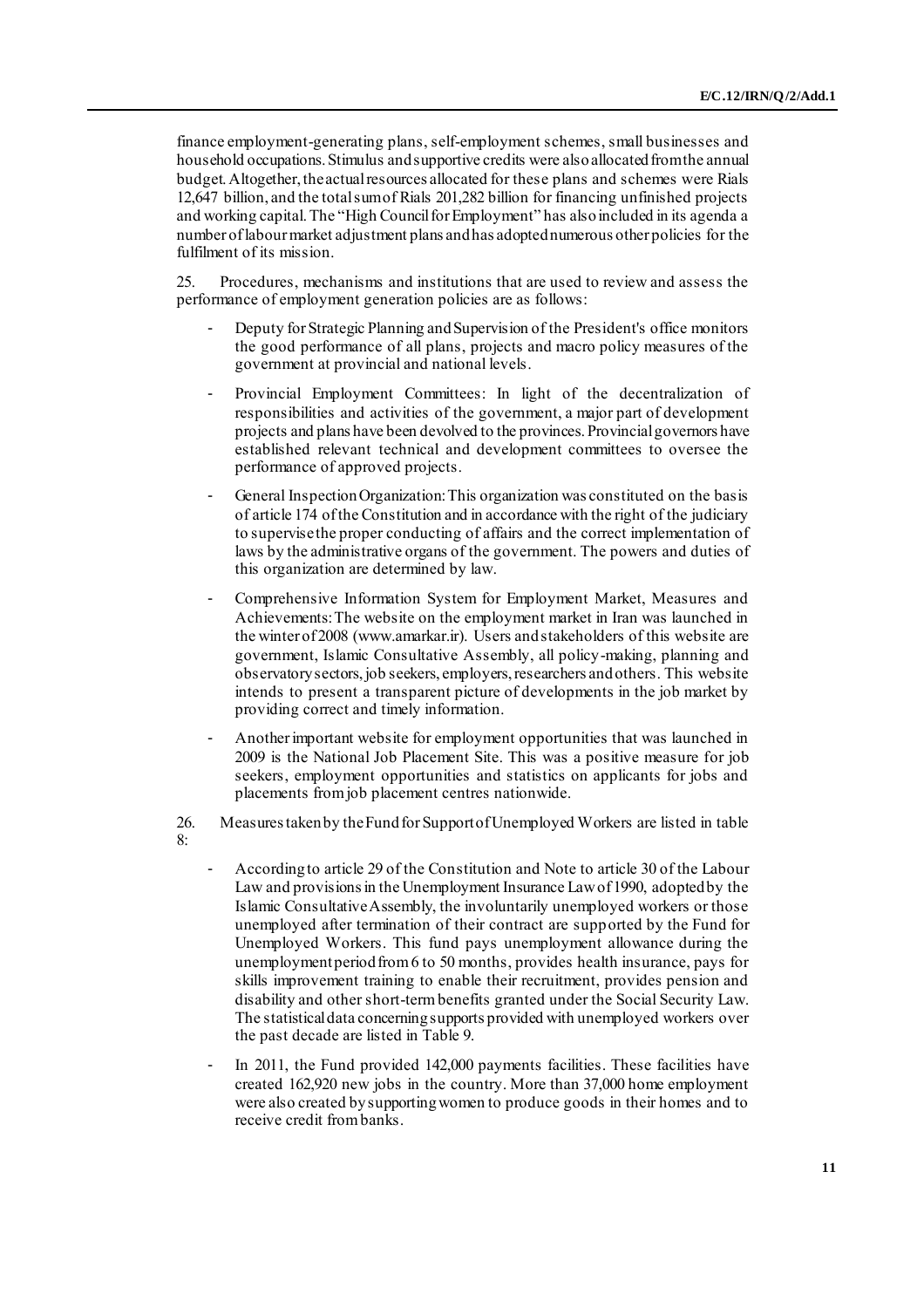finance employment-generating plans, self-employment schemes, small businesses and household occupations. Stimulus and supportive credits were also allocated from the annual budget. Altogether, the actual resources allocated for these plans and schemes were Rials 12,647 billion, and the total sum of Rials 201,282 billion for financing unfinished projects and working capital. The "High Council for Employment" has also included in its agenda a number of labour market adjustment plans and has adopted numerous other policies for the fulfilment of its mission.

25. Procedures, mechanisms and institutions that are used to review and assess the performance of employment generation policies are as follows:

- Deputy for Strategic Planning and Supervision of the President's office monitors the good performance of all plans, projects and macro policy measures of the government at provincial and national levels.
- Provincial Employment Committees: In light of the decentralization of responsibilities and activities of the government, a major part of development projects and plans have been devolved to the provinces. Provincial governors have established relevant technical and development committees to oversee the performance of approved projects.
- General Inspection Organization: This organization was constituted on the basis of article 174 of the Constitution and in accordance with the right of the judiciary to supervise the proper conducting of affairs and the correct implementation of laws by the administrative organs of the government. The powers and duties of this organization are determined by law.
- Comprehensive Information System for Employment Market, Measures and Achievements: The website on the employment market in Iran was launched in the winter of 2008 ([www.amarkar.ir\).](http://www.amarkar.ir/) Users and stakeholders of this website are government, Islamic Consultative Assembly, all policy-making, planning and observatory sectors, job seekers, employers, researchers and others. This website intends to present a transparent picture of developments in the job market by providing correct and timely information.
- Another important website for employment opportunities that was launched in 2009 is the National Job Placement Site. This was a positive measure for job seekers, employment opportunities and statistics on applicants for jobs and placements from job placement centres nationwide.
- 26. Measures taken by the Fund for Support of Unemployed Workers are listed in table  $8 -$ 
	- According to article 29 of the Constitution and Note to article 30 of the Labour Law and provisions in the Unemployment Insurance Law of 1990, adopted by the Islamic Consultative Assembly, the involuntarily unemployed workers or those unemployed after termination of their contract are supported by the Fund for Unemployed Workers. This fund pays unemployment allowance during the unemployment period from 6 to 50 months, provides health insurance, pays for skills improvement training to enable their recruitment, provides pension and disability and other short-term benefits granted under the Social Security Law. The statistical data concerning supports provided with unemployed workers over the past decade are listed in Table 9.
	- In 2011, the Fund provided 142,000 payments facilities. These facilities have created 162,920 new jobs in the country. More than 37,000 home employment were also created by supporting women to produce goods in their homes and to receive credit from banks.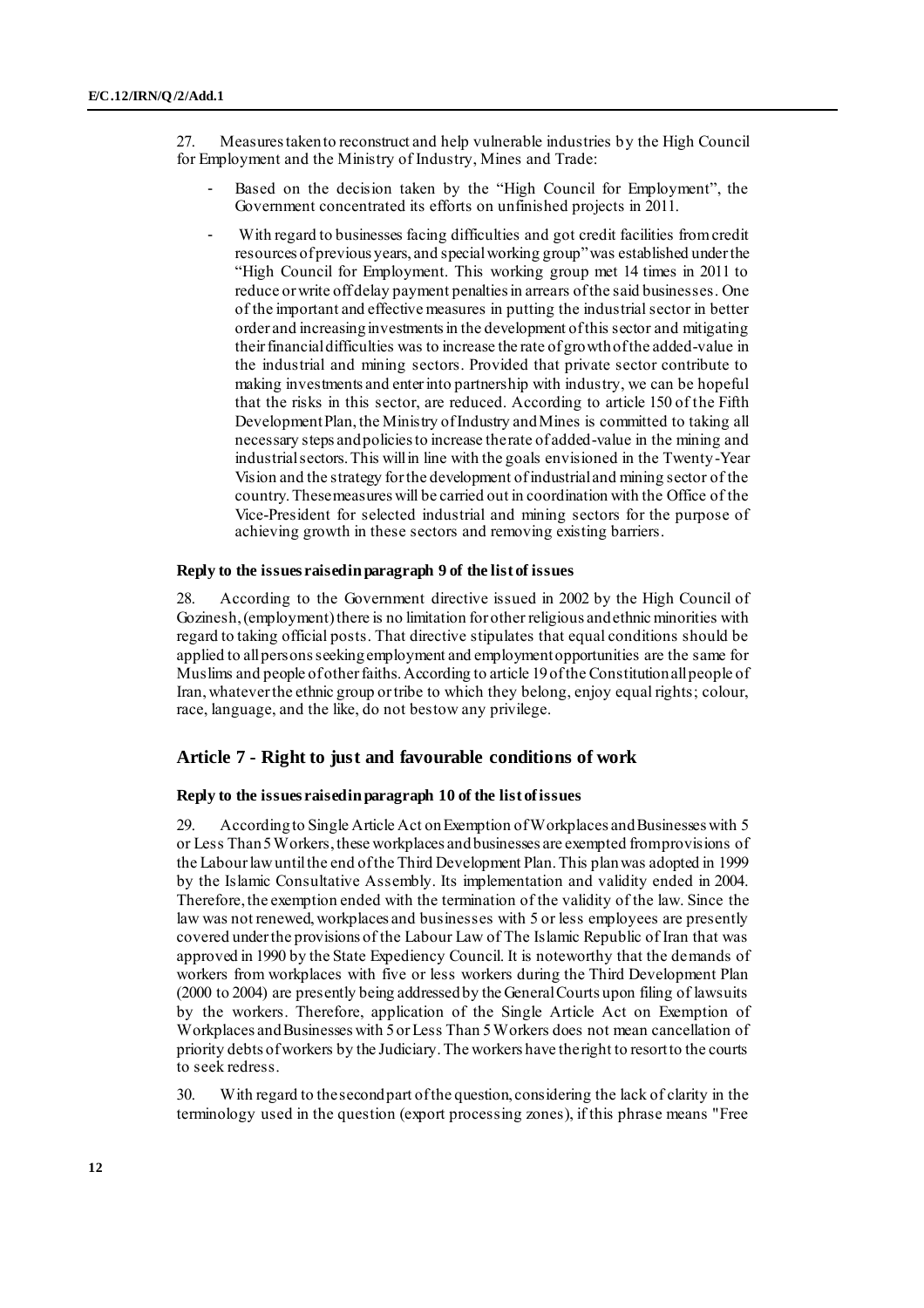27. Measures taken to reconstruct and help vulnerable industries by the High Council for Employment and the Ministry of Industry, Mines and Trade:

- Based on the decision taken by the "High Council for Employment", the Government concentrated its efforts on unfinished projects in 2011.
- With regard to businesses facing difficulties and got credit facilities from credit resources of previous years, and special working group" was established under the "High Council for Employment. This working group met 14 times in 2011 to reduce or write off delay payment penalties in arrears of the said businesses. One of the important and effective measures in putting the industrial sector in better order and increasing investments in the development of this sector and mitigating their financial difficulties was to increase the rate of growth of the added-value in the industrial and mining sectors. Provided that private sector contribute to making investments and enter into partnership with industry, we can be hopeful that the risks in this sector, are reduced. According to article 150 of the Fifth Development Plan, the Ministry of Industry and Mines is committed to taking all necessary steps and policies to increase the rate of added-value in the mining and industrial sectors. This will in line with the goals envisioned in the Twenty-Year Vision and the strategy for the development of industrial and mining sector of the country. These measures will be carried out in coordination with the Office of the Vice-President for selected industrial and mining sectors for the purpose of achieving growth in these sectors and removing existing barriers.

#### **Reply to the issues raised in paragraph 9 of the list of issues**

28. According to the Government directive issued in 2002 by the High Council of Gozinesh, (employment) there is no limitation for other religious and ethnic minorities with regard to taking official posts. That directive stipulates that equal conditions should be applied to all persons seeking employment and employment opportunities are the same for Muslims and people of other faiths. According to article 19 of the Constitution all people of Iran, whatever the ethnic group or tribe to which they belong, enjoy equal rights; colour, race, language, and the like, do not bestow any privilege.

### **Article 7 - Right to just and favourable conditions of work**

### **Reply to the issues raised in paragraph 10 of the list of issues**

29. According to Single Article Act on Exemption of Workplaces and Businesses with 5 or Less Than 5 Workers, these workplaces and businesses are exempted from provisions of the Labour law until the end of the Third Development Plan. This plan was adopted in 1999 by the Islamic Consultative Assembly. Its implementation and validity ended in 2004. Therefore, the exemption ended with the termination of the validity of the law. Since the law was not renewed, workplaces and businesses with 5 or less employees are presently covered under the provisions of the Labour Law of The Islamic Republic of Iran that was approved in 1990 by the State Expediency Council. It is noteworthy that the demands of workers from workplaces with five or less workers during the Third Development Plan (2000 to 2004) are presently being addressed by the General Courts upon filing of lawsuits by the workers. Therefore, application of the Single Article Act on Exemption of Workplaces and Businesses with 5 or Less Than 5 Workers does not mean cancellation of priority debts of workers by the Judiciary. The workers have the right to resort to the courts to seek redress.

30. With regard to the second part of the question, considering the lack of clarity in the terminology used in the question (export processing zones), if this phrase means "Free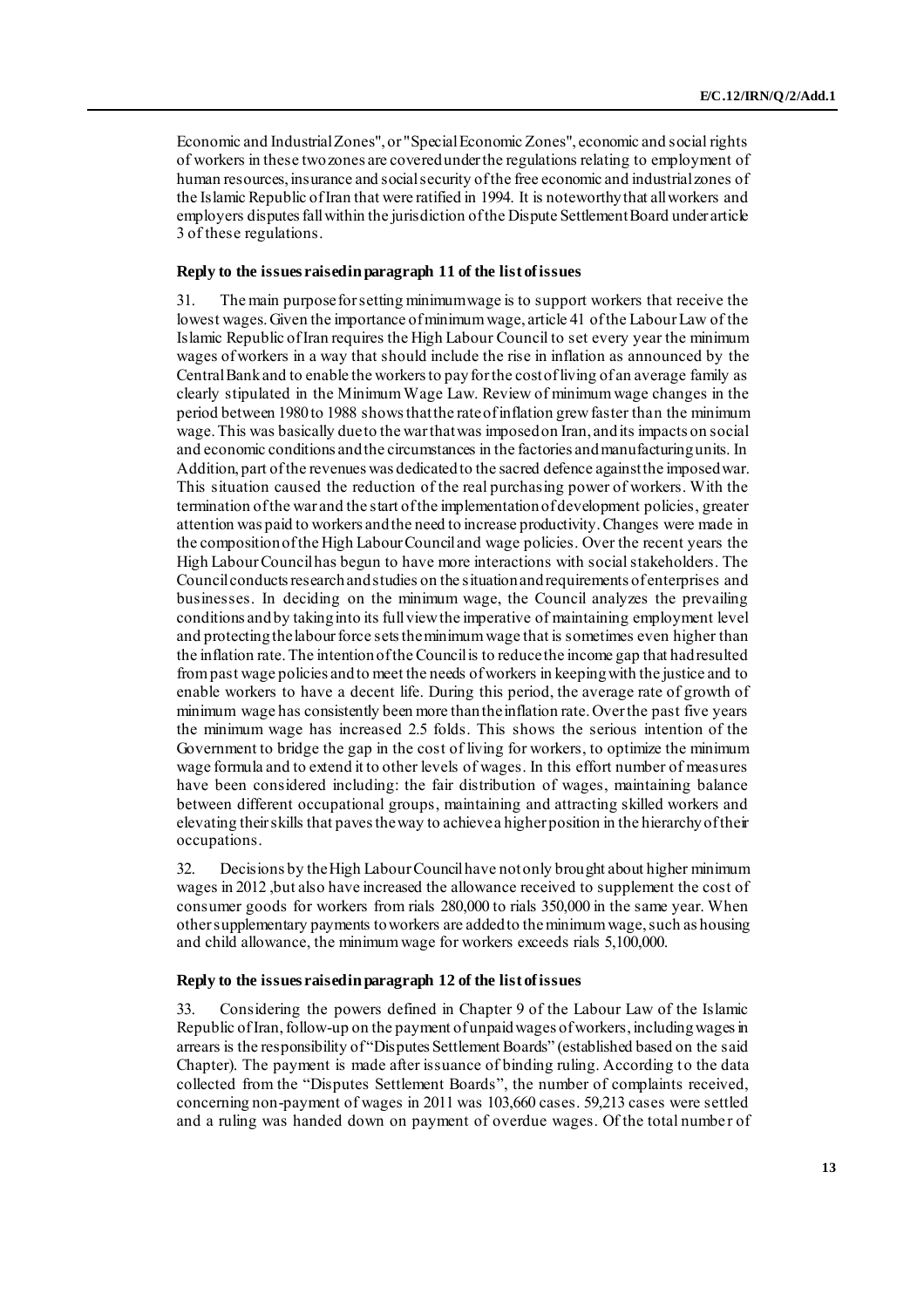Economic and Industrial Zones", or "Special Economic Zones", economic and social rights of workers in these two zones are covered under the regulations relating to employment of human resources, insurance and social security of the free economic and industrial zones of the Islamic Republic of Iran that were ratified in 1994. It is noteworthy that all workers and employers disputes fall within the jurisdiction of the Dispute Settlement Board under article 3 of these regulations.

#### **Reply to the issues raised in paragraph 11 of the list of issues**

31. The main purpose for setting minimum wage is to support workers that receive the lowest wages. Given the importance of minimum wage, article 41 of the Labour Law of the Islamic Republic of Iran requires the High Labour Council to set every year the minimum wages of workers in a way that should include the rise in inflation as announced by the Central Bank and to enable the workers to pay for the cost of living of an average family as clearly stipulated in the Minimum Wage Law. Review of minimum wage changes in the period between 1980 to 1988 shows that the rate of inflation grew faster than the minimum wage. This was basically due to the war that was imposed on Iran, and its impacts on social and economic conditions and the circumstances in the factories and manufacturing units. In Addition, part of the revenues was dedicated to the sacred defence against the imposed war. This situation caused the reduction of the real purchasing power of workers. With the termination of the war and the start of the implementation of development policies, greater attention was paid to workers and the need to increase productivity. Changes were made in the composition of the High Labour Council and wage policies. Over the recent years the High Labour Council has begun to have more interactions with social stakeholders. The Council conducts research and studies on the situation and requirements of enterprises and businesses. In deciding on the minimum wage, the Council analyzes the prevailing conditions and by taking into its full view the imperative of maintaining employment level and protecting the labour force sets the minimum wage that is sometimes even higher than the inflation rate. The intention of the Council is to reduce the income gap that had resulted from past wage policies and to meet the needs of workers in keeping with the justice and to enable workers to have a decent life. During this period, the average rate of growth of minimum wage has consistently been more than the inflation rate. Over the past five years the minimum wage has increased 2.5 folds. This shows the serious intention of the Government to bridge the gap in the cost of living for workers, to optimize the minimum wage formula and to extend it to other levels of wages. In this effort number of measures have been considered including: the fair distribution of wages, maintaining balance between different occupational groups, maintaining and attracting skilled workers and elevating their skills that paves the way to achieve a higher position in the hierarchy of their occupations.

32. Decisions by the High Labour Council have not only brought about higher minimum wages in 2012 ,but also have increased the allowance received to supplement the cost of consumer goods for workers from rials 280,000 to rials 350,000 in the same year. When other supplementary payments to workers are added to the minimum wage, such as housing and child allowance, the minimum wage for workers exceeds rials 5,100,000.

#### **Reply to the issues raised in paragraph 12 of the list of issues**

33. Considering the powers defined in Chapter 9 of the Labour Law of the Islamic Republic of Iran, follow-up on the payment of unpaid wages of workers, including wages in arrears is the responsibility of "Disputes Settlement Boards" (established based on the said Chapter). The payment is made after issuance of binding ruling. According to the data collected from the "Disputes Settlement Boards", the number of complaints received, concerning non-payment of wages in 2011 was 103,660 cases. 59,213 cases were settled and a ruling was handed down on payment of overdue wages. Of the total number of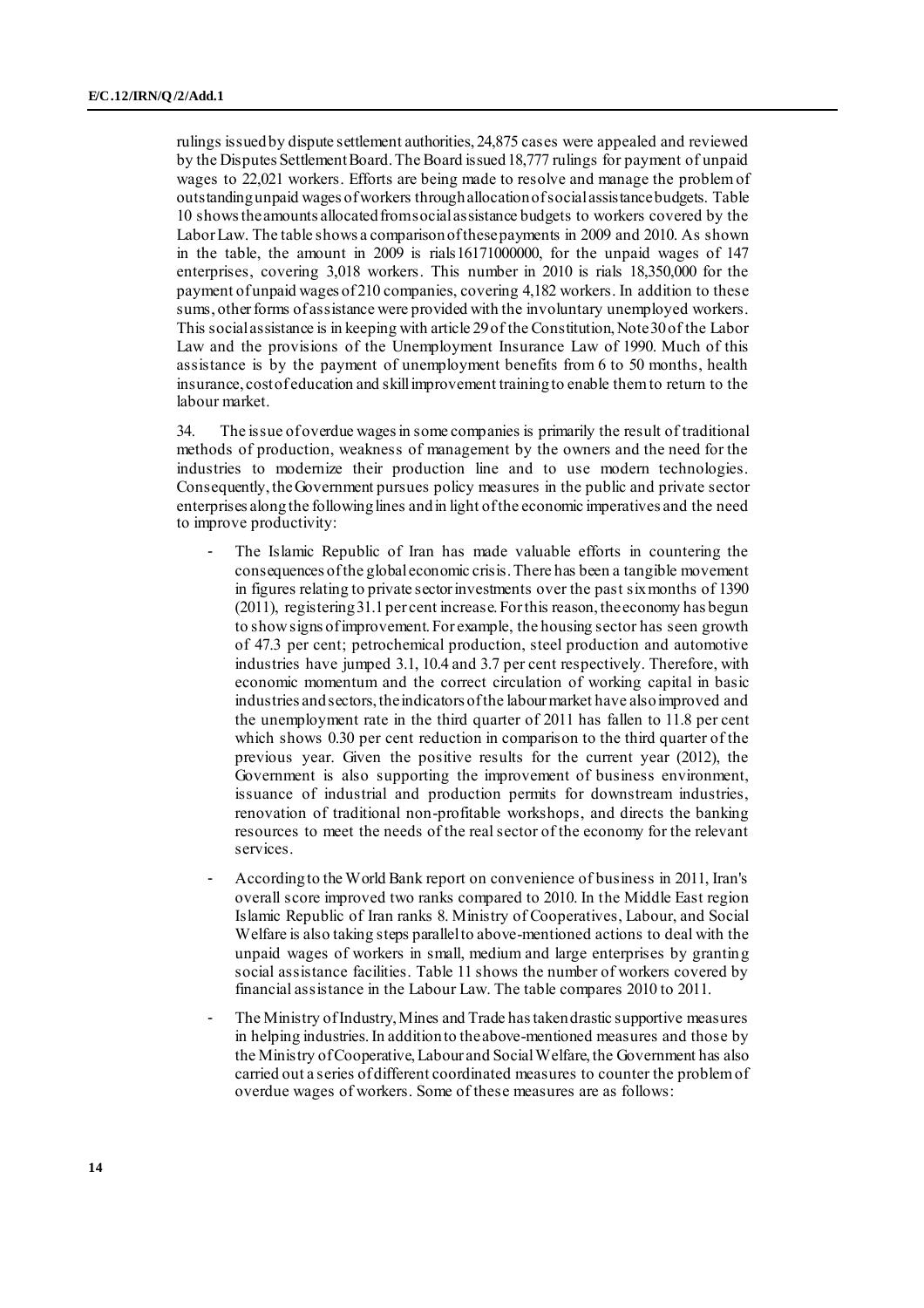rulings issued by dispute settlement authorities, 24,875 cases were appealed and reviewed by the Disputes Settlement Board. The Board issued 18,777 rulings for payment of unpaid wages to 22,021 workers. Efforts are being made to resolve and manage the problem of outstanding unpaid wages of workers through allocation of social assistance budgets. Table 10 shows the amounts allocated from social assistance budgets to workers covered by the Labor Law. The table shows a comparison of these payments in 2009 and 2010. As shown in the table, the amount in 2009 is rials16171000000, for the unpaid wages of 147 enterprises, covering 3,018 workers. This number in 2010 is rials 18,350,000 for the payment of unpaid wages of 210 companies, covering 4,182 workers. In addition to these sums, other forms of assistance were provided with the involuntary unemployed workers. This social assistance is in keeping with article 29 of the Constitution, Note 30 of the Labor Law and the provisions of the Unemployment Insurance Law of 1990. Much of this assistance is by the payment of unemployment benefits from 6 to 50 months, health insurance, cost of education and skill improvement training to enable them to return to the labour market.

34. The issue of overdue wages in some companies is primarily the result of traditional methods of production, weakness of management by the owners and the need for the industries to modernize their production line and to use modern technologies. Consequently, the Government pursues policy measures in the public and private sector enterprises along the following lines and in light of the economic imperatives and the need to improve productivity:

- The Islamic Republic of Iran has made valuable efforts in countering the consequences of the global economic crisis. There has been a tangible movement in figures relating to private sector investments over the past six months of 1390 (2011), registering 31.1 per cent increase. For this reason, the economy has begun to show signs of improvement. For example, the housing sector has seen growth of 47.3 per cent; petrochemical production, steel production and automotive industries have jumped 3.1, 10.4 and 3.7 per cent respectively. Therefore, with economic momentum and the correct circulation of working capital in basic industries and sectors, the indicators of the labour market have also improved and the unemployment rate in the third quarter of 2011 has fallen to 11.8 per cent which shows 0.30 per cent reduction in comparison to the third quarter of the previous year. Given the positive results for the current year (2012), the Government is also supporting the improvement of business environment, issuance of industrial and production permits for downstream industries, renovation of traditional non-profitable workshops, and directs the banking resources to meet the needs of the real sector of the economy for the relevant services.
- According to the World Bank report on convenience of business in 2011, Iran's overall score improved two ranks compared to 2010. In the Middle East region Islamic Republic of Iran ranks 8. Ministry of Cooperatives, Labour, and Social Welfare is also taking steps parallel to above-mentioned actions to deal with the unpaid wages of workers in small, medium and large enterprises by granting social assistance facilities. Table 11 shows the number of workers covered by financial assistance in the Labour Law. The table compares 2010 to 2011.
- The Ministry of Industry, Mines and Trade has taken drastic supportive measures in helping industries.In addition to the above-mentioned measures and those by the Ministry of Cooperative, Labour and Social Welfare, the Government has also carried out a series of different coordinated measures to counter the problem of overdue wages of workers. Some of these measures are as follows: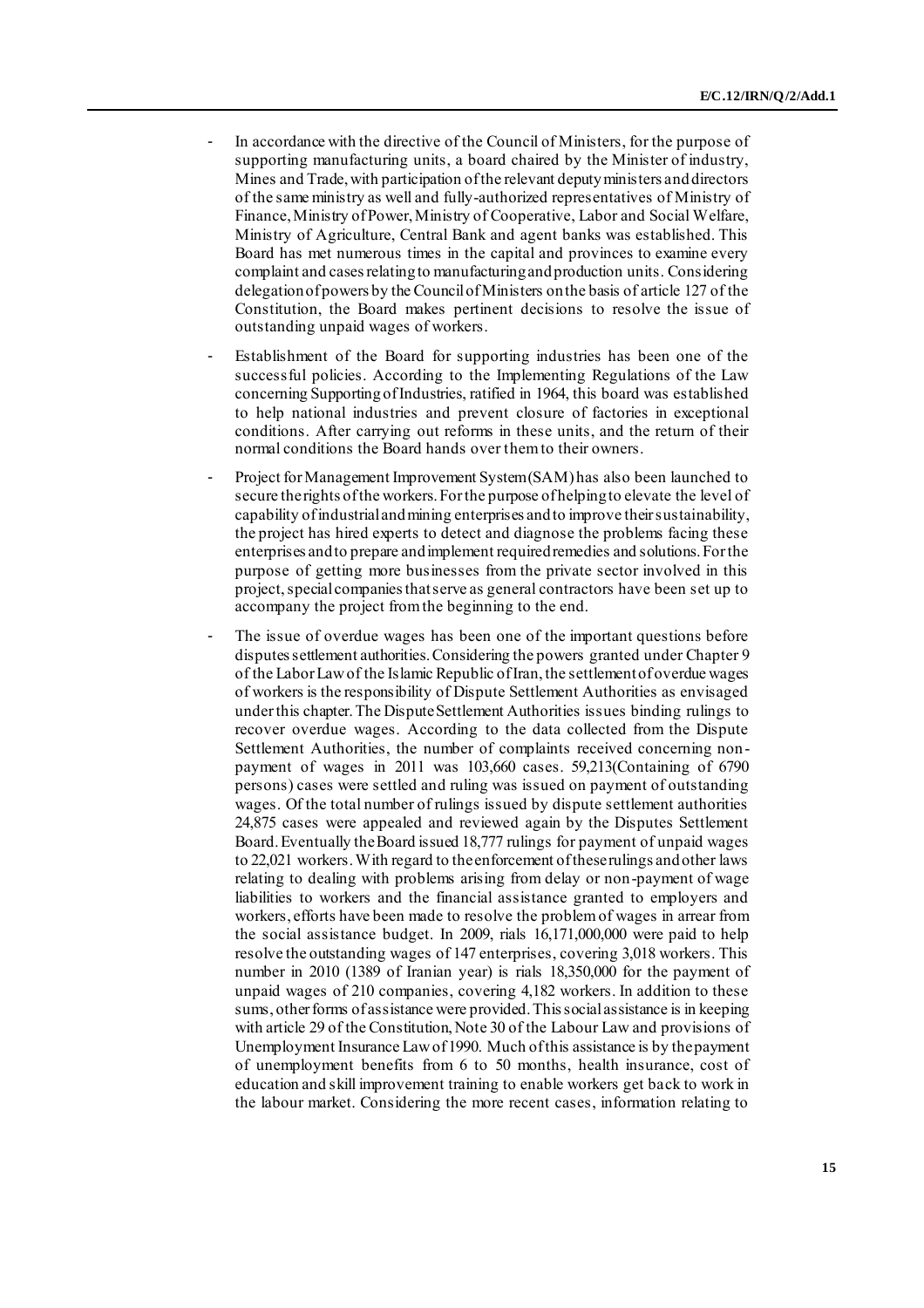- In accordance with the directive of the Council of Ministers, for the purpose of supporting manufacturing units, a board chaired by the Minister of industry, Mines and Trade, with participation of the relevant deputy ministers and directors of the same ministry as well and fully-authorized representatives of Ministry of Finance, Ministry of Power, Ministry of Cooperative, Labor and Social Welfare, Ministry of Agriculture, Central Bank and agent banks was established. This Board has met numerous times in the capital and provinces to examine every complaint and cases relating to manufacturing and production units. Considering delegation of powers by the Council of Ministers on the basis of article 127 of the Constitution, the Board makes pertinent decisions to resolve the issue of outstanding unpaid wages of workers.
- Establishment of the Board for supporting industries has been one of the successful policies. According to the Implementing Regulations of the Law concerning Supporting of Industries, ratified in 1964, this board was established to help national industries and prevent closure of factories in exceptional conditions. After carrying out reforms in these units, and the return of their normal conditions the Board hands over them to their owners.
- Project for Management Improvement System (SAM) has also been launched to secure the rights of the workers. For the purpose of helping to elevate the level of capability of industrial and mining enterprises and to improve their sustainability, the project has hired experts to detect and diagnose the problems facing these enterprises and to prepare and implement required remedies and solutions. For the purpose of getting more businesses from the private sector involved in this project, special companies that serve as general contractors have been set up to accompany the project from the beginning to the end.
- The issue of overdue wages has been one of the important questions before disputes settlement authorities. Considering the powers granted under Chapter 9 of the Labor Law of the Islamic Republic of Iran, the settlement of overdue wages of workers is the responsibility of Dispute Settlement Authorities as envisaged under this chapter. The Dispute Settlement Authorities issues binding rulings to recover overdue wages. According to the data collected from the Dispute Settlement Authorities, the number of complaints received concerning non payment of wages in 2011 was 103,660 cases. 59,213(Containing of 6790 persons) cases were settled and ruling was issued on payment of outstanding wages. Of the total number of rulings issued by dispute settlement authorities 24,875 cases were appealed and reviewed again by the Disputes Settlement Board. Eventually the Board issued 18,777 rulings for payment of unpaid wages to 22,021 workers. With regard to the enforcement of these rulings and other laws relating to dealing with problems arising from delay or non-payment of wage liabilities to workers and the financial assistance granted to employers and workers, efforts have been made to resolve the problem of wages in arrear from the social assistance budget. In 2009, rials 16,171,000,000 were paid to help resolve the outstanding wages of 147 enterprises, covering 3,018 workers. This number in 2010 (1389 of Iranian year) is rials 18,350,000 for the payment of unpaid wages of 210 companies, covering 4,182 workers. In addition to these sums, other forms of assistance were provided. This social assistance is in keeping with article 29 of the Constitution, Note 30 of the Labour Law and provisions of Unemployment Insurance Law of 1990. Much of this assistance is by the payment of unemployment benefits from 6 to 50 months, health insurance, cost of education and skill improvement training to enable workers get back to work in the labour market. Considering the more recent cases, information relating to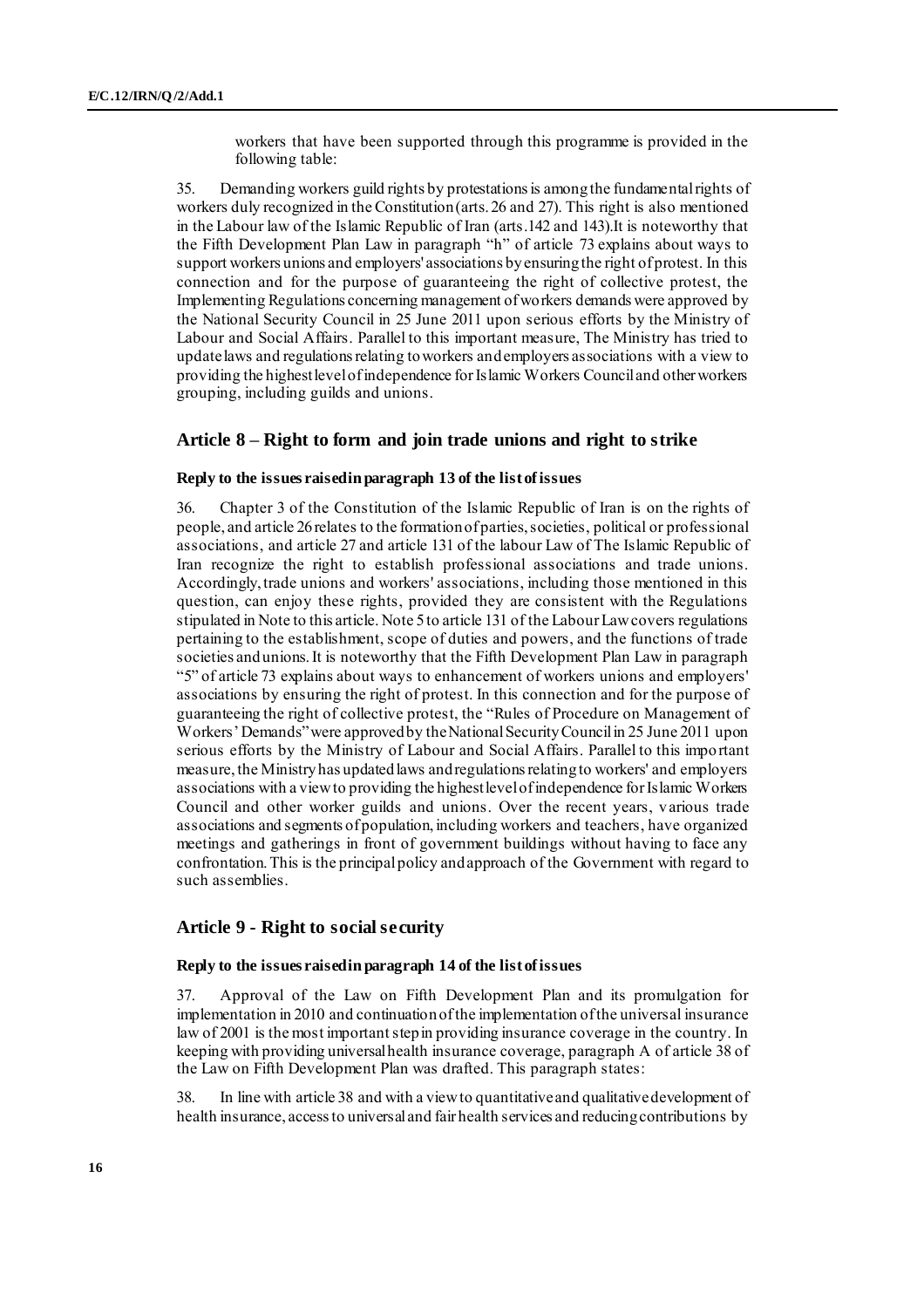workers that have been supported through this programme is provided in the following table:

35. Demanding workers guild rights by protestations is among the fundamental rights of workers duly recognized in the Constitution (arts. 26 and 27). This right is also mentioned in the Labour law of the Islamic Republic of Iran (arts.142 and 143).It is noteworthy that the Fifth Development Plan Law in paragraph "h" of article 73 explains about ways to support workers unions and employers' associations by ensuring the right of protest. In this connection and for the purpose of guaranteeing the right of collective protest, the Implementing Regulations concerning management of workers demands were approved by the National Security Council in 25 June 2011 upon serious efforts by the Ministry of Labour and Social Affairs. Parallel to this important measure, The Ministry has tried to update laws and regulations relating to workers and employers associations with a view to providing the highest level of independence for Islamic Workers Council and other workers grouping, including guilds and unions.

### **Article 8 – Right to form and join trade unions and right to strike**

#### **Reply to the issues raised in paragraph 13 of the list of issues**

36. Chapter 3 of the Constitution of the Islamic Republic of Iran is on the rights of people, and article 26 relates to the formation of parties, societies, political or professional associations, and article 27 and article 131 of the labour Law of The Islamic Republic of Iran recognize the right to establish professional associations and trade unions. Accordingly, trade unions and workers' associations, including those mentioned in this question, can enjoy these rights, provided they are consistent with the Regulations stipulated in Note to this article. Note 5 to article 131 of the Labour Law covers regulations pertaining to the establishment, scope of duties and powers, and the functions of trade societies and unions. It is noteworthy that the Fifth Development Plan Law in paragraph "5" of article 73 explains about ways to enhancement of workers unions and employers' associations by ensuring the right of protest. In this connection and for the purpose of guaranteeing the right of collective protest, the "Rules of Procedure on Management of Workers' Demands" were approved by the National Security Council in 25 June 2011 upon serious efforts by the Ministry of Labour and Social Affairs. Parallel to this important measure, the Ministry has updated laws and regulations relating to workers' and employers associations with a view to providing the highest level of independence for Islamic Workers Council and other worker guilds and unions. Over the recent years, various trade associations and segments of population, including workers and teachers, have organized meetings and gatherings in front of government buildings without having to face any confrontation. This is the principal policy and approach of the Government with regard to such assemblies.

### **Article 9 - Right to social security**

#### **Reply to the issues raised in paragraph 14 of the list of issues**

37. Approval of the Law on Fifth Development Plan and its promulgation for implementation in 2010 and continuation of the implementation of the universal insurance law of 2001 is the most important step in providing insurance coverage in the country. In keeping with providing universal health insurance coverage, paragraph A of article 38 of the Law on Fifth Development Plan was drafted. This paragraph states:

In line with article 38 and with a view to quantitative and qualitative development of health insurance, access to universal and fair health services and reducing contributions by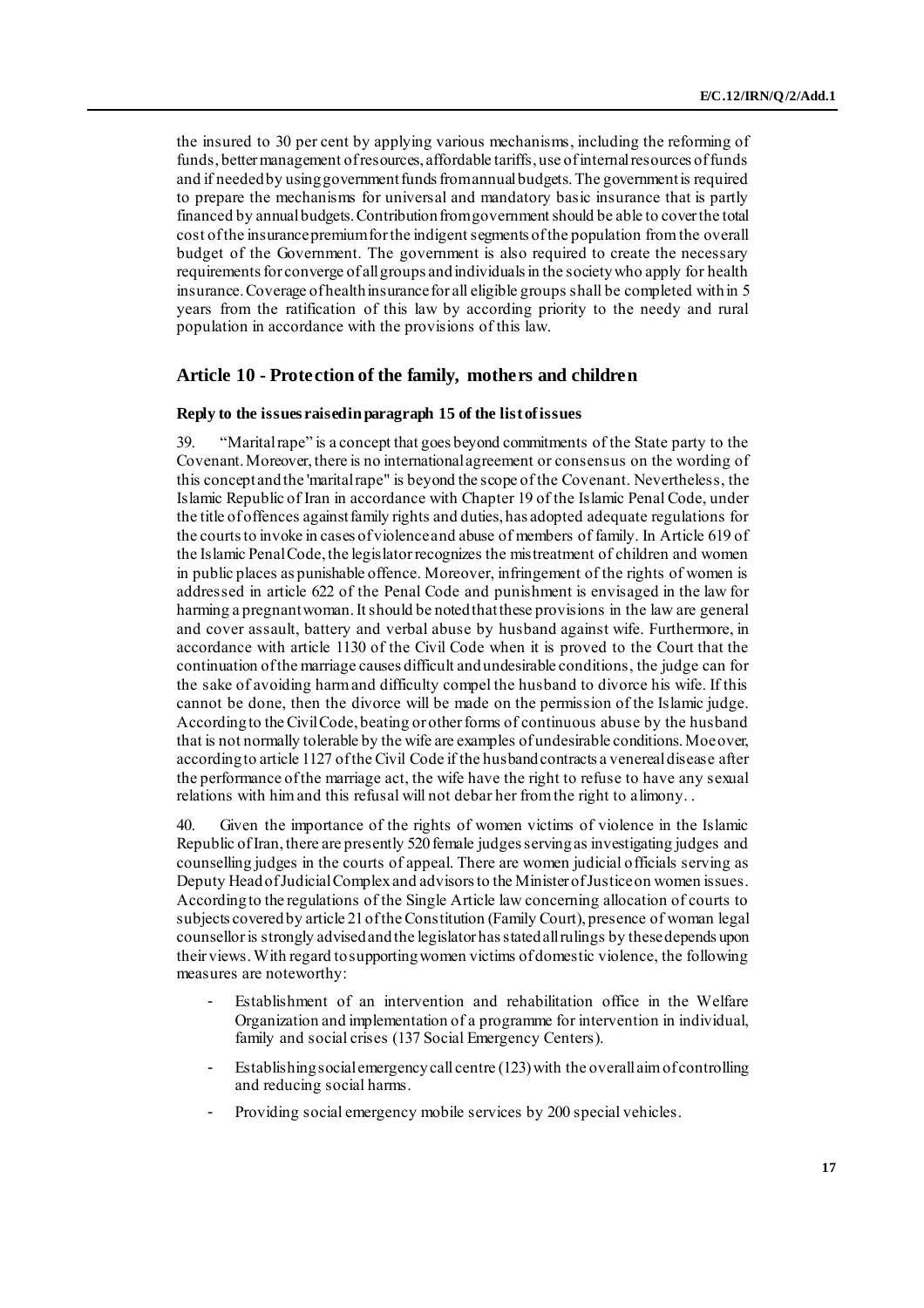the insured to 30 per cent by applying various mechanisms, including the reforming of funds, better management of resources, affordable tariffs, use of internal resources of funds and if needed by using government funds from annual budgets. The government is required to prepare the mechanisms for universal and mandatory basic insurance that is partly financed by annual budgets. Contribution from government should be able to cover the total cost of the insurance premium for the indigent segments of the population from the overall budget of the Government. The government is also required to create the necessary requirements for converge of all groups and individuals in the society who apply for health insurance. Coverage of health insurance for all eligible groups shall be completed within 5 years from the ratification of this law by according priority to the needy and rural population in accordance with the provisions of this law.

### **Article 10 - Protection of the family, mothers and children**

#### **Reply to the issues raised in paragraph 15 of the list of issues**

39. "Marital rape" is a concept that goes beyond commitments of the State party to the Covenant. Moreover, there is no international agreement or consensus on the wording of this concept and the 'marital rape" is beyond the scope of the Covenant. Nevertheless, the Islamic Republic of Iran in accordance with Chapter 19 of the Islamic Penal Code, under the title of offences against family rights and duties, has adopted adequate regulations for the courts to invoke in cases of violence and abuse of members of family. In Article 619 of the Islamic Penal Code, the legislator recognizes the mistreatment of children and women in public places as punishable offence. Moreover, infringement of the rights of women is addressed in article 622 of the Penal Code and punishment is envisaged in the law for harming a pregnant woman. It should be noted that these provisions in the law are general and cover assault, battery and verbal abuse by husband against wife. Furthermore, in accordance with article 1130 of the Civil Code when it is proved to the Court that the continuation of the marriage causes difficult and undesirable conditions, the judge can for the sake of avoiding harm and difficulty compel the husband to divorce his wife. If this cannot be done, then the divorce will be made on the permission of the Islamic judge. According to the Civil Code, beating or other forms of continuous abuse by the husband that is not normally tolerable by the wife are examples of undesirable conditions. Moe over, according to article 1127 of the Civil Code if the husband contracts a venereal disease after the performance of the marriage act, the wife have the right to refuse to have any sexual relations with him and this refusal will not debar her from the right to alimony. .

40. Given the importance of the rights of women victims of violence in the Islamic Republic of Iran, there are presently 520 female judges serving as investigating judges and counselling judges in the courts of appeal. There are women judicial officials serving as Deputy Head of Judicial Complex and advisors to the Minister of Justice on women issues. According to the regulations of the Single Article law concerning allocation of courts to subjects covered by article 21 of the Constitution (Family Court), presence of woman legal counselloris strongly advised and the legislator has stated all rulings by these depends upon their views. With regard to supporting women victims of domestic violence, the following measures are noteworthy:

- Establishment of an intervention and rehabilitation office in the Welfare Organization and implementation of a programme for intervention in individual, family and social crises (137 Social Emergency Centers).
- Establishing social emergency call centre (123) with the overall aim of controlling and reducing social harms.
- Providing social emergency mobile services by 200 special vehicles.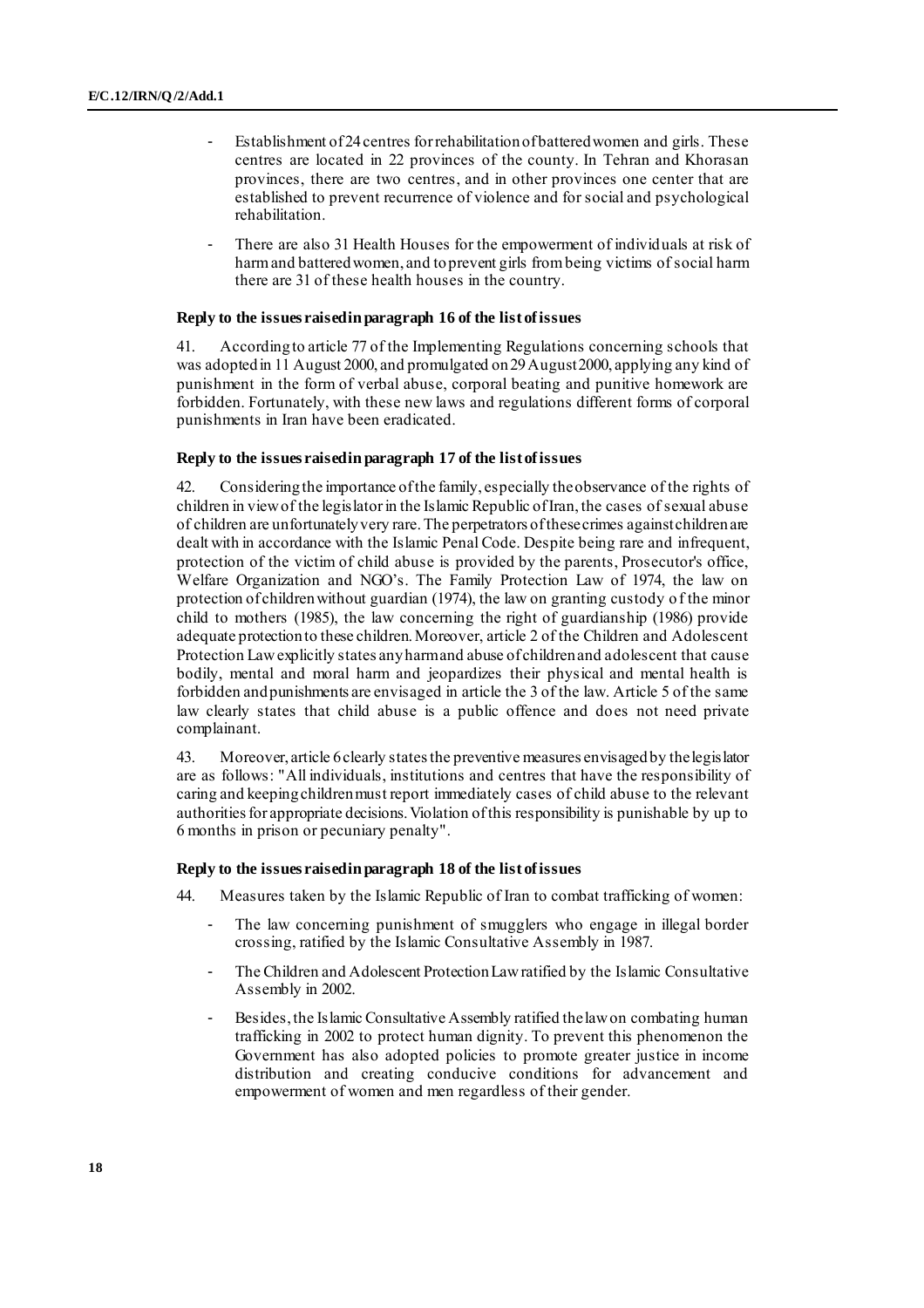- Establishment of 24 centres for rehabilitation of battered women and girls. These centres are located in 22 provinces of the county. In Tehran and Khorasan provinces, there are two centres, and in other provinces one center that are established to prevent recurrence of violence and for social and psychological rehabilitation.
- There are also 31 Health Houses for the empowerment of individuals at risk of harm and battered women, and to prevent girls from being victims of social harm there are 31 of these health houses in the country.

#### **Reply to the issues raised in paragraph 16 of the list of issues**

41. According to article 77 of the Implementing Regulations concerning schools that was adopted in 11 August 2000, and promulgated on 29 August 2000, applying any kind of punishment in the form of verbal abuse, corporal beating and punitive homework are forbidden. Fortunately, with these new laws and regulations different forms of corporal punishments in Iran have been eradicated.

#### **Reply to the issues raised in paragraph 17 of the list of issues**

42. Considering the importance of the family, especially the observance of the rights of children in view of the legislator in the Islamic Republic of Iran, the cases of sexual abuse of children are unfortunately very rare. The perpetrators of these crimes against children are dealt with in accordance with the Islamic Penal Code. Despite being rare and infrequent, protection of the victim of child abuse is provided by the parents, Prosecutor's office, Welfare Organization and NGO's. The Family Protection Law of 1974, the law on protection of children without guardian (1974), the law on granting custody of the minor child to mothers (1985), the law concerning the right of guardianship (1986) provide adequate protection to these children. Moreover, article 2 of the Children and Adolescent Protection Law explicitly states any harm and abuse of children and adolescent that cause bodily, mental and moral harm and jeopardizes their physical and mental health is forbidden and punishments are envisaged in article the 3 of the law. Article 5 of the same law clearly states that child abuse is a public offence and does not need private complainant.

43. Moreover, article 6 clearly states the preventive measures envisaged by the legislator are as follows: "All individuals, institutions and centres that have the responsibility of caring and keeping children must report immediately cases of child abuse to the relevant authorities for appropriate decisions. Violation of this responsibility is punishable by up to 6 months in prison or pecuniary penalty".

#### **Reply to the issues raised in paragraph 18 of the list of issues**

44. Measures taken by the Islamic Republic of Iran to combat trafficking of women:

- The law concerning punishment of smugglers who engage in illegal border crossing, ratified by the Islamic Consultative Assembly in 1987.
- The Children and Adolescent Protection Law ratified by the Islamic Consultative Assembly in 2002.
- Besides, the Islamic Consultative Assembly ratified the law on combating human trafficking in 2002 to protect human dignity. To prevent this phenomenon the Government has also adopted policies to promote greater justice in income distribution and creating conducive conditions for advancement and empowerment of women and men regardless of their gender.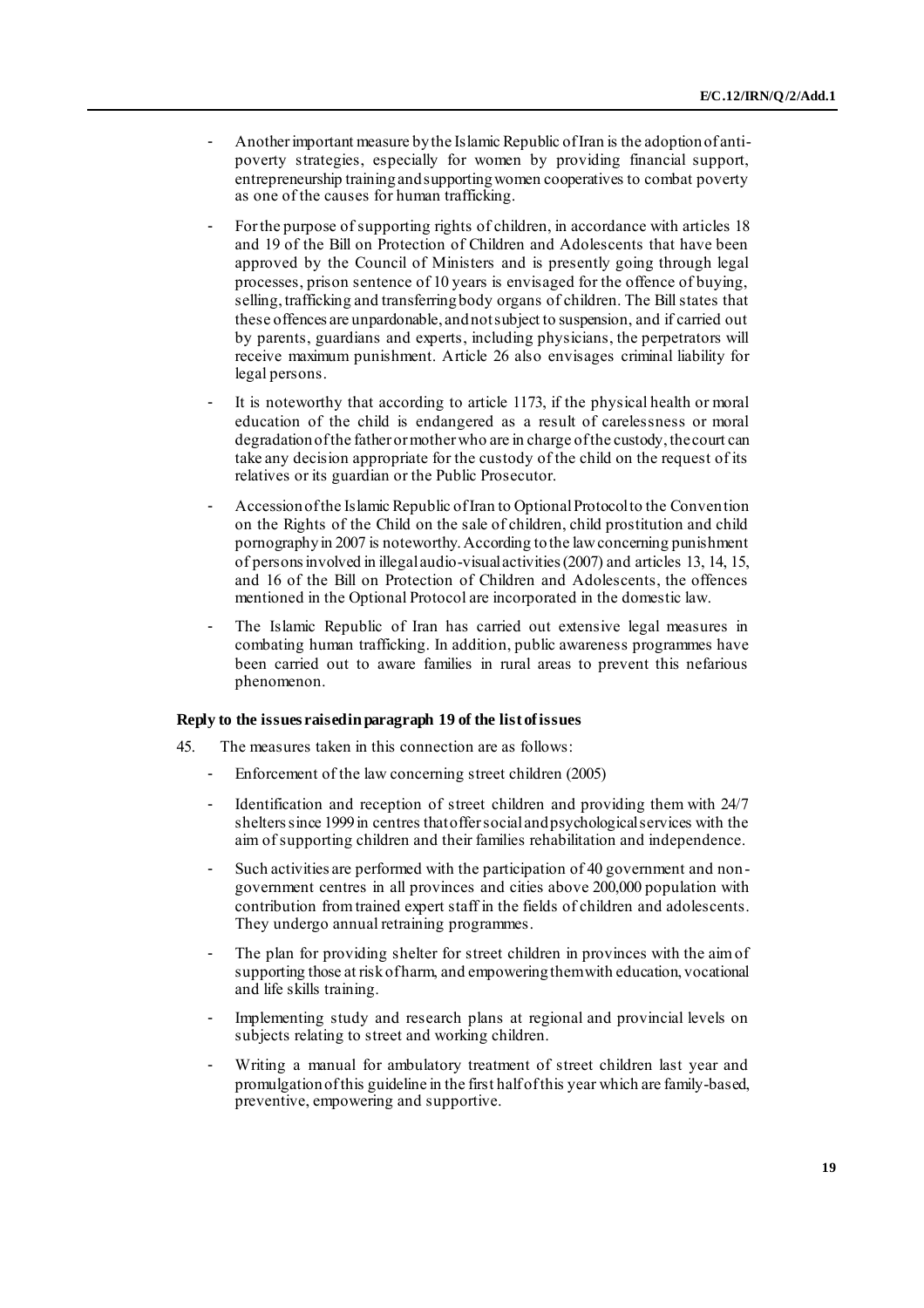- Another important measure by the Islamic Republic of Iran is the adoption of antipoverty strategies, especially for women by providing financial support, entrepreneurship training and supporting women cooperatives to combat poverty as one of the causes for human trafficking.
- For the purpose of supporting rights of children, in accordance with articles 18 and 19 of the Bill on Protection of Children and Adolescents that have been approved by the Council of Ministers and is presently going through legal processes, prison sentence of 10 years is envisaged for the offence of buying, selling, trafficking and transferring body organs of children. The Bill states that these offences are unpardonable, and not subject to suspension, and if carried out by parents, guardians and experts, including physicians, the perpetrators will receive maximum punishment. Article 26 also envisages criminal liability for legal persons.
- It is noteworthy that according to article 1173, if the physical health or moral education of the child is endangered as a result of carelessness or moral degradation of the father or mother who are in charge of the custody, the court can take any decision appropriate for the custody of the child on the request of its relatives or its guardian or the Public Prosecutor.
- Accession of the Islamic Republic of Iran to Optional Protocol to the Convention on the Rights of the Child on the sale of children, child prostitution and child pornography in 2007 is noteworthy. According to the law concerning punishment of persons involved in illegal audio-visual activities (2007) and articles 13, 14, 15, and 16 of the Bill on Protection of Children and Adolescents, the offences mentioned in the Optional Protocol are incorporated in the domestic law.
- The Islamic Republic of Iran has carried out extensive legal measures in combating human trafficking. In addition, public awareness programmes have been carried out to aware families in rural areas to prevent this nefarious phenomenon.

### **Reply to the issues raised in paragraph 19 of the list of issues**

- 45. The measures taken in this connection are as follows:
	- Enforcement of the law concerning street children (2005)
	- Identification and reception of street children and providing them with 24/7 shelters since 1999 in centres that offer social and psychological services with the aim of supporting children and their families rehabilitation and independence.
	- Such activities are performed with the participation of 40 government and nongovernment centres in all provinces and cities above 200,000 population with contribution from trained expert staff in the fields of children and adolescents. They undergo annual retraining programmes.
	- The plan for providing shelter for street children in provinces with the aim of supporting those at risk of harm, and empowering them with education, vocational and life skills training.
	- Implementing study and research plans at regional and provincial levels on subjects relating to street and working children.
	- Writing a manual for ambulatory treatment of street children last year and promulgation of this guideline in the first half of this year which are family-based, preventive, empowering and supportive.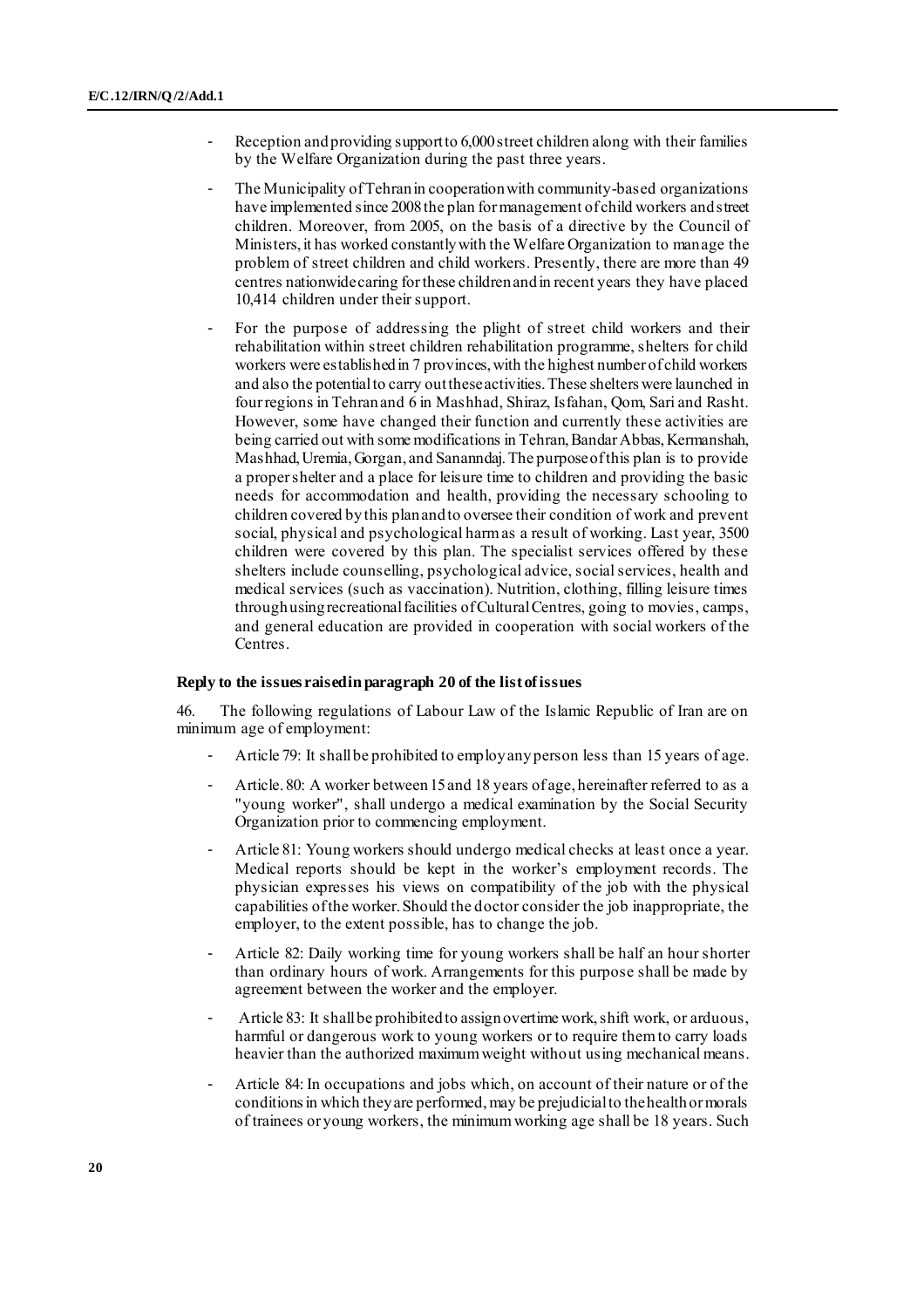- Reception and providing support to 6,000 street children along with their families by the Welfare Organization during the past three years.
- The Municipality of Tehran in cooperation with community-based organizations have implemented since 2008 the plan for management of child workers and street children. Moreover, from 2005, on the basis of a directive by the Council of Ministers, it has worked constantly with the Welfare Organization to manage the problem of street children and child workers. Presently, there are more than 49 centres nationwide caring for these children and in recent years they have placed 10,414 children under their support.
- For the purpose of addressing the plight of street child workers and their rehabilitation within street children rehabilitation programme, shelters for child workers were established in 7 provinces, with the highest number of child workers and also the potential to carry out these activities. These shelters were launched in four regions in Tehran and 6 in Mashhad, Shiraz, Isfahan, Qom, Sari and Rasht. However, some have changed their function and currently these activities are being carried out with some modifications in Tehran, Bandar Abbas, Kermanshah, Mashhad, Uremia, Gorgan, and Sananndaj. The purpose of this plan is to provide a proper shelter and a place for leisure time to children and providing the basic needs for accommodation and health, providing the necessary schooling to children covered by this plan and to oversee their condition of work and prevent social, physical and psychological harm as a result of working. Last year, 3500 children were covered by this plan. The specialist services offered by these shelters include counselling, psychological advice, social services, health and medical services (such as vaccination). Nutrition, clothing, filling leisure times through using recreational facilities of Cultural Centres, going to movies, camps, and general education are provided in cooperation with social workers of the Centres.

#### **Reply to the issues raised in paragraph 20 of the list of issues**

46. The following regulations of Labour Law of the Islamic Republic of Iran are on minimum age of employment:

- Article 79: It shall be prohibited to employ any person less than 15 years of age.
- Article. 80: A worker between 15 and 18 years of age, hereinafter referred to as a "young worker", shall undergo a medical examination by the Social Security Organization prior to commencing employment.
- Article 81: Young workers should undergo medical checks at least once a year. Medical reports should be kept in the worker's employment records. The physician expresses his views on compatibility of the job with the physical capabilities of the worker. Should the doctor consider the job inappropriate, the employer, to the extent possible, has to change the job.
- Article 82: Daily working time for young workers shall be half an hour shorter than ordinary hours of work. Arrangements for this purpose shall be made by agreement between the worker and the employer.
- Article 83: It shall be prohibited to assign overtime work, shift work, or arduous, harmful or dangerous work to young workers or to require them to carry loads heavier than the authorized maximum weight without using mechanical means.
- Article 84: In occupations and jobs which, on account of their nature or of the conditions in which they are performed, may be prejudicial to the health or morals of trainees or young workers, the minimum working age shall be 18 years. Such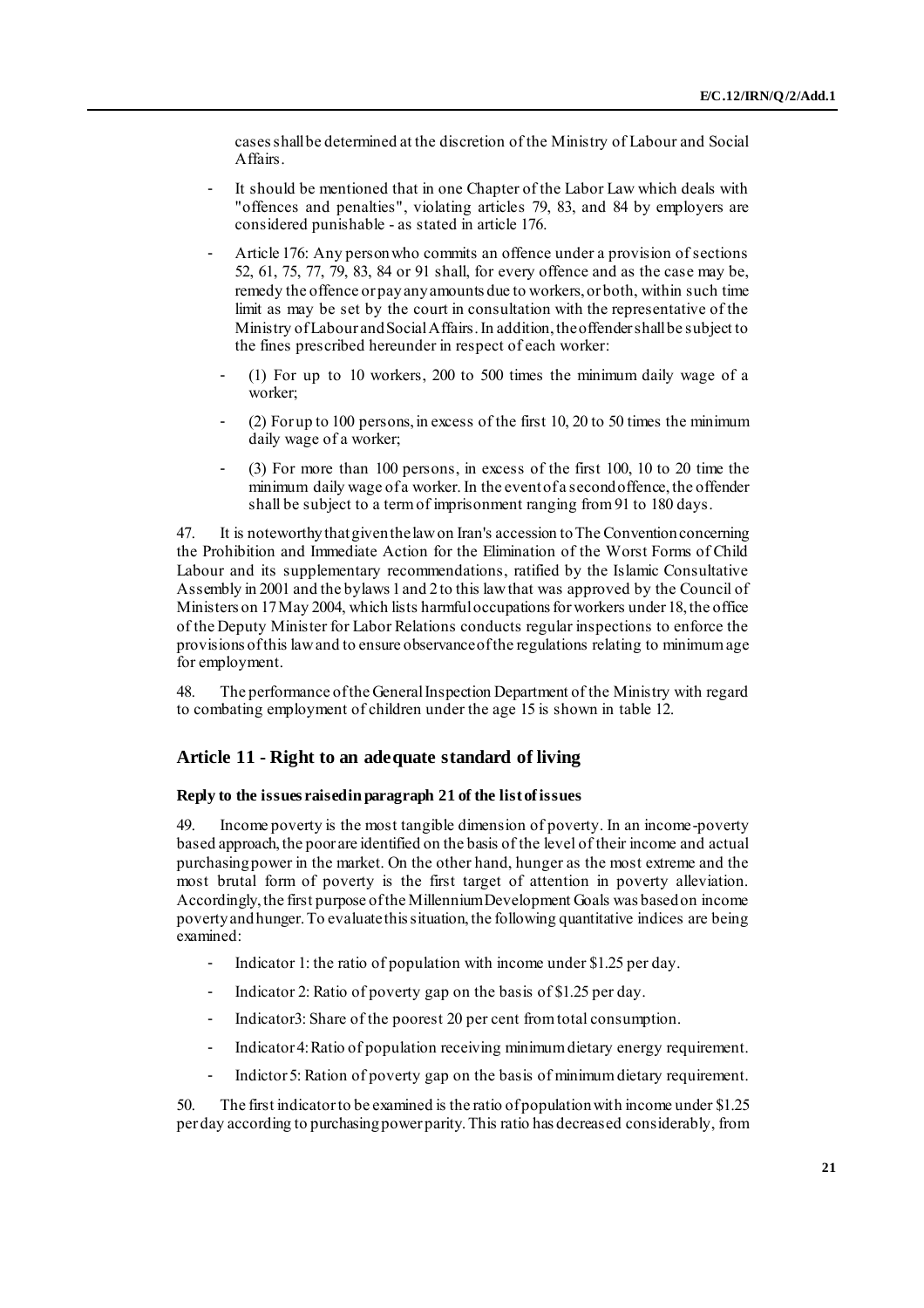cases shall be determined at the discretion of the Ministry of Labour and Social Affairs.

- It should be mentioned that in one Chapter of the Labor Law which deals with "offences and penalties", violating articles 79, 83, and 84 by employers are considered punishable - as stated in article 176.
- Article 176: Any person who commits an offence under a provision of sections 52, 61, 75, 77, 79, 83, 84 or 91 shall, for every offence and as the case may be, remedy the offence or pay any amounts due to workers, or both, within such time limit as may be set by the court in consultation with the representative of the Ministry of Labour and Social Affairs. In addition, the offender shall be subject to the fines prescribed hereunder in respect of each worker:
	- $(1)$  For up to 10 workers, 200 to 500 times the minimum daily wage of a worker;
	- $(2)$  For up to 100 persons, in excess of the first 10, 20 to 50 times the minimum daily wage of a worker;
	- (3) For more than 100 persons, in excess of the first 100, 10 to 20 time the minimum daily wage of a worker. In the event of a second offence, the offender shall be subject to a term of imprisonment ranging from 91 to 180 days.

47. It is noteworthy that given the law on Iran's accession to The Convention concerning the Prohibition and Immediate Action for the Elimination of the Worst Forms of Child Labour and its supplementary recommendations, ratified by the Islamic Consultative Assembly in 2001 and the bylaws 1 and 2 to this law that was approved by the Council of Ministers on 17 May 2004, which lists harmful occupations for workers under 18, the office of the Deputy Minister for Labor Relations conducts regular inspections to enforce the provisions of this law and to ensure observance of the regulations relating to minimum age for employment.

48. The performance of the General Inspection Department of the Ministry with regard to combating employment of children under the age 15 is shown in table 12.

#### **Article 11 - Right to an adequate standard of living**

#### **Reply to the issues raised in paragraph 21 of the list of issues**

49. Income poverty is the most tangible dimension of poverty. In an income-poverty based approach, the poor are identified on the basis of the level of their income and actual purchasing power in the market. On the other hand, hunger as the most extreme and the most brutal form of poverty is the first target of attention in poverty alleviation. Accordingly, the first purpose of the Millennium Development Goals was based on income poverty and hunger. To evaluate this situation, the following quantitative indices are being examined:

- Indicator 1: the ratio of population with income under \$1.25 per day.
- Indicator 2: Ratio of poverty gap on the basis of \$1.25 per day.
- Indicator3: Share of the poorest 20 per cent from total consumption.
- Indicator 4: Ratio of population receiving minimum dietary energy requirement.
- Indictor 5: Ration of poverty gap on the basis of minimum dietary requirement.

50. The first indicator to be examined is the ratio of population with income under \$1.25 per day according to purchasing power parity. This ratio has decreased considerably, from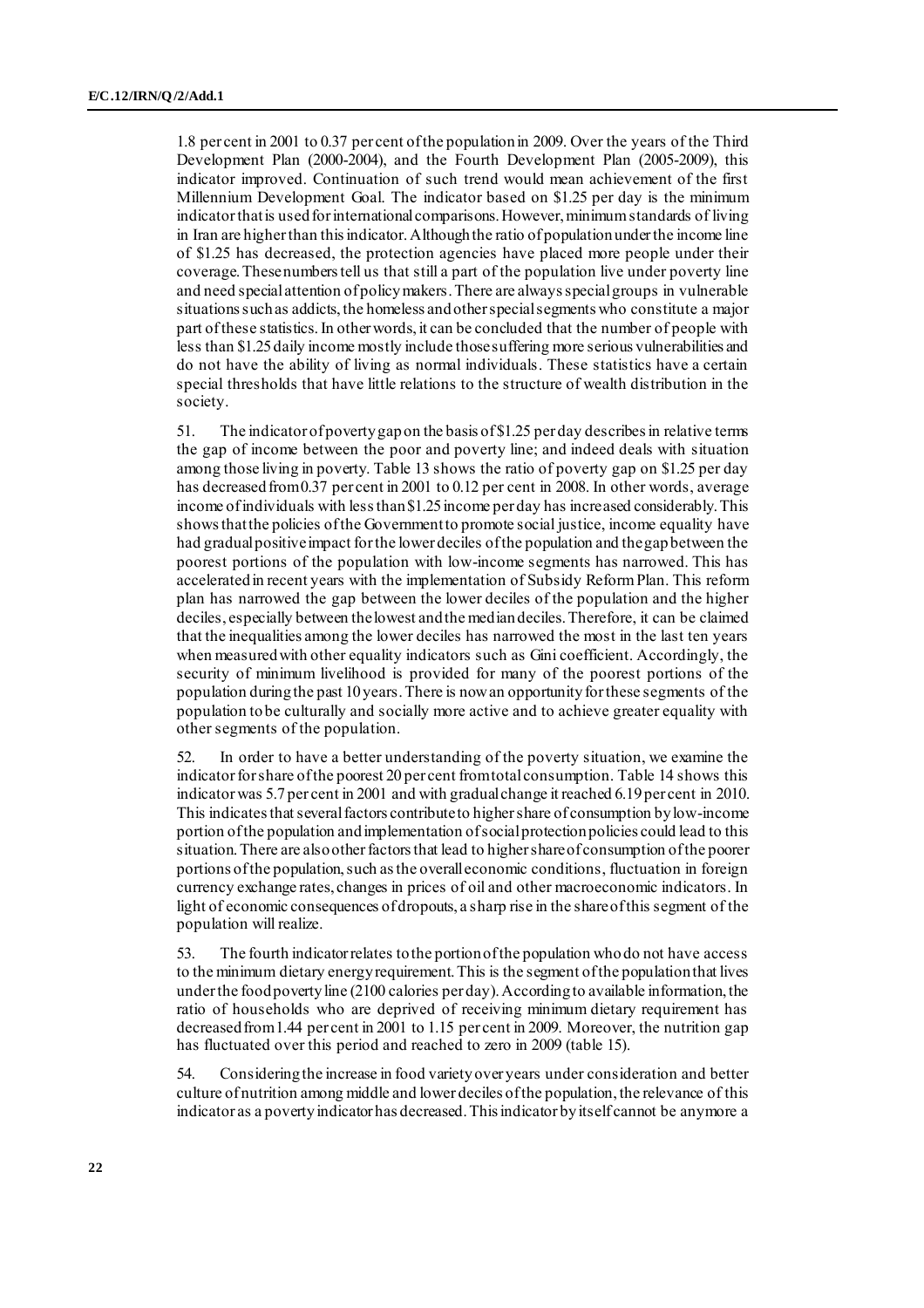1.8 per cent in 2001 to 0.37 per cent of the population in 2009. Over the years of the Third Development Plan (2000-2004), and the Fourth Development Plan (2005-2009), this indicator improved. Continuation of such trend would mean achievement of the first Millennium Development Goal. The indicator based on \$1.25 per day is the minimum indicator that is used for international comparisons. However, minimum standards of living in Iran are higher than this indicator. Although the ratio of population under the income line of \$1.25 has decreased, the protection agencies have placed more people under their coverage. These numbers tell us that still a part of the population live under poverty line and need special attention of policy makers. There are always special groups in vulnerable situations such as addicts, the homeless and other special segments who constitute a major part of these statistics.In other words, it can be concluded that the number of people with less than \$1.25 daily income mostly include those suffering more serious vulnerabilities and do not have the ability of living as normal individuals. These statistics have a certain special thresholds that have little relations to the structure of wealth distribution in the society.

51. The indicator of poverty gap on the basis of \$1.25 per day describes in relative terms the gap of income between the poor and poverty line; and indeed deals with situation among those living in poverty. Table 13 shows the ratio of poverty gap on \$1.25 per day has decreased from 0.37 per cent in 2001 to 0.12 per cent in 2008. In other words, average income of individuals with less than \$1.25 income per day has increased considerably. This shows that the policies of the Government to promote social justice, income equality have had gradual positive impact for the lower deciles of the population and the gap between the poorest portions of the population with low-income segments has narrowed. This has accelerated in recent years with the implementation of Subsidy Reform Plan. This reform plan has narrowed the gap between the lower deciles of the population and the higher deciles, especially between the lowest and the median deciles. Therefore, it can be claimed that the inequalities among the lower deciles has narrowed the most in the last ten years when measured with other equality indicators such as Gini coefficient. Accordingly, the security of minimum livelihood is provided for many of the poorest portions of the population during the past 10 years. There is now an opportunity for these segments of the population to be culturally and socially more active and to achieve greater equality with other segments of the population.

52. In order to have a better understanding of the poverty situation, we examine the indicator for share of the poorest 20 per cent from total consumption. Table 14 shows this indicator was 5.7 per cent in 2001 and with gradual change it reached 6.19per cent in 2010. This indicates that several factors contribute to higher share of consumption by low-income portion of the population and implementation of social protection policies could lead to this situation. There are also other factors that lead to higher share of consumption of the poorer portions of the population, such as the overall economic conditions, fluctuation in foreign currency exchange rates, changes in prices of oil and other macroeconomic indicators. In light of economic consequences of dropouts, a sharp rise in the share of this segment of the population will realize.

53. The fourth indicator relates to the portion of the population who do not have access to the minimum dietary energy requirement. This is the segment of the population that lives under the food poverty line (2100 calories per day). According to available information, the ratio of households who are deprived of receiving minimum dietary requirement has decreased from 1.44 per cent in 2001 to 1.15 per cent in 2009. Moreover, the nutrition gap has fluctuated over this period and reached to zero in 2009 (table 15).

54. Considering the increase in food variety over years under consideration and better culture of nutrition among middle and lower deciles of the population, the relevance of this indicator as a poverty indicator has decreased. This indicator by itself cannot be anymore a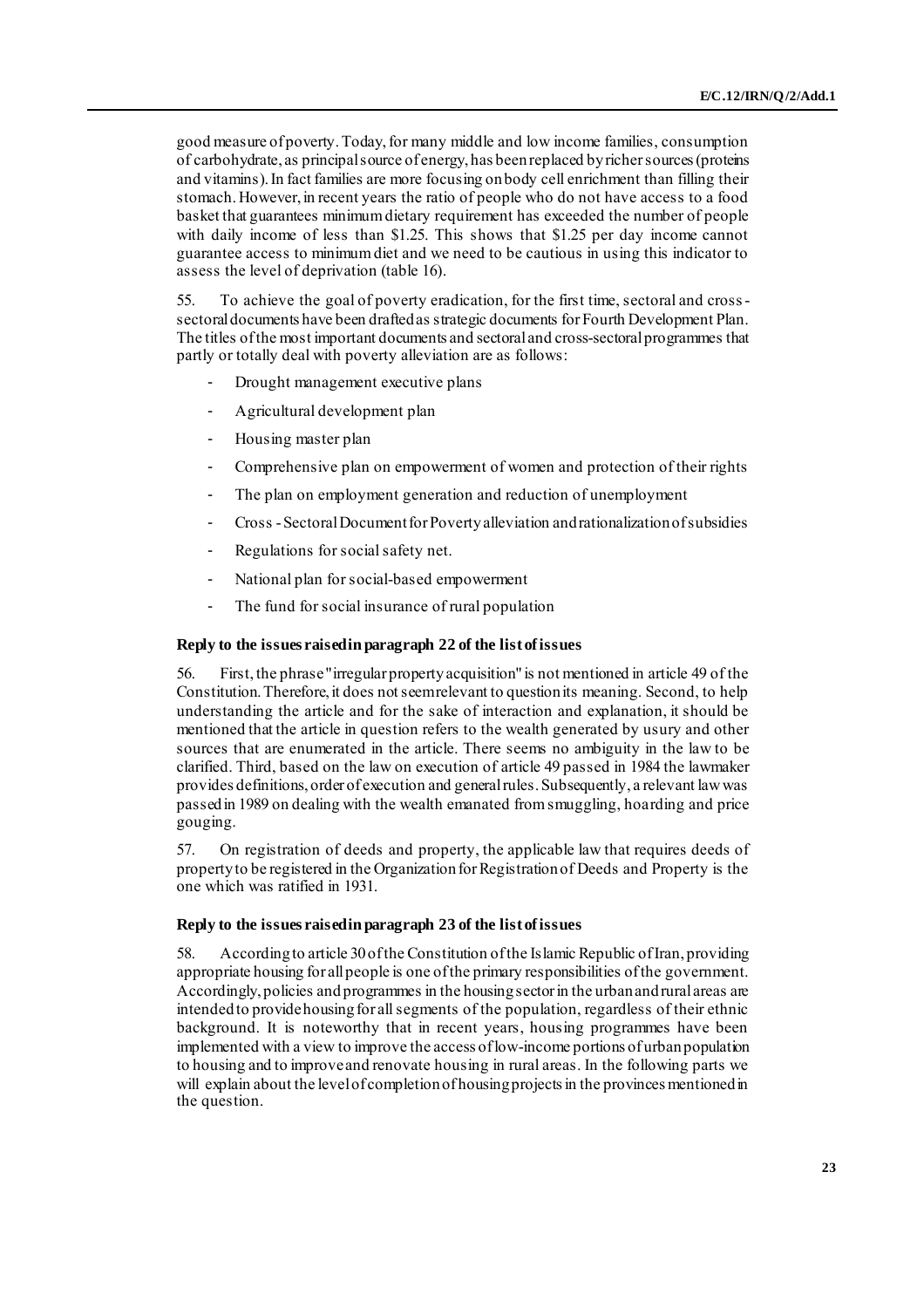good measure of poverty. Today, for many middle and low income families, consumption of carbohydrate, as principal source of energy, has been replaced by richer sources (proteins and vitamins). In fact families are more focusing on body cell enrichment than filling their stomach. However, in recent years the ratio of people who do not have access to a food basket that guarantees minimum dietary requirement has exceeded the number of people with daily income of less than \$1.25. This shows that \$1.25 per day income cannot guarantee access to minimum diet and we need to be cautious in using this indicator to assess the level of deprivation (table 16).

55. To achieve the goal of poverty eradication, for the first time, sectoral and crosssectoral documents have been drafted as strategic documents for Fourth Development Plan. The titles of the most important documents and sectoral and cross-sectoral programmes that partly or totally deal with poverty alleviation are as follows:

- Drought management executive plans
- Agricultural development plan
- Housing master plan
- Comprehensive plan on empowerment of women and protection of their rights
- The plan on employment generation and reduction of unemployment
- Cross -Sectoral Document for Poverty alleviation and rationalization of subsidies
- Regulations for social safety net.
- National plan for social-based empowerment
- The fund for social insurance of rural population

### **Reply to the issues raised in paragraph 22 of the list of issues**

56. First, the phrase "irregular property acquisition" is not mentioned in article 49 of the Constitution. Therefore, it does not seem relevant to question its meaning. Second, to help understanding the article and for the sake of interaction and explanation, it should be mentioned that the article in question refers to the wealth generated by usury and other sources that are enumerated in the article. There seems no ambiguity in the law to be clarified. Third, based on the law on execution of article 49 passed in 1984 the lawmaker provides definitions, order of execution and general rules. Subsequently, a relevant law was passed in 1989 on dealing with the wealth emanated from smuggling, hoarding and price gouging.

57. On registration of deeds and property, the applicable law that requires deeds of property to be registered in the Organization for Registration of Deeds and Property is the one which was ratified in 1931.

### **Reply to the issues raised in paragraph 23 of the list of issues**

58. According to article 30 of the Constitution of the Islamic Republic of Iran, providing appropriate housing for all people is one of the primary responsibilities of the government. Accordingly, policies and programmes in the housing sector in the urban and rural areas are intended to provide housing for all segments of the population, regardless of their ethnic background. It is noteworthy that in recent years, housing programmes have been implemented with a view to improve the access of low-income portions of urban population to housing and to improve and renovate housing in rural areas. In the following parts we will explain about the level of completion of housing projects in the provinces mentioned in the question.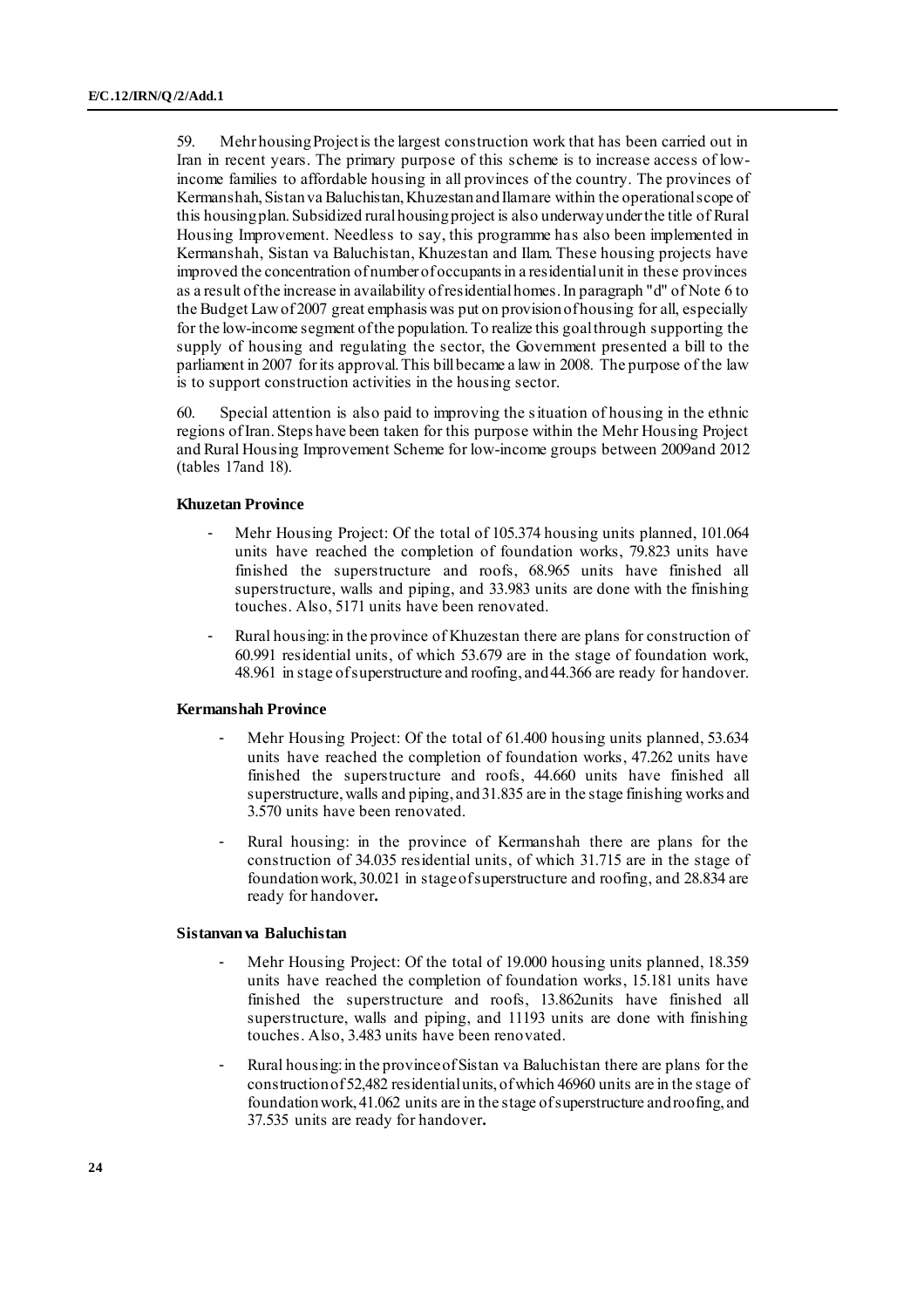59. Mehr housing Project is the largest construction work that has been carried out in Iran in recent years. The primary purpose of this scheme is to increase access of lowincome families to affordable housing in all provinces of the country. The provinces of Kermanshah, Sistan va Baluchistan, Khuzestan and Ilam are within the operational scope of this housing plan. Subsidized rural housing project is also underway under the title of Rural Housing Improvement. Needless to say, this programme has also been implemented in Kermanshah, Sistan va Baluchistan, Khuzestan and Ilam. These housing projects have improved the concentration of number of occupants in a residential unit in these provinces as a result of the increase in availability of residential homes. In paragraph "d" of Note 6 to the Budget Law of 2007 great emphasis was put on provision of housing for all, especially for the low-income segment of the population. To realize this goal through supporting the supply of housing and regulating the sector, the Government presented a bill to the parliament in 2007 for its approval. This bill became a law in 2008. The purpose of the law is to support construction activities in the housing sector.

60. Special attention is also paid to improving the situation of housing in the ethnic regions of Iran. Steps have been taken for this purpose within the Mehr Housing Project and Rural Housing Improvement Scheme for low-income groups between 2009and 2012 (tables 17and 18).

#### **Khuzetan Province**

- Mehr Housing Project: Of the total of 105.374 housing units planned, 101.064 units have reached the completion of foundation works, 79.823 units have finished the superstructure and roofs, 68.965 units have finished all superstructure, walls and piping, and 33.983 units are done with the finishing touches. Also, 5171 units have been renovated.
- Rural housing: in the province of Khuzestan there are plans for construction of 60.991 residential units, of which 53.679 are in the stage of foundation work, 48.961 in stage of superstructure and roofing, and 44.366 are ready for handover.

#### **Kermanshah Province**

- Mehr Housing Project: Of the total of 61.400 housing units planned, 53.634 units have reached the completion of foundation works, 47.262 units have finished the superstructure and roofs, 44.660 units have finished all superstructure, walls and piping, and 31.835 are in the stage finishing works and 3.570 units have been renovated.
- Rural housing: in the province of Kermanshah there are plans for the construction of 34.035 residential units, of which 31.715 are in the stage of foundation work, 30.021 in stage of superstructure and roofing, and 28.834 are ready for handover**.**

#### **Sistanvan va Baluchistan**

- Mehr Housing Project: Of the total of 19.000 housing units planned, 18.359 units have reached the completion of foundation works, 15.181 units have finished the superstructure and roofs, 13.862units have finished all superstructure, walls and piping, and 11193 units are done with finishing touches. Also, 3.483 units have been renovated.
- Rural housing: in the province of Sistan va Baluchistan there are plans for the construction of 52,482 residential units, of which 46960 units are in the stage of foundation work, 41.062 units are in the stage of superstructure and roofing, and 37.535 units are ready for handover**.**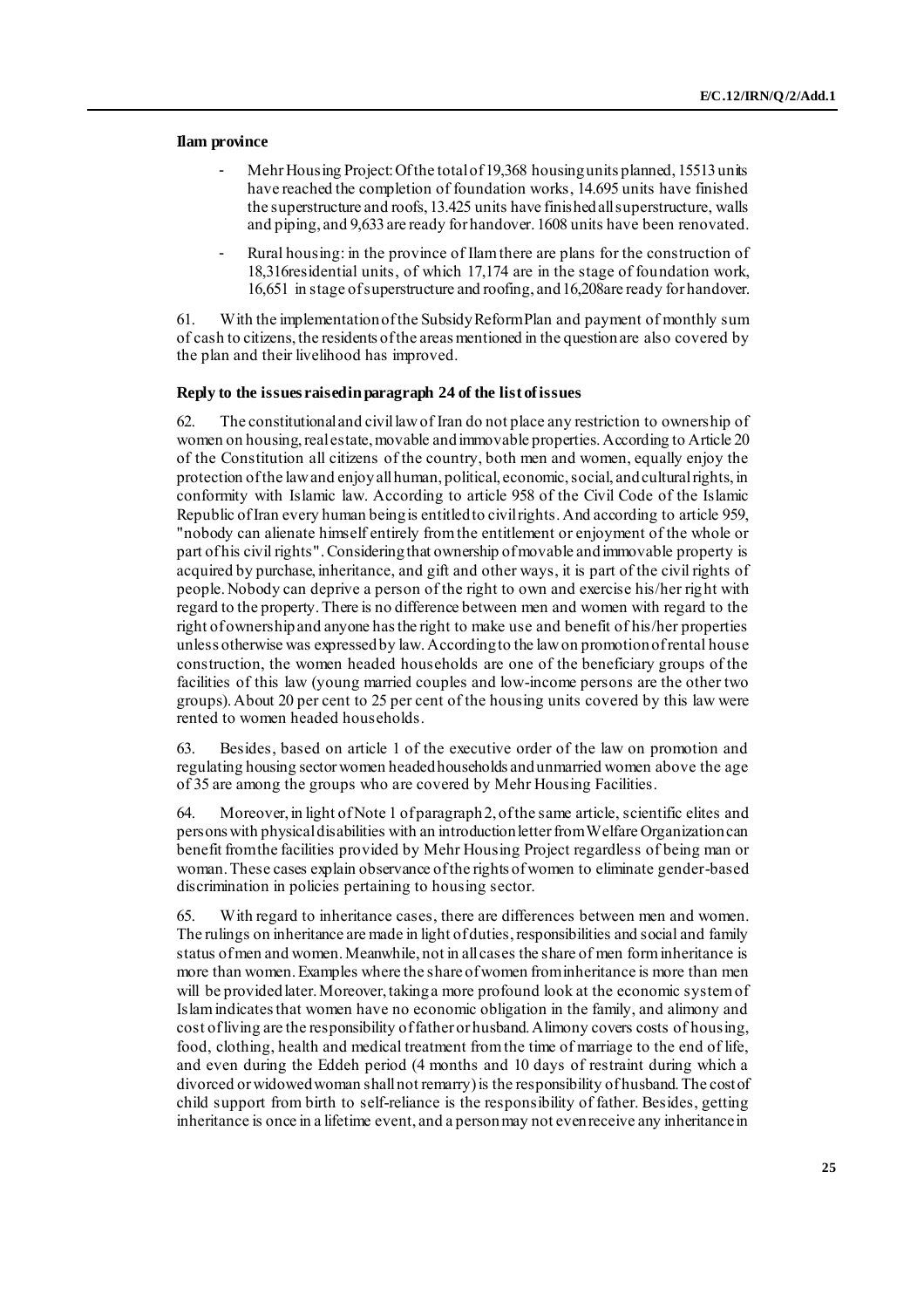#### **Ilam province**

- Mehr Housing Project: Of the total of 19,368 housing units planned, 15513 units have reached the completion of foundation works, 14.695 units have finished the superstructure and roofs, 13.425 units have finished all superstructure, walls and piping, and 9,633 are ready for handover. 1608 units have been renovated.
- Rural housing: in the province of Ilam there are plans for the construction of 18,316residential units, of which 17,174 are in the stage of foundation work, 16,651 in stage of superstructure and roofing, and 16,208are ready for handover.

61. With the implementation of the Subsidy Reform Plan and payment of monthly sum of cash to citizens, the residents of the areas mentioned in the question are also covered by the plan and their livelihood has improved.

#### **Reply to the issues raised in paragraph 24 of the list of issues**

62. The constitutional and civil law of Iran do not place any restriction to ownership of women on housing, real estate, movable and immovable properties. According to Article 20 of the Constitution all citizens of the country, both men and women, equally enjoy the protection of the law and enjoy all human, political, economic, social, and cultural rights, in conformity with Islamic law. According to article 958 of the Civil Code of the Islamic Republic of Iran every human being is entitled to civil rights. And according to article 959, "nobody can alienate himself entirely from the entitlement or enjoyment of the whole or part of his civil rights".Considering that ownership of movable and immovable property is acquired by purchase, inheritance, and gift and other ways, it is part of the civil rights of people. Nobody can deprive a person of the right to own and exercise his/her right with regard to the property. There is no difference between men and women with regard to the right of ownership and anyone has the right to make use and benefit of his/her properties unless otherwise was expressed by law. According to the law on promotion of rental house construction, the women headed households are one of the beneficiary groups of the facilities of this law (young married couples and low-income persons are the other two groups).About 20 per cent to 25 per cent of the housing units covered by this law were rented to women headed households.

63. Besides, based on article 1 of the executive order of the law on promotion and regulating housing sector women headed households and unmarried women above the age of 35 are among the groups who are covered by Mehr Housing Facilities.

64. Moreover, in light of Note 1 of paragraph 2, of the same article, scientific elites and persons with physical disabilities with an introduction letter from Welfare Organization can benefit from the facilities provided by Mehr Housing Project regardless of being man or woman. These cases explain observance of the rights of women to eliminate gender-based discrimination in policies pertaining to housing sector.

65. With regard to inheritance cases, there are differences between men and women. The rulings on inheritance are made in light of duties, responsibilities and social and family status of men and women. Meanwhile, not in all cases the share of men form inheritance is more than women. Examples where the share of women from inheritance is more than men will be provided later. Moreover, taking a more profound look at the economic system of Islam indicates that women have no economic obligation in the family, and alimony and cost of living are the responsibility of father or husband. Alimony covers costs of housing, food, clothing, health and medical treatment from the time of marriage to the end of life, and even during the Eddeh period (4 months and 10 days of restraint during which a divorced or widowed woman shall not remarry) is the responsibility of husband. The cost of child support from birth to self-reliance is the responsibility of father. Besides, getting inheritance is once in a lifetime event, and a person may not even receive any inheritance in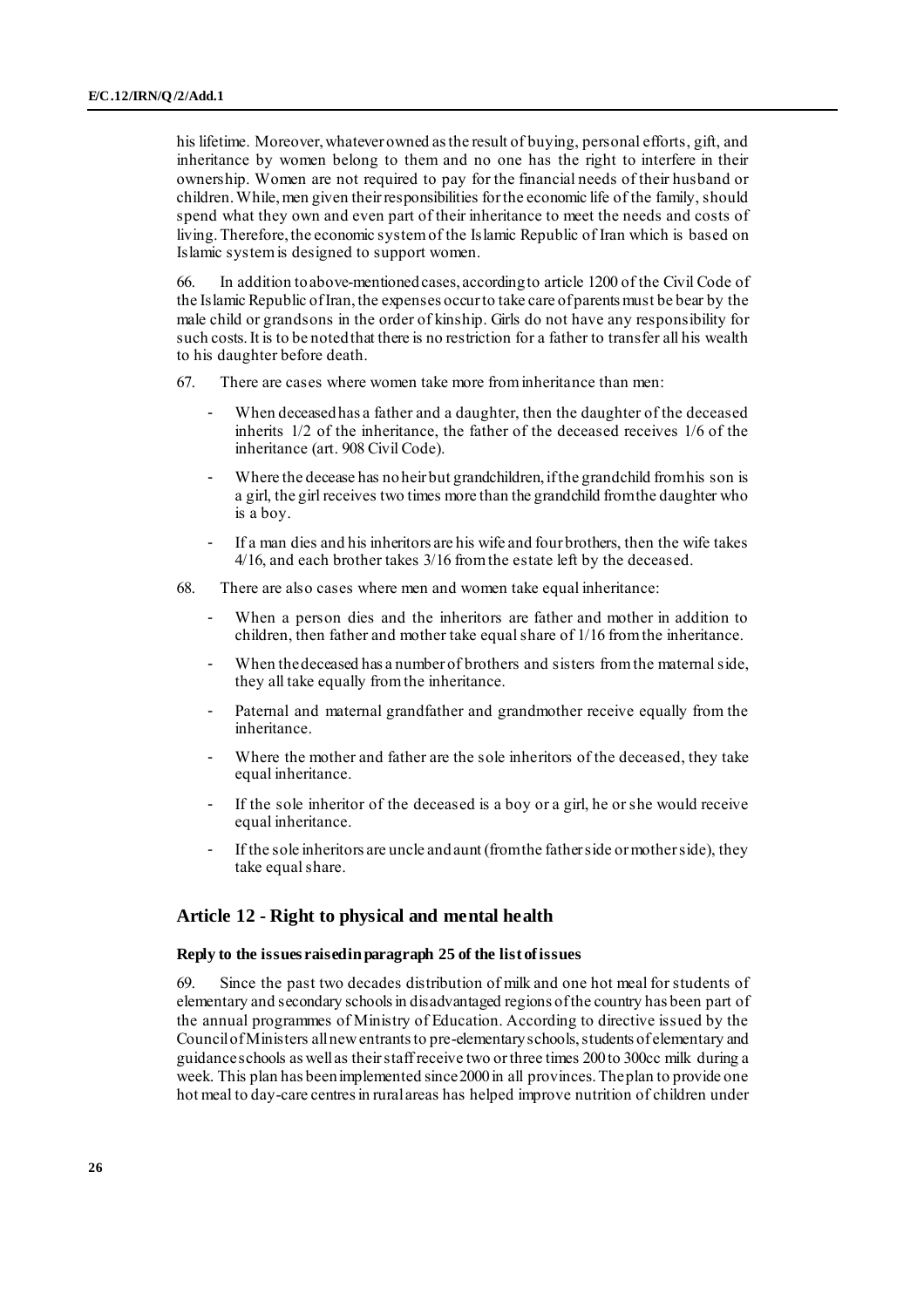his lifetime. Moreover, whatever owned as the result of buying, personal efforts, gift, and inheritance by women belong to them and no one has the right to interfere in their ownership. Women are not required to pay for the financial needs of their husband or children. While, men given their responsibilities for the economic life of the family, should spend what they own and even part of their inheritance to meet the needs and costs of living. Therefore, the economic system of the Islamic Republic of Iran which is based on Islamic system is designed to support women.

66. In addition to above-mentioned cases, according to article 1200 of the Civil Code of the Islamic Republic of Iran, the expenses occur to take care of parents must be bear by the male child or grandsons in the order of kinship. Girls do not have any responsibility for such costs.It is to be noted that there is no restriction for a father to transfer all his wealth to his daughter before death.

- 67. There are cases where women take more from inheritance than men:
	- When deceased has a father and a daughter, then the daughter of the deceased inherits 1/2 of the inheritance, the father of the deceased receives 1/6 of the inheritance (art. 908 Civil Code).
	- Where the decease has no heir but grandchildren, if the grandchild from his son is a girl, the girl receives two times more than the grandchild from the daughter who is a boy.
	- If a man dies and his inheritors are his wife and four brothers, then the wife takes 4/16, and each brother takes 3/16 from the estate left by the deceased.
- 68. There are also cases where men and women take equal inheritance:
	- When a person dies and the inheritors are father and mother in addition to children, then father and mother take equal share of 1/16 from the inheritance.
	- When the deceased has a number of brothers and sisters from the maternal side, they all take equally from the inheritance.
	- Paternal and maternal grandfather and grandmother receive equally from the inheritance.
	- Where the mother and father are the sole inheritors of the deceased, they take equal inheritance.
	- If the sole inheritor of the deceased is a boy or a girl, he or she would receive equal inheritance.
	- If the sole inheritors are uncle and aunt (from the father side or mother side), they take equal share.

### **Article 12 - Right to physical and mental health**

### **Reply to the issues raised in paragraph 25 of the list of issues**

69. Since the past two decades distribution of milk and one hot meal for students of elementary and secondary schools in disadvantaged regions of the country has been part of the annual programmes of Ministry of Education. According to directive issued by the Council of Ministers all new entrants to pre-elementary schools, students of elementary and guidance schools as well as their staffreceive two or three times 200 to 300cc milk during a week. This plan has been implemented since 2000 in all provinces. The plan to provide one hot meal to day-care centres in rural areas has helped improve nutrition of children under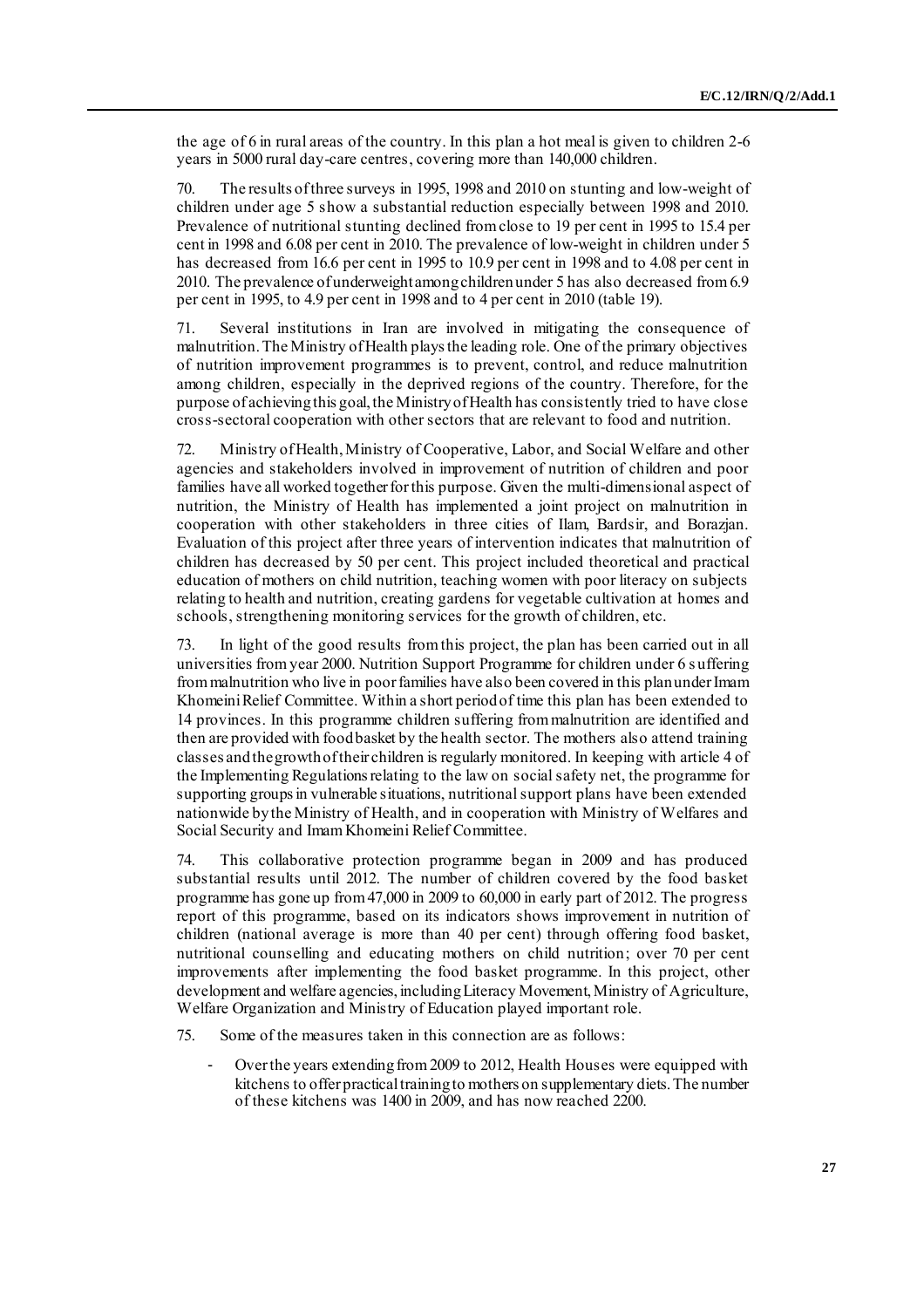the age of 6 in rural areas of the country. In this plan a hot meal is given to children 2-6 years in 5000 rural day-care centres, covering more than 140,000 children.

70. The results of three surveys in 1995, 1998 and 2010 on stunting and low-weight of children under age 5 show a substantial reduction especially between 1998 and 2010. Prevalence of nutritional stunting declined from close to 19 per cent in 1995 to 15.4 per cent in 1998 and 6.08 per cent in 2010. The prevalence of low-weight in children under 5 has decreased from 16.6 per cent in 1995 to 10.9 per cent in 1998 and to 4.08 per cent in 2010. The prevalence of underweight among children under 5 has also decreased from 6.9 per cent in 1995, to 4.9 per cent in 1998 and to 4 per cent in 2010 (table 19).

71. Several institutions in Iran are involved in mitigating the consequence of malnutrition. The Ministry of Health plays the leading role. One of the primary objectives of nutrition improvement programmes is to prevent, control, and reduce malnutrition among children, especially in the deprived regions of the country. Therefore, for the purpose of achieving this goal, the Ministry of Health has consistently tried to have close cross-sectoral cooperation with other sectors that are relevant to food and nutrition.

72. Ministry of Health, Ministry of Cooperative, Labor, and Social Welfare and other agencies and stakeholders involved in improvement of nutrition of children and poor families have all worked together for this purpose. Given the multi-dimensional aspect of nutrition, the Ministry of Health has implemented a joint project on malnutrition in cooperation with other stakeholders in three cities of Ilam, Bardsir, and Borazjan. Evaluation of this project after three years of intervention indicates that malnutrition of children has decreased by 50 per cent. This project included theoretical and practical education of mothers on child nutrition, teaching women with poor literacy on subjects relating to health and nutrition, creating gardens for vegetable cultivation at homes and schools, strengthening monitoring services for the growth of children, etc.

73. In light of the good results from this project, the plan has been carried out in all universities from year 2000. Nutrition Support Programme for children under 6 s uffering from malnutrition who live in poor families have also been covered in this plan under Imam Khomeini Relief Committee. Within a short period of time this plan has been extended to 14 provinces. In this programme children suffering from malnutrition are identified and then are provided with food basket by the health sector. The mothers also attend training classes and the growth of their children is regularly monitored. In keeping with article 4 of the Implementing Regulations relating to the law on social safety net, the programme for supporting groups in vulnerable situations, nutritional support plans have been extended nationwide by the Ministry of Health, and in cooperation with Ministry of Welfares and Social Security and Imam Khomeini Relief Committee.

74. This collaborative protection programme began in 2009 and has produced substantial results until 2012. The number of children covered by the food basket programme has gone up from 47,000 in 2009 to 60,000 in early part of 2012. The progress report of this programme, based on its indicators shows improvement in nutrition of children (national average is more than 40 per cent) through offering food basket, nutritional counselling and educating mothers on child nutrition; over 70 per cent improvements after implementing the food basket programme. In this project, other development and welfare agencies, including Literacy Movement, Ministry of Agriculture, Welfare Organization and Ministry of Education played important role.

75. Some of the measures taken in this connection are as follows:

Over the years extending from 2009 to 2012, Health Houses were equipped with kitchens to offer practical training to mothers on supplementary diets. The number of these kitchens was 1400 in 2009, and has now reached 2200.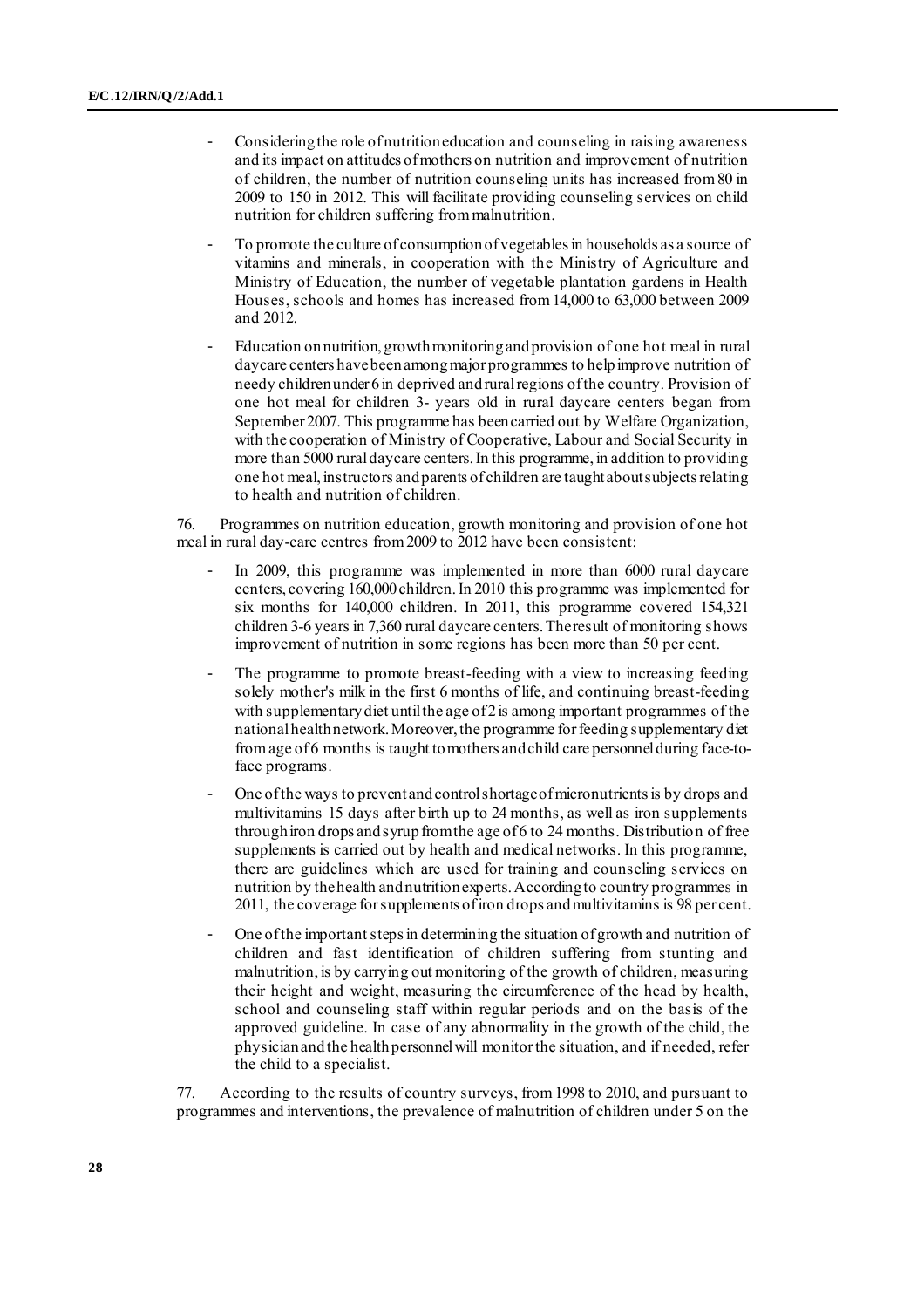- Considering the role of nutrition education and counseling in raising awareness and its impact on attitudes of mothers on nutrition and improvement of nutrition of children, the number of nutrition counseling units has increased from 80 in 2009 to 150 in 2012. This will facilitate providing counseling services on child nutrition for children suffering from malnutrition.
- To promote the culture of consumption of vegetables in households as a source of vitamins and minerals, in cooperation with the Ministry of Agriculture and Ministry of Education, the number of vegetable plantation gardens in Health Houses, schools and homes has increased from 14,000 to 63,000 between 2009 and 2012.
- Education on nutrition, growth monitoring and provision of one hot meal in rural daycare centers have been among major programmes to help improve nutrition of needy children under 6 in deprived and rural regions of the country. Provision of one hot meal for children 3- years old in rural daycare centers began from September 2007. This programme has been carried out by Welfare Organization, with the cooperation of Ministry of Cooperative, Labour and Social Security in more than 5000 rural daycare centers. In this programme, in addition to providing one hot meal, instructors and parents of children are taught about subjects relating to health and nutrition of children.

76. Programmes on nutrition education, growth monitoring and provision of one hot meal in rural day-care centres from 2009 to 2012 have been consistent:

- In 2009, this programme was implemented in more than 6000 rural daycare centers, covering 160,000 children. In 2010 this programme was implemented for six months for 140,000 children. In 2011, this programme covered 154,321 children 3-6 years in 7,360 rural daycare centers. The result of monitoring shows improvement of nutrition in some regions has been more than 50 per cent.
- The programme to promote breast-feeding with a view to increasing feeding solely mother's milk in the first 6 months of life, and continuing breast-feeding with supplementary diet until the age of 2 is among important programmes of the national health network. Moreover, the programme for feeding supplementary diet from age of 6 months is taught to mothers and child care personnel during face-toface programs.
- One of the ways to prevent and control shortage of micronutrients is by drops and multivitamins 15 days after birth up to 24 months, as well as iron supplements through iron drops and syrup from the age of 6 to 24 months. Distribution of free supplements is carried out by health and medical networks. In this programme, there are guidelines which are used for training and counseling services on nutrition by the health and nutrition experts. According to country programmes in 2011, the coverage for supplements of iron drops and multivitamins is 98 per cent.
- One of the important steps in determining the situation of growth and nutrition of children and fast identification of children suffering from stunting and malnutrition, is by carrying out monitoring of the growth of children, measuring their height and weight, measuring the circumference of the head by health, school and counseling staff within regular periods and on the basis of the approved guideline. In case of any abnormality in the growth of the child, the physician and the health personnel will monitor the situation, and if needed, refer the child to a specialist.

77. According to the results of country surveys, from 1998 to 2010, and pursuant to programmes and interventions, the prevalence of malnutrition of children under 5 on the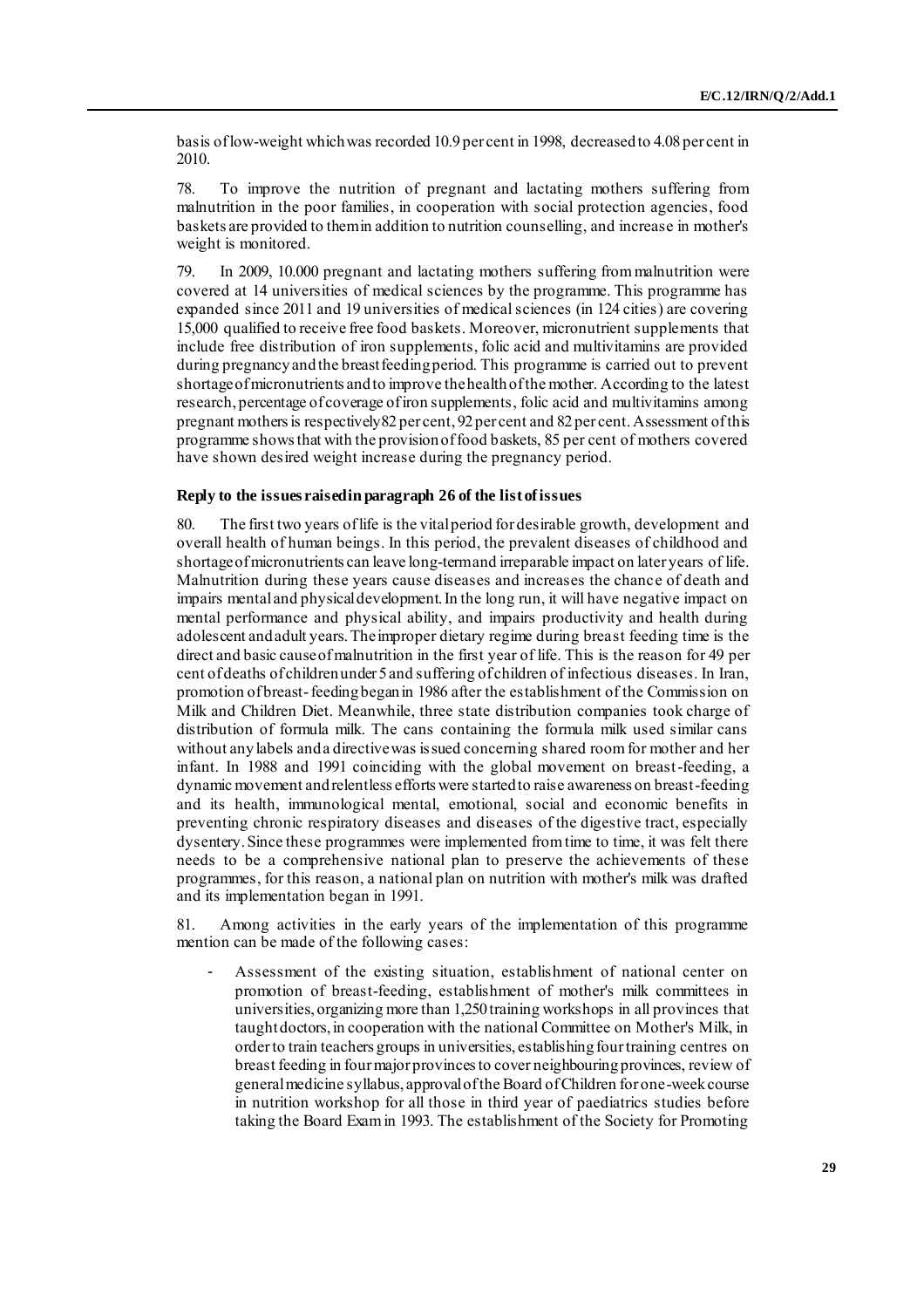basis of low-weight which was recorded 10.9 per cent in 1998, decreased to 4.08 per cent in 2010.

78. To improve the nutrition of pregnant and lactating mothers suffering from malnutrition in the poor families, in cooperation with social protection agencies, food baskets are provided to them in addition to nutrition counselling, and increase in mother's weight is monitored.

79. In 2009, 10.000 pregnant and lactating mothers suffering from malnutrition were covered at 14 universities of medical sciences by the programme. This programme has expanded since 2011 and 19 universities of medical sciences (in 124 cities) are covering 15,000 qualified to receive free food baskets. Moreover, micronutrient supplements that include free distribution of iron supplements, folic acid and multivitamins are provided during pregnancy and the breast feeding period. This programme is carried out to prevent shortage of micronutrients and to improve the health of the mother. According to the latest research, percentage of coverage of iron supplements, folic acid and multivitamins among pregnant mothers is respectively82 per cent, 92per cent and 82per cent. Assessment of this programme shows that with the provision of food baskets, 85 per cent of mothers covered have shown desired weight increase during the pregnancy period.

#### **Reply to the issues raised in paragraph 26 of the list of issues**

80. The first two years of life is the vital period for desirable growth, development and overall health of human beings. In this period, the prevalent diseases of childhood and shortage of micronutrients can leave long-term and irreparable impact on later years of life. Malnutrition during these years cause diseases and increases the chance of death and impairs mental and physical development. In the long run, it will have negative impact on mental performance and physical ability, and impairs productivity and health during adolescent and adult years. The improper dietary regime during breast feeding time is the direct and basic cause of malnutrition in the first year of life. This is the reason for 49 per cent of deaths of children under 5 and suffering of children of infectious diseases. In Iran, promotion of breast-feeding began in 1986 after the establishment of the Commission on Milk and Children Diet. Meanwhile, three state distribution companies took charge of distribution of formula milk. The cans containing the formula milk used similar cans without any labels and a directive was issued concerning shared room for mother and her infant. In 1988 and 1991 coinciding with the global movement on breast-feeding, a dynamic movement and relentless efforts were started to raise awareness on breast-feeding and its health, immunological mental, emotional, social and economic benefits in preventing chronic respiratory diseases and diseases of the digestive tract, especially dysentery. Since these programmes were implemented from time to time, it was felt there needs to be a comprehensive national plan to preserve the achievements of these programmes, for this reason, a national plan on nutrition with mother's milk was drafted and its implementation began in 1991.

81. Among activities in the early years of the implementation of this programme mention can be made of the following cases:

Assessment of the existing situation, establishment of national center on promotion of breast-feeding, establishment of mother's milk committees in universities, organizing more than 1,250 training workshops in all provinces that taught doctors, in cooperation with the national Committee on Mother's Milk, in order to train teachers groups in universities, establishing four training centres on breast feeding in four major provinces to cover neighbouring provinces, review of general medicine syllabus, approval of the Board of Children for one-week course in nutrition workshop for all those in third year of paediatrics studies before taking the Board Exam in 1993. The establishment of the Society for Promoting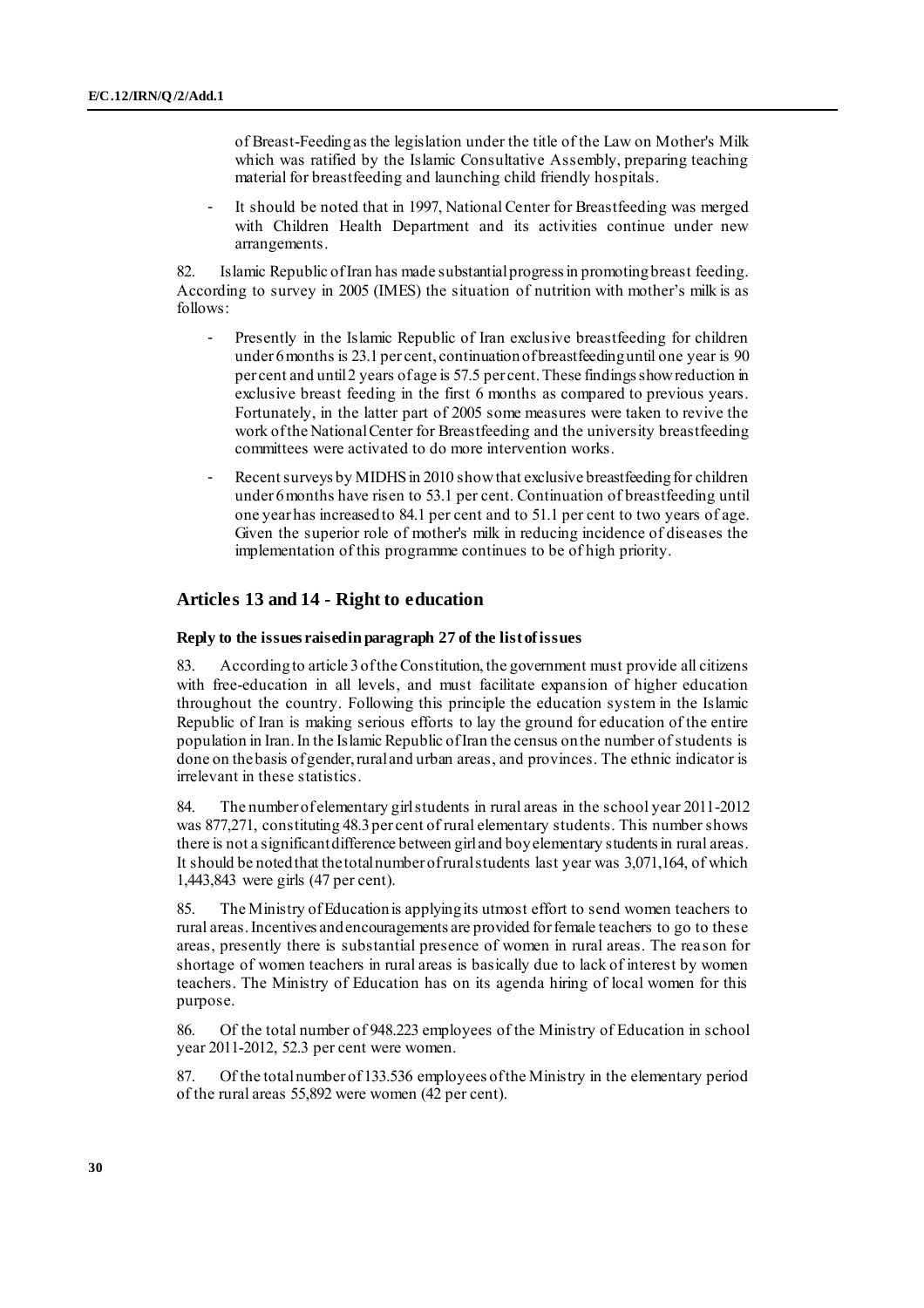of Breast-Feeding as the legislation under the title of the Law on Mother's Milk which was ratified by the Islamic Consultative Assembly, preparing teaching material for breastfeeding and launching child friendly hospitals.

It should be noted that in 1997, National Center for Breastfeeding was merged with Children Health Department and its activities continue under new arrangements.

82. Islamic Republic of Iran has made substantial progress in promoting breast feeding. According to survey in 2005 (IMES) the situation of nutrition with mother's milk is as follows:

- Presently in the Islamic Republic of Iran exclusive breastfeeding for children under 6 months is 23.1 per cent, continuation of breastfeeding until one year is 90 per cent and until 2 years of age is 57.5 per cent. These findings show reduction in exclusive breast feeding in the first 6 months as compared to previous years. Fortunately, in the latter part of 2005 some measures were taken to revive the work of the National Center for Breastfeeding and the university breastfeeding committees were activated to do more intervention works.
- Recent surveys by MIDHS in 2010 show that exclusive breastfeeding for children under 6 months have risen to 53.1 per cent. Continuation of breastfeeding until one year has increased to 84.1 per cent and to 51.1 per cent to two years of age. Given the superior role of mother's milk in reducing incidence of diseases the implementation of this programme continues to be of high priority.

### **Articles 13 and 14 - Right to education**

#### **Reply to the issues raised in paragraph 27 of the list of issues**

83. According to article 3 of the Constitution, the government must provide all citizens with free-education in all levels, and must facilitate expansion of higher education throughout the country. Following this principle the education system in the Islamic Republic of Iran is making serious efforts to lay the ground for education of the entire population in Iran. In the Islamic Republic of Iran the census on the number of students is done on thebasis of gender, rural and urban areas, and provinces. The ethnic indicator is irrelevant in these statistics.

84. The number of elementary girl students in rural areas in the school year 2011-2012 was 877,271, constituting 48.3 per cent of rural elementary students. This number shows there is not a significant difference between girl and boy elementary students in rural areas. It should be noted that the total number of rural students last year was 3,071,164, of which 1,443,843 were girls (47 per cent).

85. The Ministry of Education is applying its utmost effort to send women teachers to rural areas. Incentives and encouragements are provided for female teachers to go to these areas, presently there is substantial presence of women in rural areas. The reason for shortage of women teachers in rural areas is basically due to lack of interest by women teachers. The Ministry of Education has on its agenda hiring of local women for this purpose.

86. Of the total number of 948.223 employees of the Ministry of Education in school year 2011-2012, 52.3 per cent were women.

87. Of the total number of 133.536 employees of the Ministry in the elementary period of the rural areas 55,892 were women (42 per cent).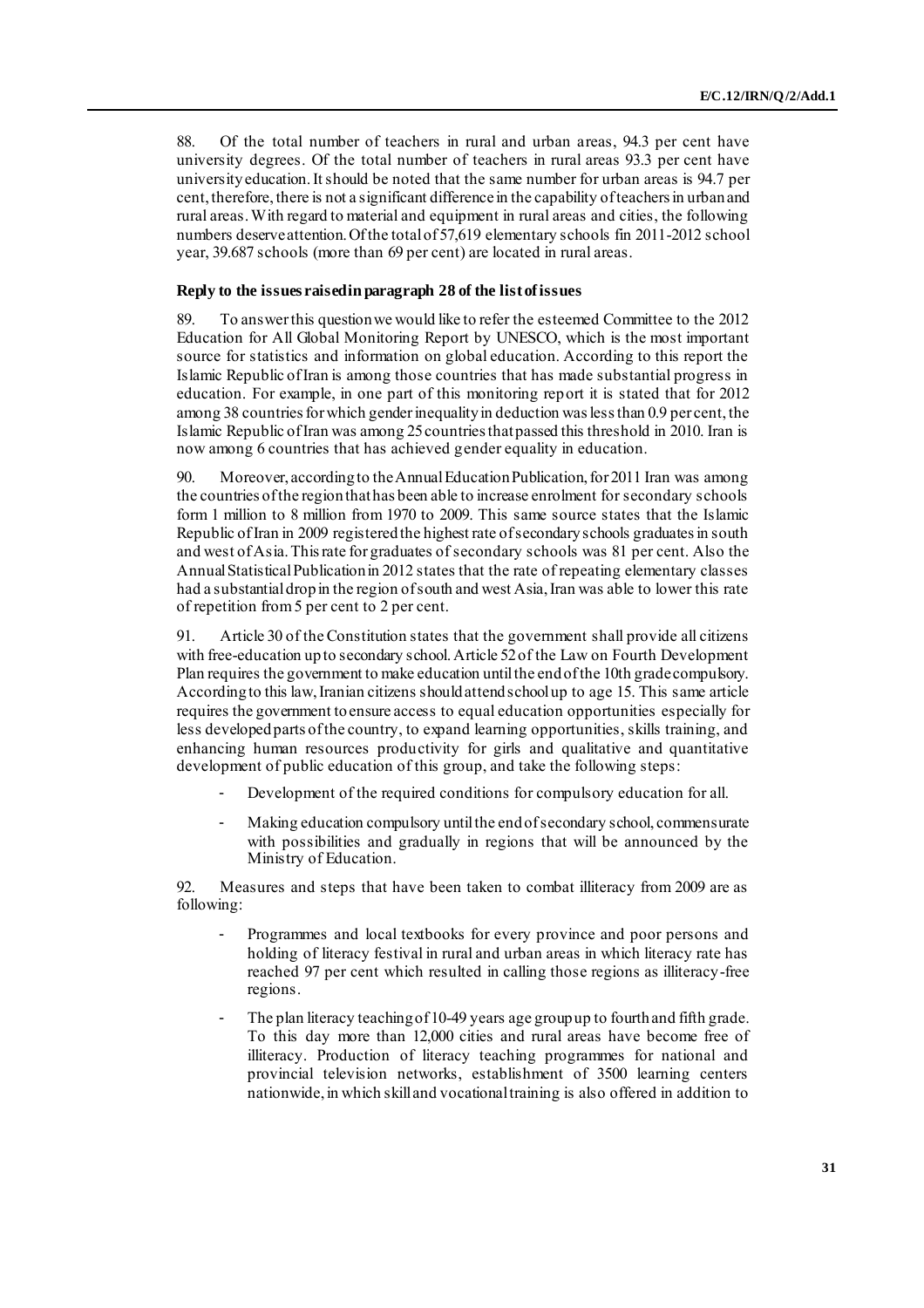88. Of the total number of teachers in rural and urban areas, 94.3 per cent have university degrees. Of the total number of teachers in rural areas 93.3 per cent have university education. It should be noted that the same number for urban areas is 94.7 per cent, therefore, there is not a significant difference in the capability of teachers in urban and rural areas. With regard to material and equipment in rural areas and cities, the following numbers deserve attention. Of the total of 57,619 elementary schools fin 2011-2012 school year, 39.687 schools (more than 69 per cent) are located in rural areas.

### **Reply to the issues raised in paragraph 28 of the list of issues**

89. To answer this question we would like to refer the esteemed Committee to the 2012 Education for All Global Monitoring Report by UNESCO, which is the most important source for statistics and information on global education. According to this report the Islamic Republic of Iran is among those countries that has made substantial progress in education. For example, in one part of this monitoring report it is stated that for 2012 among 38 countries for which gender inequality in deduction was less than 0.9 per cent, the Islamic Republic of Iran was among 25 countries that passed this threshold in 2010. Iran is now among 6 countries that has achieved gender equality in education.

90. Moreover, according to the Annual Education Publication, for 2011 Iran was among the countries of the region that has been able to increase enrolment for secondary schools form 1 million to 8 million from 1970 to 2009. This same source states that the Islamic Republic of Iran in 2009 registered the highest rate of secondary schools graduates in south and west of Asia. This rate for graduates of secondary schools was 81 per cent. Also the Annual Statistical Publication in 2012 states that the rate of repeating elementary classes had a substantial drop in the region of south and west Asia, Iran was able to lower this rate of repetition from 5 per cent to 2 per cent.

91. Article 30 of the Constitution states that the government shall provide all citizens with free-education up to secondary school. Article 52 of the Law on Fourth Development Plan requires the government to make education until the end of the 10th grade compulsory. According to this law, Iranian citizens should attend school up to age 15. This same article requires the government to ensure access to equal education opportunities especially for less developed parts of the country, to expand learning opportunities, skills training, and enhancing human resources productivity for girls and qualitative and quantitative development of public education of this group, and take the following steps:

- Development of the required conditions for compulsory education for all.
- Making education compulsory until the end of secondary school, commensurate with possibilities and gradually in regions that will be announced by the Ministry of Education.

92. Measures and steps that have been taken to combat illiteracy from 2009 are as following:

- Programmes and local textbooks for every province and poor persons and holding of literacy festival in rural and urban areas in which literacy rate has reached 97 per cent which resulted in calling those regions as illiteracy-free regions.
- The plan literacy teaching of 10-49 years age group up to fourth and fifth grade. To this day more than 12,000 cities and rural areas have become free of illiteracy. Production of literacy teaching programmes for national and provincial television networks, establishment of 3500 learning centers nationwide, in which skill and vocational training is also offered in addition to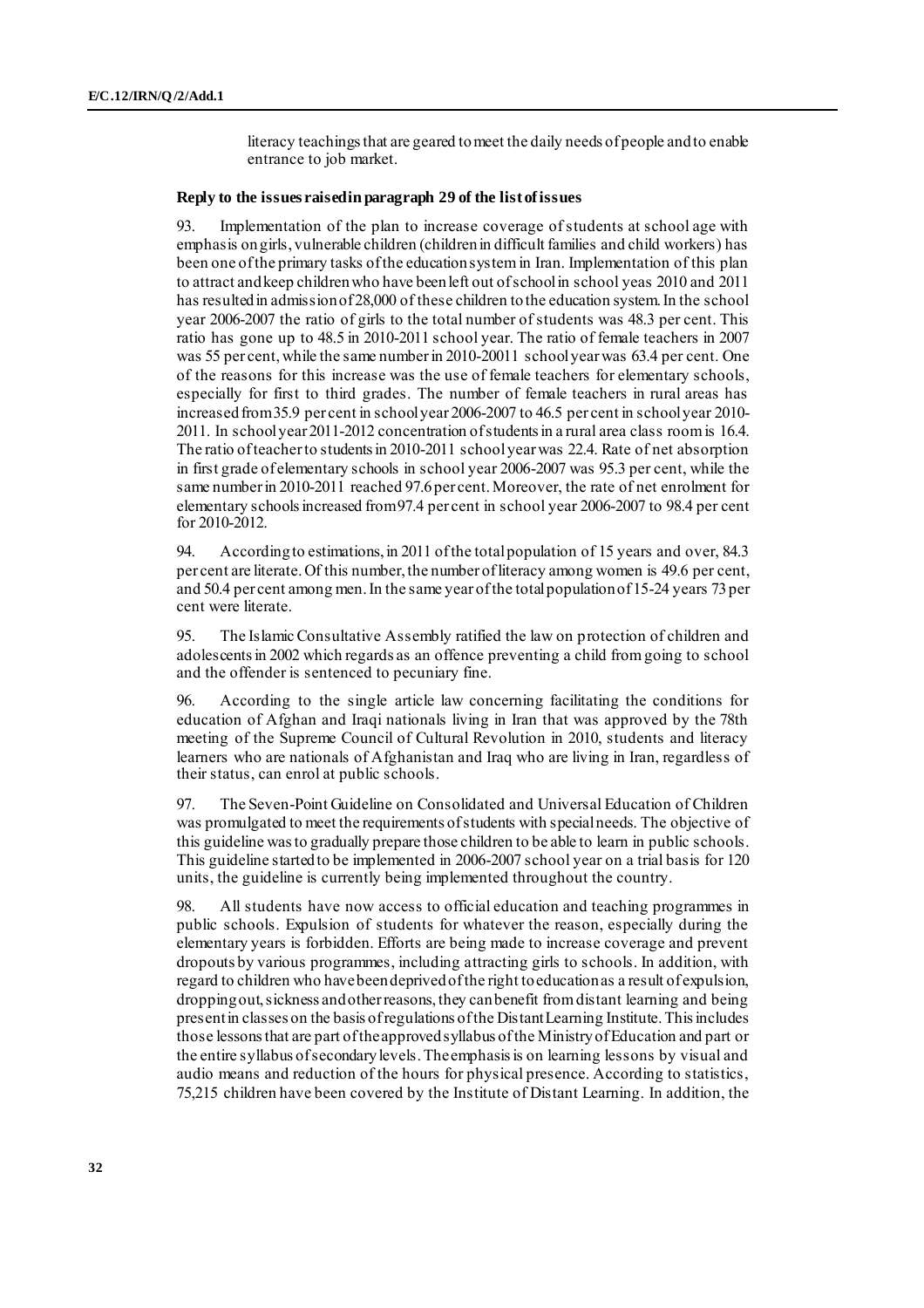literacy teachings that are geared to meet the daily needs of people and to enable entrance to job market.

### **Reply to the issues raised in paragraph 29 of the list of issues**

93. Implementation of the plan to increase coverage of students at school age with emphasis on girls, vulnerable children (children in difficult families and child workers) has been one of the primary tasks of the education system in Iran. Implementation of this plan to attract and keep children who have been left out of school in school yeas 2010 and 2011 has resulted in admission of 28,000 of these children to the education system. In the school year 2006-2007 the ratio of girls to the total number of students was 48.3 per cent. This ratio has gone up to 48.5 in 2010-2011 school year. The ratio of female teachers in 2007 was 55 per cent, while the same number in 2010-20011 school year was 63.4 per cent. One of the reasons for this increase was the use of female teachers for elementary schools, especially for first to third grades. The number of female teachers in rural areas has increased from 35.9 per cent in school year 2006-2007 to 46.5 per cent in school year 2010- 2011. In school year 2011-2012 concentration of students in a rural area class room is 16.4. The ratio of teacher to students in 2010-2011 school year was 22.4. Rate of net absorption in first grade of elementary schools in school year 2006-2007 was 95.3 per cent, while the same number in 2010-2011 reached 97.6per cent.Moreover, the rate of net enrolment for elementary schools increased from 97.4 per cent in school year 2006-2007 to 98.4 per cent for 2010-2012.

94. According to estimations, in 2011 of the total population of 15 years and over, 84.3 per cent are literate. Of this number, the number of literacy among women is 49.6 per cent, and 50.4 per cent among men. In the same year of the total population of 15-24 years 73 per cent were literate.

95. The Islamic Consultative Assembly ratified the law on protection of children and adolescents in 2002 which regards as an offence preventing a child from going to school and the offender is sentenced to pecuniary fine.

96. According to the single article law concerning facilitating the conditions for education of Afghan and Iraqi nationals living in Iran that was approved by the 78th meeting of the Supreme Council of Cultural Revolution in 2010, students and literacy learners who are nationals of Afghanistan and Iraq who are living in Iran, regardless of their status, can enrol at public schools.

97. The Seven-Point Guideline on Consolidated and Universal Education of Children was promulgated to meet the requirements of students with special needs. The objective of this guideline was to gradually prepare those children to be able to learn in public schools. This guideline started to be implemented in 2006-2007 school year on a trial basis for 120 units, the guideline is currently being implemented throughout the country.

98. All students have now access to official education and teaching programmes in public schools. Expulsion of students for whatever the reason, especially during the elementary years is forbidden. Efforts are being made to increase coverage and prevent dropouts by various programmes, including attracting girls to schools. In addition, with regard to children who have been deprived of the right to education as a result of expulsion, dropping out, sickness and other reasons, they can benefit from distant learning and being present in classes on the basis of regulations of the Distant Learning Institute. This includes those lessons that are part of the approved syllabus of the Ministry of Education and part or the entire syllabus of secondary levels. The emphasis is on learning lessons by visual and audio means and reduction of the hours for physical presence. According to statistics, 75,215 children have been covered by the Institute of Distant Learning. In addition, the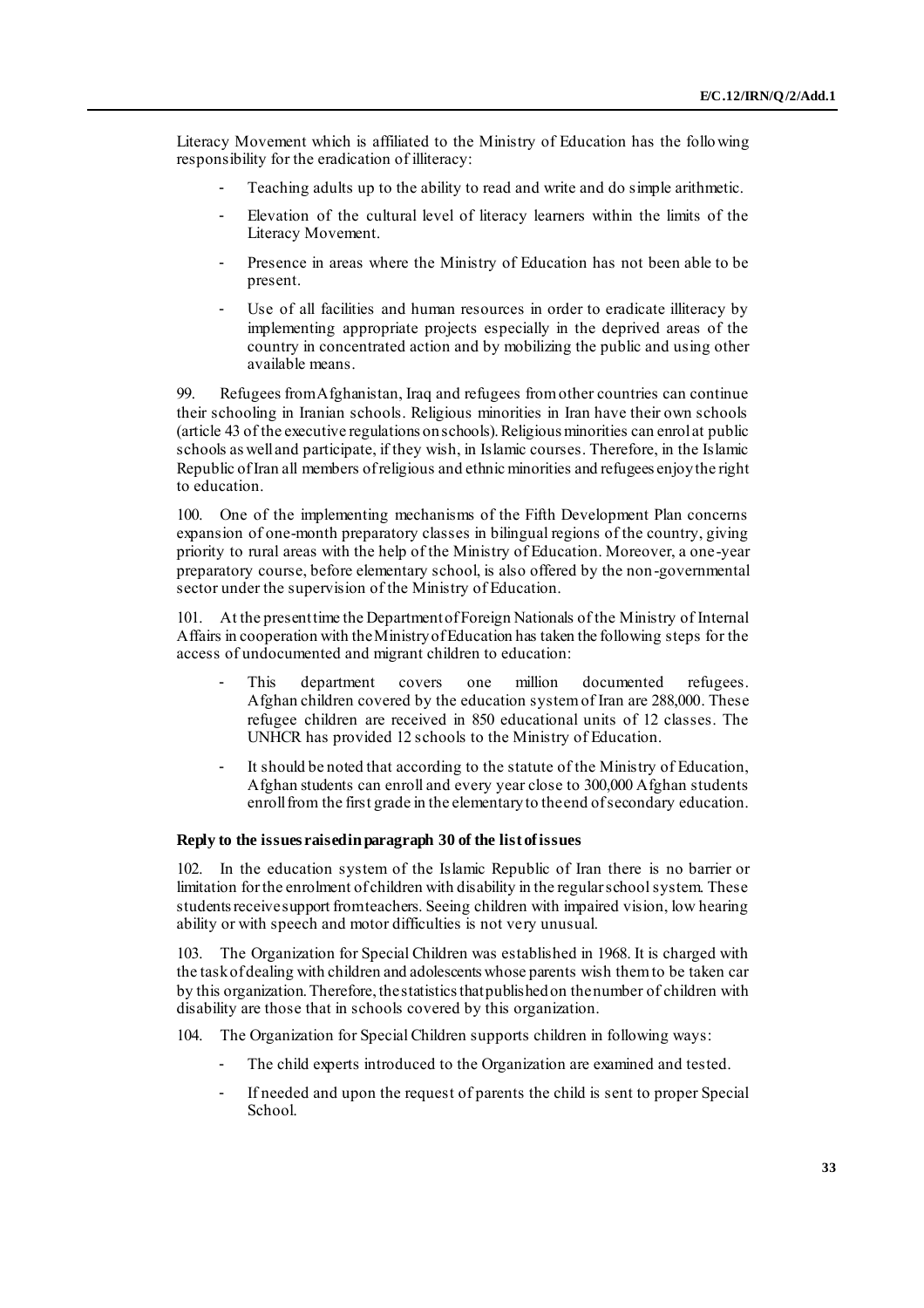Literacy Movement which is affiliated to the Ministry of Education has the following responsibility for the eradication of illiteracy:

- Teaching adults up to the ability to read and write and do simple arithmetic.
- Elevation of the cultural level of literacy learners within the limits of the Literacy Movement.
- Presence in areas where the Ministry of Education has not been able to be present.
- Use of all facilities and human resources in order to eradicate illiteracy by implementing appropriate projects especially in the deprived areas of the country in concentrated action and by mobilizing the public and using other available means.

99. Refugees from Afghanistan, Iraq and refugees from other countries can continue their schooling in Iranian schools. Religious minorities in Iran have their own schools (article 43 of the executive regulations on schools). Religious minorities can enrol at public schools as well and participate, if they wish, in Islamic courses. Therefore, in the Islamic Republic of Iran all members of religious and ethnic minorities and refugees enjoy the right to education.

100. One of the implementing mechanisms of the Fifth Development Plan concerns expansion of one-month preparatory classes in bilingual regions of the country, giving priority to rural areas with the help of the Ministry of Education. Moreover, a one-year preparatory course, before elementary school, is also offered by the non-governmental sector under the supervision of the Ministry of Education.

101. At the present time the Department of Foreign Nationals of the Ministry of Internal Affairs in cooperation with the Ministry of Education has taken the following steps for the access of undocumented and migrant children to education:

- This department covers one million documented refugees. Afghan children covered by the education system of Iran are 288,000. These refugee children are received in 850 educational units of 12 classes. The UNHCR has provided 12 schools to the Ministry of Education.
- It should be noted that according to the statute of the Ministry of Education, Afghan students can enroll and every year close to 300,000 Afghan students enroll from the first grade in the elementary to the end of secondary education.

#### **Reply to the issues raised in paragraph 30 of the list of issues**

102. In the education system of the Islamic Republic of Iran there is no barrier or limitation for the enrolment of children with disability in the regular school system. These students receive support from teachers. Seeing children with impaired vision, low hearing ability or with speech and motor difficulties is not very unusual.

103. The Organization for Special Children was established in 1968. It is charged with the task of dealing with children and adolescents whose parents wish them to be taken car by this organization. Therefore, the statistics that published on the number of children with disability are those that in schools covered by this organization.

104. The Organization for Special Children supports children in following ways:

- The child experts introduced to the Organization are examined and tested.
- If needed and upon the request of parents the child is sent to proper Special School.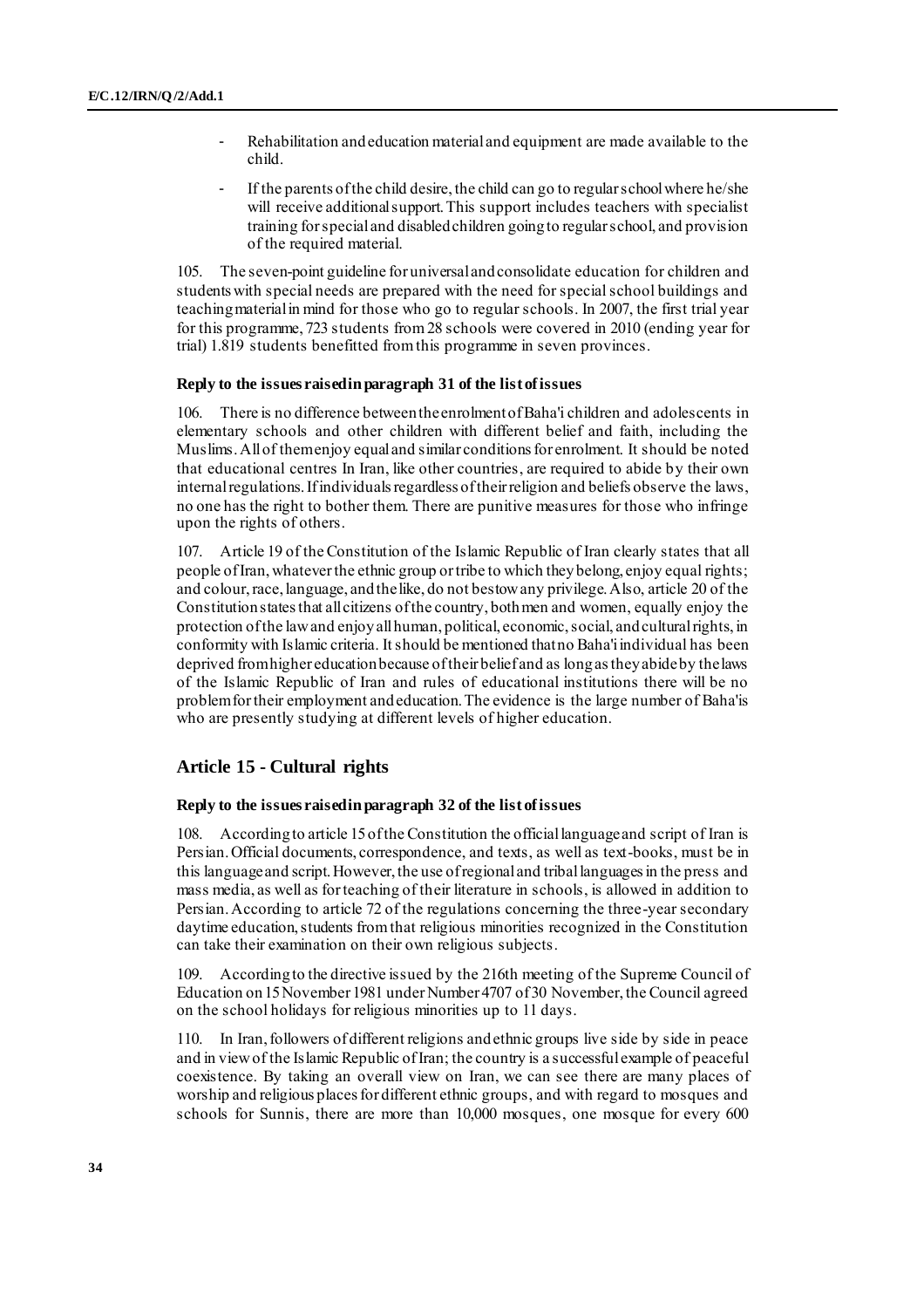- Rehabilitation and education material and equipment are made available to the child.
- If the parents of the child desire, the child can go to regular school where he/she will receive additional support. This support includes teachers with specialist training for special and disabled children going to regular school, and provision of the required material.

105. The seven-point guideline for universal and consolidate education for children and students with special needs are prepared with the need for special school buildings and teaching material in mind for those who go to regular schools. In 2007, the first trial year for this programme, 723 students from 28 schools were covered in 2010 (ending year for trial) 1.819 students benefitted from this programme in seven provinces.

#### **Reply to the issues raised in paragraph 31 of the list of issues**

106. There is no difference between the enrolment of Baha'i children and adolescents in elementary schools and other children with different belief and faith, including the Muslims. All of them enjoy equal and similar conditions for enrolment. It should be noted that educational centres In Iran, like other countries, are required to abide by their own internal regulations. If individuals regardless of their religion and beliefs observe the laws, no one has the right to bother them. There are punitive measures for those who infringe upon the rights of others.

107. Article 19 of the Constitution of the Islamic Republic of Iran clearly states that all people of Iran, whatever the ethnic group or tribe to which they belong, enjoy equal rights; and colour, race, language, and the like, do not bestow any privilege. Also, article 20 of the Constitution states that all citizens of the country, both men and women, equally enjoy the protection of the law and enjoy all human, political, economic, social, and cultural rights, in conformity with Islamic criteria. It should be mentioned that no Baha'i individual has been deprived from higher education because of their belief and as long as they abide by the laws of the Islamic Republic of Iran and rules of educational institutions there will be no problem for their employment and education. The evidence is the large number of Baha'is who are presently studying at different levels of higher education.

### **Article 15 - Cultural rights**

#### **Reply to the issues raised in paragraph 32 of the list of issues**

108. According to article 15 of the Constitution the officiallanguage and script of Iran is Persian. Official documents, correspondence, and texts, as well as text-books, must be in this language and script. However, the use of regional and tribal languages in the press and mass media, as well as for teaching of their literature in schools, is allowed in addition to Persian. According to article 72 of the regulations concerning the three-year secondary daytime education, students from that religious minorities recognized in the Constitution can take their examination on their own religious subjects.

109. According to the directive issued by the 216th meeting of the Supreme Council of Education on 15 November 1981 under Number 4707 of 30 November, the Council agreed on the school holidays for religious minorities up to 11 days.

110. In Iran, followers of different religions and ethnic groups live side by side in peace and in view of the Islamic Republic of Iran; the country is a successful example of peaceful coexistence. By taking an overall view on Iran, we can see there are many places of worship and religious places for different ethnic groups, and with regard to mosques and schools for Sunnis, there are more than 10,000 mosques, one mosque for every 600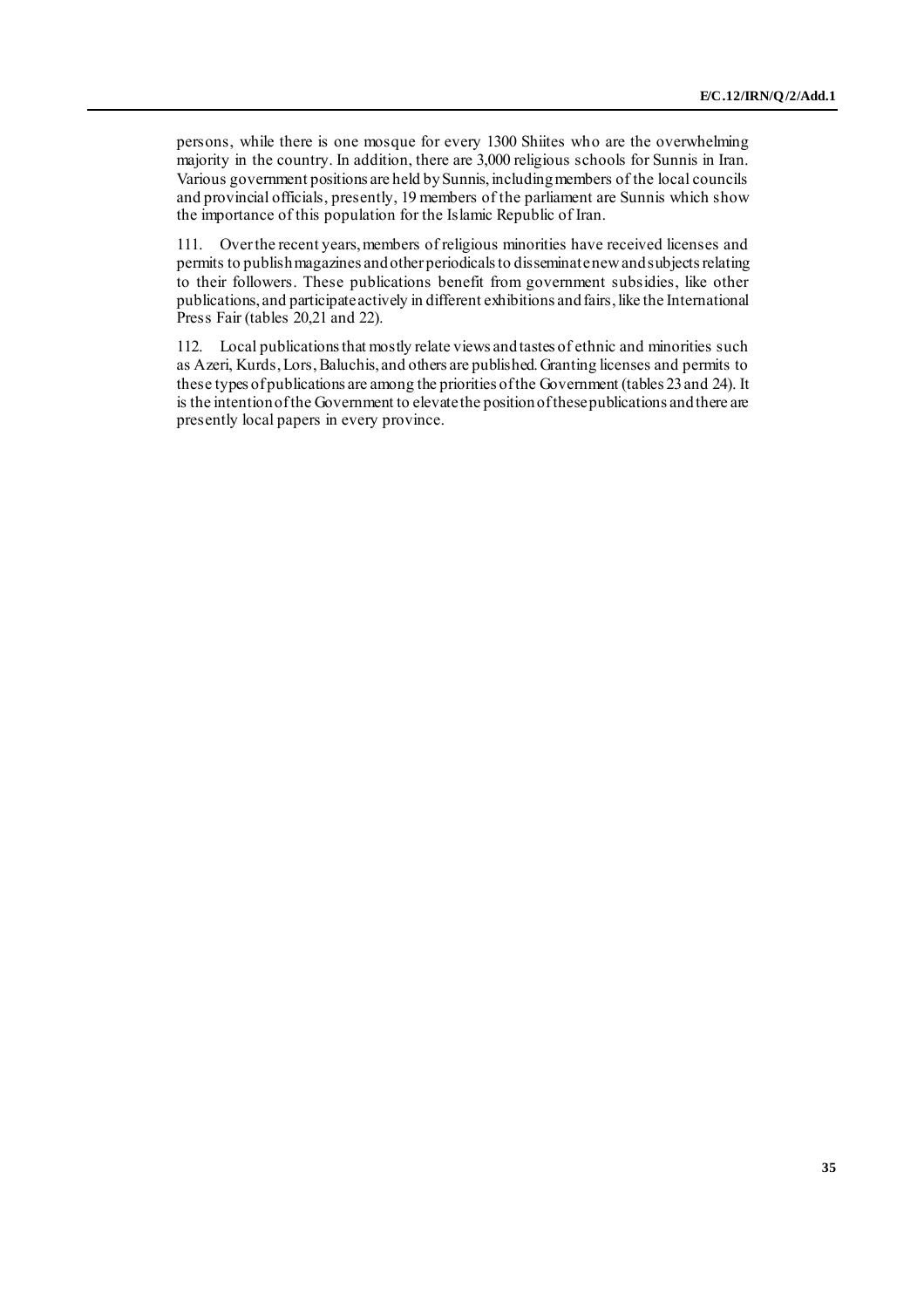persons, while there is one mosque for every 1300 Shiites who are the overwhelming majority in the country. In addition, there are 3,000 religious schools for Sunnis in Iran. Various government positions are held by Sunnis, including members of the local councils and provincial officials, presently, 19 members of the parliament are Sunnis which show the importance of this population for the Islamic Republic of Iran.

111. Over the recent years, members of religious minorities have received licenses and permits to publish magazines and other periodicals to disseminate new and subjects relating to their followers. These publications benefit from government subsidies, like other publications, and participate actively in different exhibitions and fairs, like the International Press Fair (tables 20,21 and 22).

112. Local publications that mostly relate views and tastes of ethnic and minorities such as Azeri, Kurds, Lors, Baluchis, and others are published. Granting licenses and permits to these types of publications are among the priorities of the Government (tables 23 and 24). It is the intention of the Government to elevate the position of these publications and there are presently local papers in every province.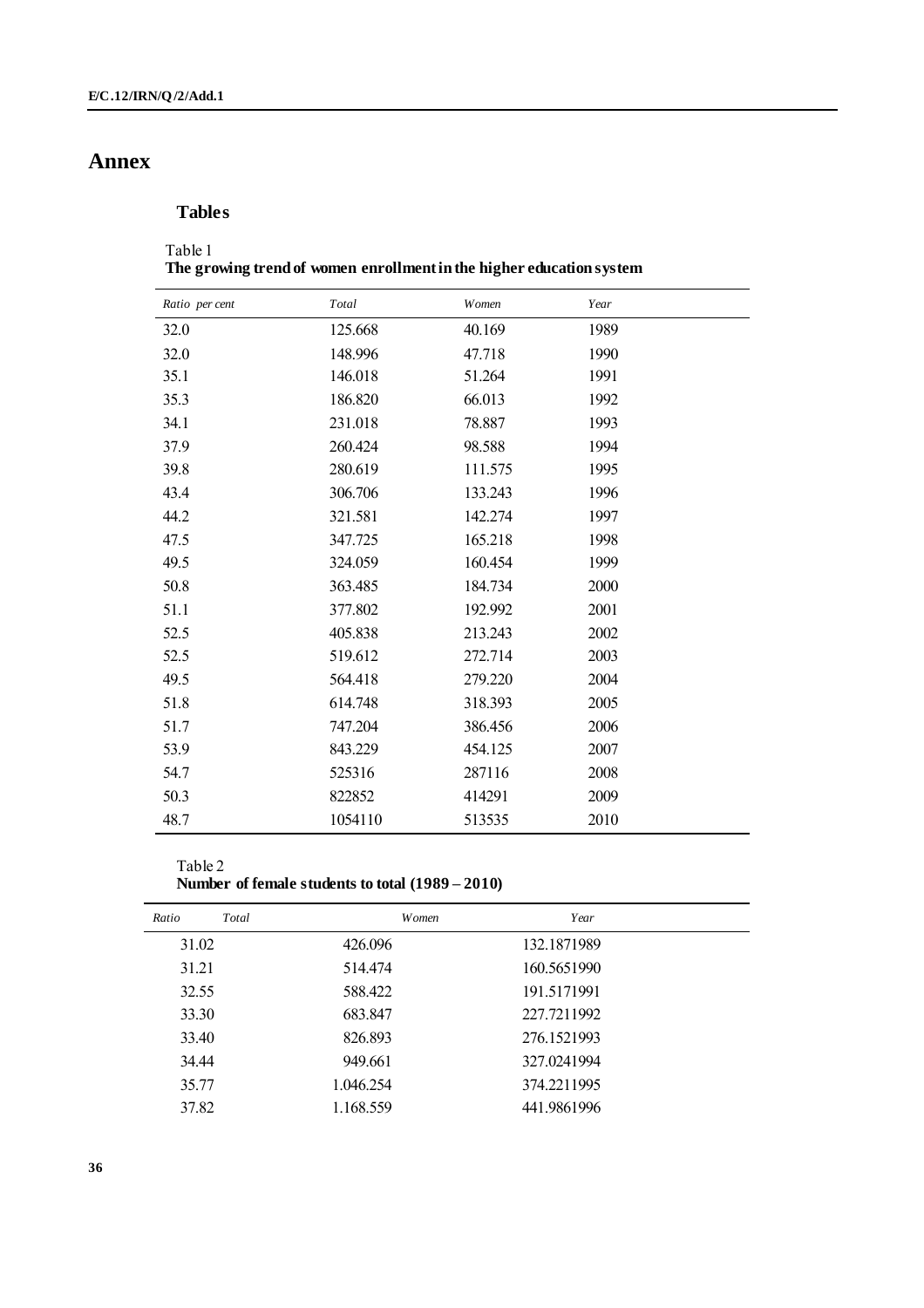# **Annex**

## **Tables**

### Table 1 **The growing trend of women enrollment in the higher education system**

| Ratio per cent | Total   | Women   | Year |  |
|----------------|---------|---------|------|--|
| 32.0           | 125.668 | 40.169  | 1989 |  |
| 32.0           | 148.996 | 47.718  | 1990 |  |
| 35.1           | 146.018 | 51.264  | 1991 |  |
| 35.3           | 186.820 | 66.013  | 1992 |  |
| 34.1           | 231.018 | 78.887  | 1993 |  |
| 37.9           | 260.424 | 98.588  | 1994 |  |
| 39.8           | 280.619 | 111.575 | 1995 |  |
| 43.4           | 306.706 | 133.243 | 1996 |  |
| 44.2           | 321.581 | 142.274 | 1997 |  |
| 47.5           | 347.725 | 165.218 | 1998 |  |
| 49.5           | 324.059 | 160.454 | 1999 |  |
| 50.8           | 363.485 | 184.734 | 2000 |  |
| 51.1           | 377.802 | 192.992 | 2001 |  |
| 52.5           | 405.838 | 213.243 | 2002 |  |
| 52.5           | 519.612 | 272.714 | 2003 |  |
| 49.5           | 564.418 | 279.220 | 2004 |  |
| 51.8           | 614.748 | 318.393 | 2005 |  |
| 51.7           | 747.204 | 386.456 | 2006 |  |
| 53.9           | 843.229 | 454.125 | 2007 |  |
| 54.7           | 525316  | 287116  | 2008 |  |
| 50.3           | 822852  | 414291  | 2009 |  |
| 48.7           | 1054110 | 513535  | 2010 |  |

### Table 2 **Number of female students to total (1989 – 2010)**

| Ratio | Total | Women     | Year        |  |
|-------|-------|-----------|-------------|--|
| 31.02 |       | 426.096   | 132.1871989 |  |
| 31.21 |       | 514.474   | 160.5651990 |  |
| 32.55 |       | 588.422   | 191.5171991 |  |
| 33.30 |       | 683.847   | 227.7211992 |  |
| 33.40 |       | 826.893   | 276.1521993 |  |
| 34.44 |       | 949.661   | 327.0241994 |  |
| 35.77 |       | 1.046.254 | 374.2211995 |  |
| 37.82 |       | 1.168.559 | 441.9861996 |  |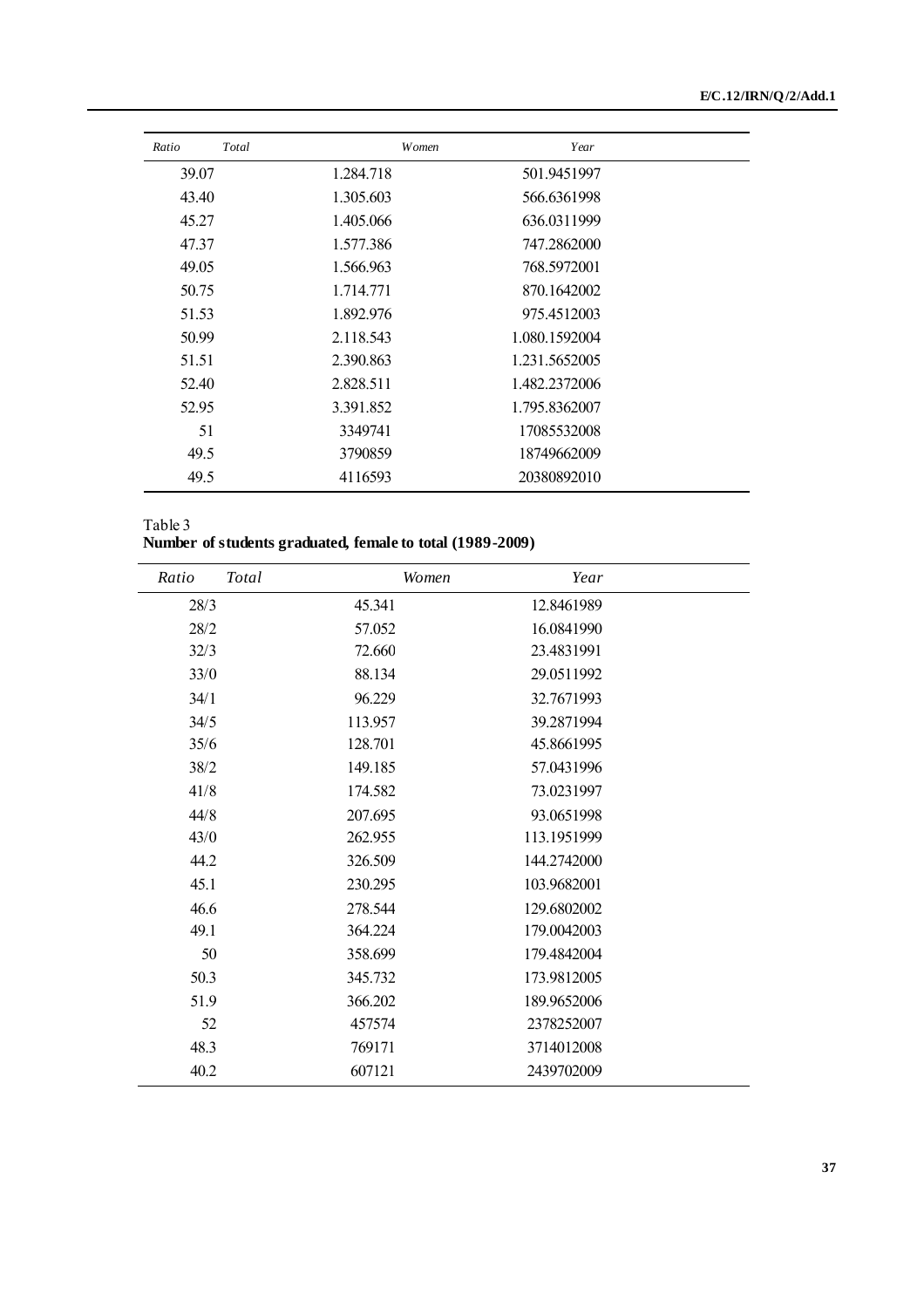| Ratio | Total | Women     | Year          |  |
|-------|-------|-----------|---------------|--|
| 39.07 |       | 1.284.718 | 501.9451997   |  |
| 43.40 |       | 1.305.603 | 566.6361998   |  |
| 45.27 |       | 1.405.066 | 636.0311999   |  |
| 47.37 |       | 1.577.386 | 747.2862000   |  |
| 49.05 |       | 1.566.963 | 768.5972001   |  |
| 50.75 |       | 1.714.771 | 870.1642002   |  |
| 51.53 |       | 1.892.976 | 975.4512003   |  |
| 50.99 |       | 2.118.543 | 1.080.1592004 |  |
| 51.51 |       | 2.390.863 | 1.231.5652005 |  |
| 52.40 |       | 2.828.511 | 1.482.2372006 |  |
| 52.95 |       | 3.391.852 | 1.795.8362007 |  |
| 51    |       | 3349741   | 17085532008   |  |
| 49.5  |       | 3790859   | 18749662009   |  |
| 49.5  |       | 4116593   | 20380892010   |  |

| Table 3                                                   |  |
|-----------------------------------------------------------|--|
| Number of students graduated, female to total (1989-2009) |  |

| Ratio | Total | Women   | Year        |  |
|-------|-------|---------|-------------|--|
| 28/3  |       | 45.341  | 12.8461989  |  |
| 28/2  |       | 57.052  | 16.0841990  |  |
| 32/3  |       | 72.660  | 23.4831991  |  |
| 33/0  |       | 88.134  | 29.0511992  |  |
| 34/1  |       | 96.229  | 32.7671993  |  |
| 34/5  |       | 113.957 | 39.2871994  |  |
| 35/6  |       | 128.701 | 45.8661995  |  |
| 38/2  |       | 149.185 | 57.0431996  |  |
| 41/8  |       | 174.582 | 73.0231997  |  |
| 44/8  |       | 207.695 | 93.0651998  |  |
| 43/0  |       | 262.955 | 113.1951999 |  |
| 44.2  |       | 326.509 | 144.2742000 |  |
| 45.1  |       | 230.295 | 103.9682001 |  |
| 46.6  |       | 278.544 | 129.6802002 |  |
| 49.1  |       | 364.224 | 179.0042003 |  |
| 50    |       | 358.699 | 179.4842004 |  |
| 50.3  |       | 345.732 | 173.9812005 |  |
| 51.9  |       | 366.202 | 189.9652006 |  |
| 52    |       | 457574  | 2378252007  |  |
| 48.3  |       | 769171  | 3714012008  |  |
| 40.2  |       | 607121  | 2439702009  |  |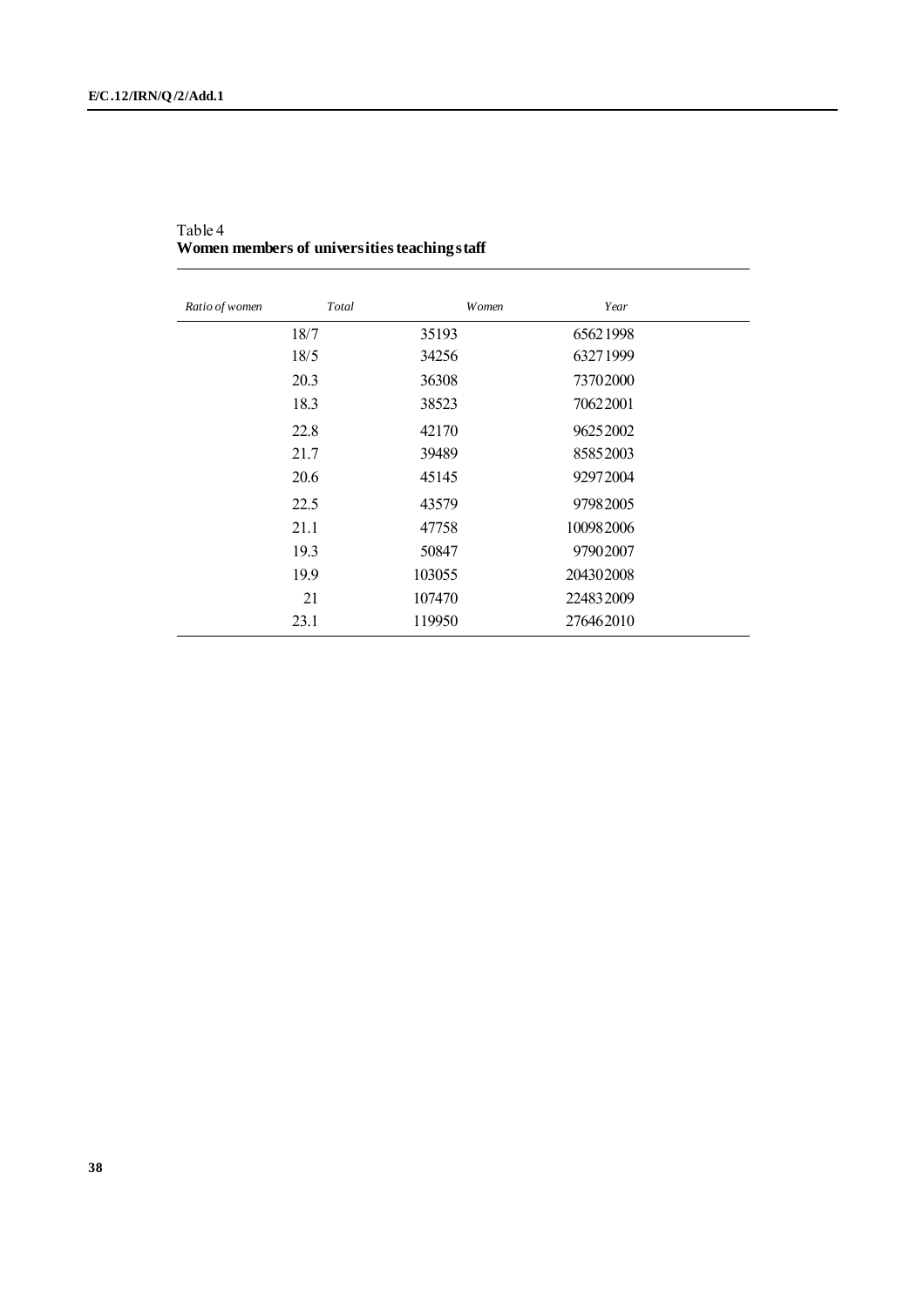| Ratio of women | Total  | Women<br>Year |  |
|----------------|--------|---------------|--|
| 18/7           | 35193  | 65621998      |  |
| 18/5           | 34256  | 63271999      |  |
| 20.3           | 36308  | 73702000      |  |
| 18.3           | 38523  | 70622001      |  |
| 22.8           | 42170  | 96252002      |  |
| 21.7           | 39489  | 85852003      |  |
| 20.6           | 45145  | 92972004      |  |
| 22.5           | 43579  | 97982005      |  |
| 21.1           | 47758  | 100982006     |  |
| 19.3           | 50847  | 97902007      |  |
| 19.9           | 103055 | 204302008     |  |
| 21             | 107470 | 224832009     |  |
| 23.1           | 119950 | 276462010     |  |

Table 4 **Women members of universities teaching staff**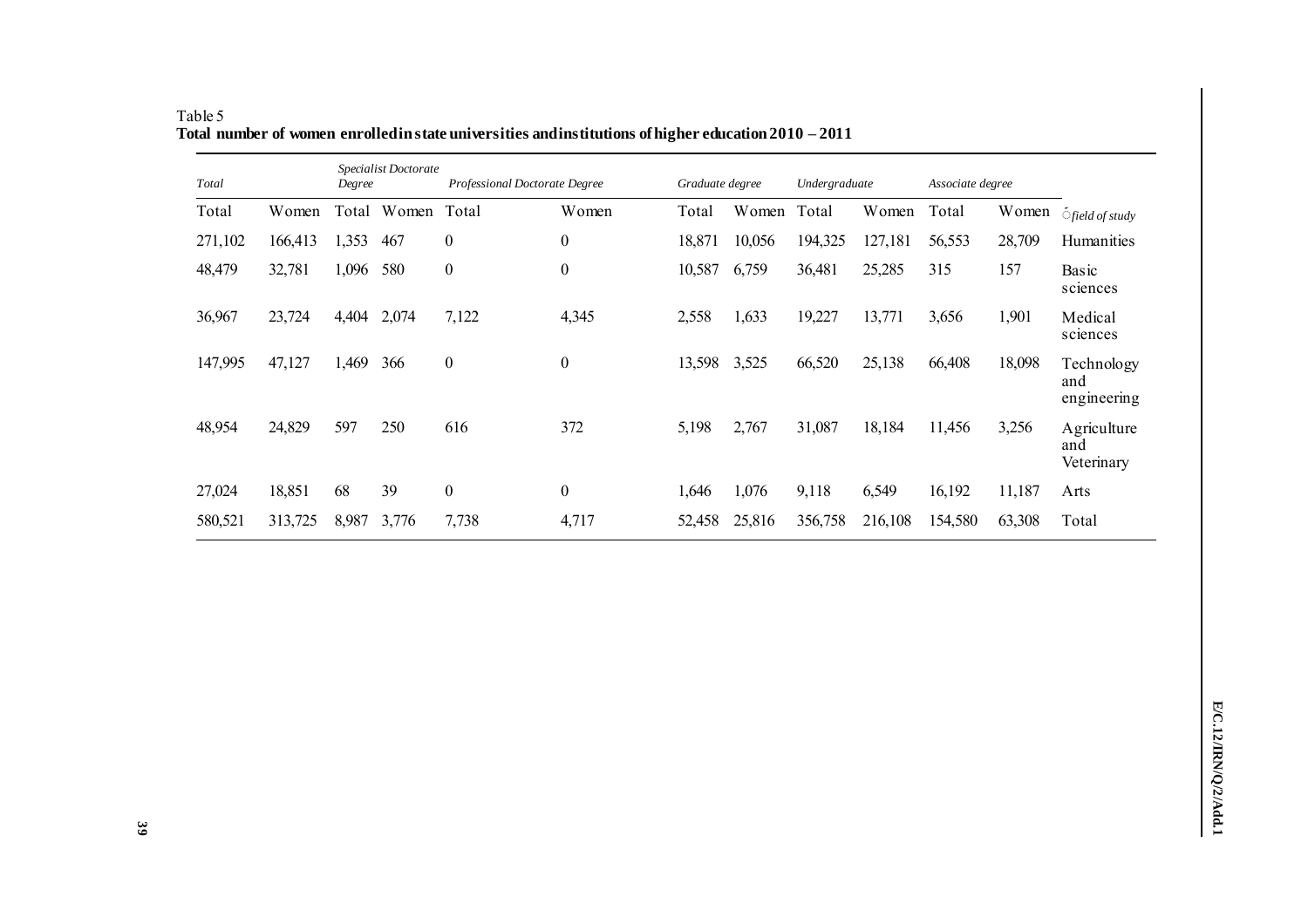| Total   |         | Degree | Specialist Doctorate | Professional Doctorate Degree |                  | Graduate degree |        | Undergraduate |         | Associate degree |        |                                  |
|---------|---------|--------|----------------------|-------------------------------|------------------|-----------------|--------|---------------|---------|------------------|--------|----------------------------------|
| Total   | Women   | Total  | Women                | Total                         | Women            | Total           | Women  | Total         | Women   | Total            | Women  | <i><b>Ofield of study</b></i>    |
| 271,102 | 166,413 | 1,353  | 467                  | $\boldsymbol{0}$              | $\boldsymbol{0}$ | 18,871          | 10,056 | 194,325       | 127,181 | 56,553           | 28,709 | Humanities                       |
| 48,479  | 32,781  | 1,096  | 580                  | $\boldsymbol{0}$              | $\boldsymbol{0}$ | 10,587          | 6,759  | 36,481        | 25,285  | 315              | 157    | Basic<br>sciences                |
| 36,967  | 23,724  | 4,404  | 2,074                | 7,122                         | 4,345            | 2,558           | 1,633  | 19,227        | 13,771  | 3,656            | 1,901  | Medical<br>sciences              |
| 147,995 | 47,127  | 1,469  | 366                  | $\boldsymbol{0}$              | $\boldsymbol{0}$ | 13,598          | 3,525  | 66,520        | 25,138  | 66,408           | 18,098 | Technology<br>and<br>engineering |
| 48,954  | 24,829  | 597    | 250                  | 616                           | 372              | 5,198           | 2,767  | 31,087        | 18,184  | 11,456           | 3,256  | Agriculture<br>and<br>Veterinary |
| 27,024  | 18,851  | 68     | 39                   | $\boldsymbol{0}$              | $\boldsymbol{0}$ | 1,646           | 1,076  | 9,118         | 6,549   | 16,192           | 11,187 | Arts                             |
| 580,521 | 313,725 | 8,987  | 3,776                | 7,738                         | 4,717            | 52,458          | 25,816 | 356,758       | 216,108 | 154,580          | 63,308 | Total                            |

Table 5 Total number of women enrolled in state universities and institutions of higher education  $2010 - 2011$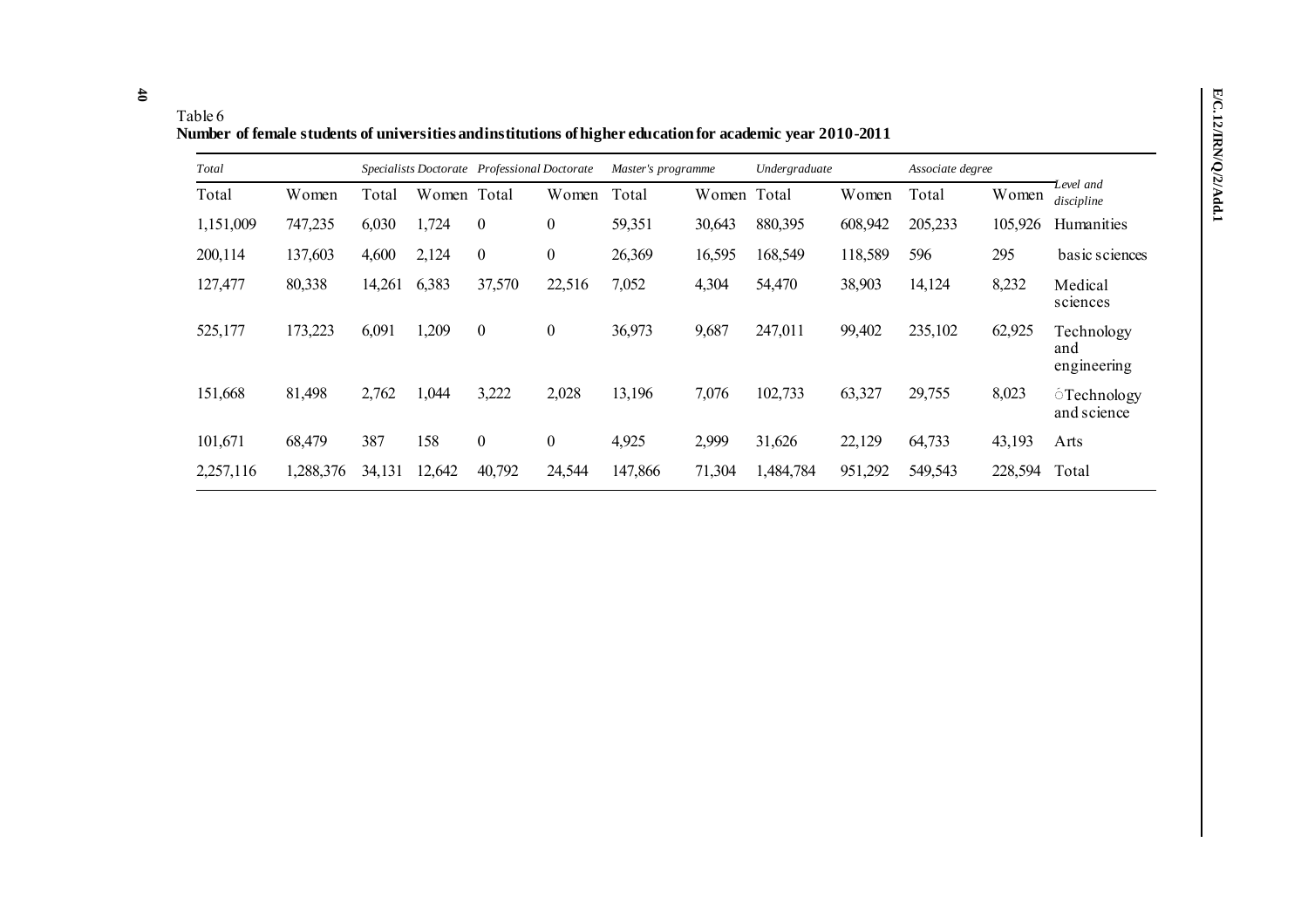**40**

**Number of female students of universities and institutions of higher education for academic year 2010-2011**

| Total     |           |        |             | Specialists Doctorate Professional Doctorate |                  | Master's programme |        | Undergraduate |         | Associate degree |         |                                         |
|-----------|-----------|--------|-------------|----------------------------------------------|------------------|--------------------|--------|---------------|---------|------------------|---------|-----------------------------------------|
| Total     | Women     | Total  | Women Total |                                              | Women            | Total              | Women  | Total         | Women   | Total            | Women   | Level and<br>discipline                 |
| 1,151,009 | 747,235   | 6,030  | 1,724       | $\overline{0}$                               | 0                | 59,351             | 30,643 | 880,395       | 608,942 | 205,233          | 105,926 | Humanities                              |
| 200,114   | 137,603   | 4,600  | 2,124       | $\overline{0}$                               | $\boldsymbol{0}$ | 26,369             | 16,595 | 168,549       | 118,589 | 596              | 295     | basic sciences                          |
| 127,477   | 80,338    | 14,261 | 6,383       | 37,570                                       | 22,516           | 7,052              | 4,304  | 54,470        | 38,903  | 14,124           | 8,232   | Medical<br>sciences                     |
| 525,177   | 173,223   | 6,091  | 1,209       | $\mathbf{0}$                                 | $\boldsymbol{0}$ | 36,973             | 9,687  | 247,011       | 99,402  | 235,102          | 62,925  | Technology<br>and<br>engineering        |
| 151,668   | 81,498    | 2,762  | 1,044       | 3,222                                        | 2,028            | 13,196             | 7,076  | 102,733       | 63,327  | 29,755           | 8,023   | <i><b>Sechnology</b></i><br>and science |
| 101,671   | 68,479    | 387    | 158         | $\boldsymbol{0}$                             | $\boldsymbol{0}$ | 4,925              | 2,999  | 31,626        | 22,129  | 64,733           | 43,193  | Arts                                    |
| 2,257,116 | 1,288,376 | 34,131 | 12,642      | 40,792                                       | 24,544           | 147,866            | 71,304 | 1,484,784     | 951,292 | 549,543          | 228,594 | Total                                   |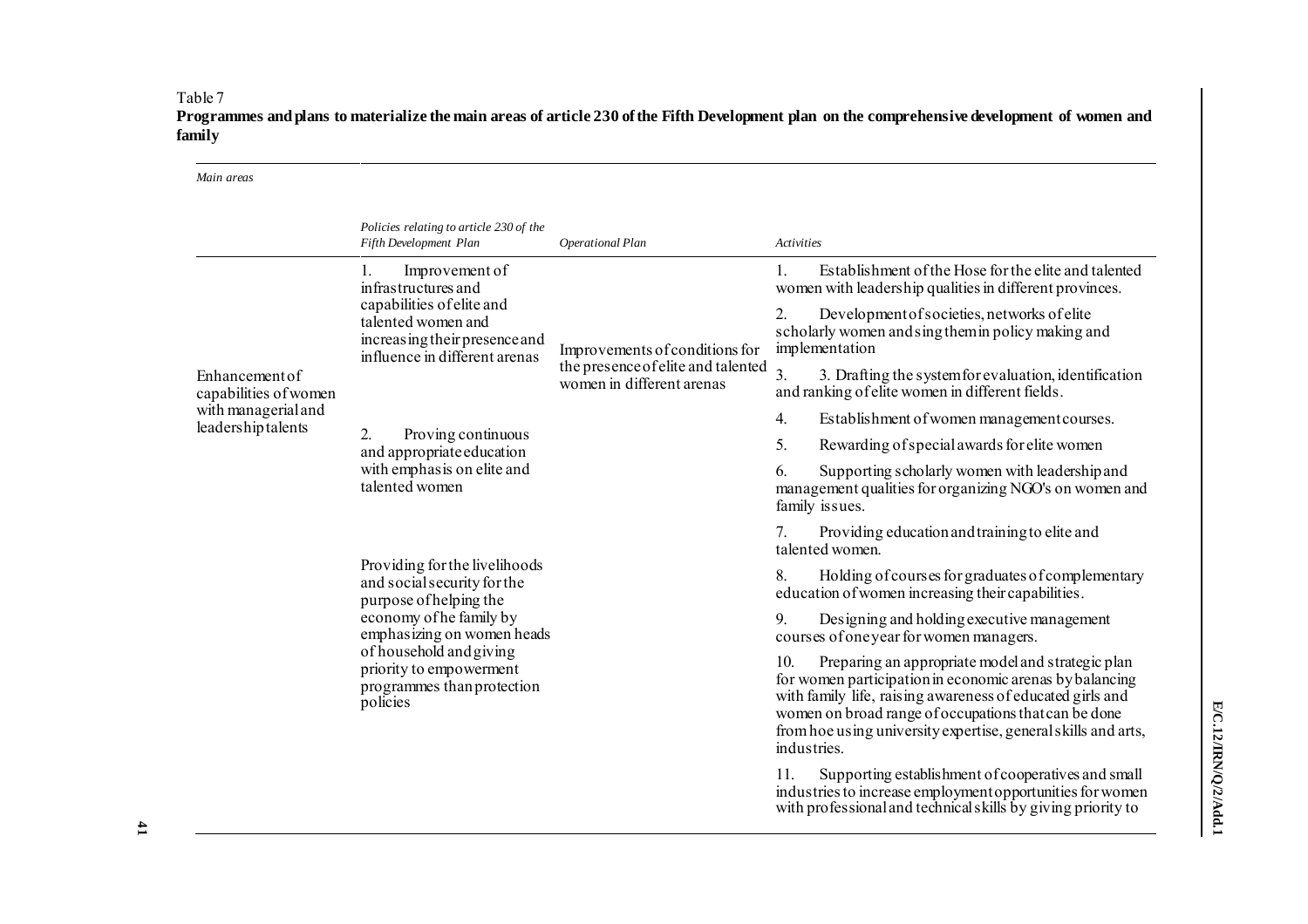**Programmes and plans to materialize the main areas of article 230 of the Fifth Development plan on the comprehensive development of women and family**

| Main areas                                |                                                                                                                   |                                                                 |                                                                                                                                                                                                                                                                                                                          |
|-------------------------------------------|-------------------------------------------------------------------------------------------------------------------|-----------------------------------------------------------------|--------------------------------------------------------------------------------------------------------------------------------------------------------------------------------------------------------------------------------------------------------------------------------------------------------------------------|
|                                           | Policies relating to article 230 of the<br>Fifth Development Plan                                                 | <b>Operational Plan</b>                                         | <b>Activities</b>                                                                                                                                                                                                                                                                                                        |
|                                           | Improvement of<br>1.<br>infrastructures and                                                                       |                                                                 | Establishment of the Hose for the elite and talented<br>1.<br>women with leadership qualities in different provinces.                                                                                                                                                                                                    |
|                                           | capabilities of elite and<br>talented women and<br>increasing their presence and<br>influence in different arenas | Improvements of conditions for                                  | Development of societies, networks of elite<br>2.<br>scholarly women and sing them in policy making and<br>implementation                                                                                                                                                                                                |
| Enhancement of<br>capabilities of women   |                                                                                                                   | the presence of elite and talented<br>women in different arenas | $\overline{3}$ .<br>3. Drafting the system for evaluation, identification<br>and ranking of elite women in different fields.                                                                                                                                                                                             |
| with managerial and<br>leadership talents |                                                                                                                   |                                                                 | 4.<br>Establishment of women management courses.                                                                                                                                                                                                                                                                         |
|                                           | $\overline{2}$ .<br>Proving continuous<br>and appropriate education                                               |                                                                 | 5.<br>Rewarding of special awards for elite women                                                                                                                                                                                                                                                                        |
|                                           | with emphasis on elite and<br>talented women                                                                      |                                                                 | 6.<br>Supporting scholarly women with leadership and<br>management qualities for organizing NGO's on women and<br>family issues.                                                                                                                                                                                         |
|                                           |                                                                                                                   |                                                                 | Providing education and training to elite and<br>7.<br>talented women.                                                                                                                                                                                                                                                   |
|                                           | Providing for the livelihoods<br>and social security for the<br>purpose of helping the                            |                                                                 | 8.<br>Holding of courses for graduates of complementary<br>education of women increasing their capabilities.                                                                                                                                                                                                             |
|                                           | economy of he family by<br>emphasizing on women heads                                                             |                                                                 | 9.<br>Designing and holding executive management<br>courses of one year for women managers.                                                                                                                                                                                                                              |
|                                           | of household and giving<br>priority to empowerment<br>programmes than protection<br>policies                      |                                                                 | 10.<br>Preparing an appropriate model and strategic plan<br>for women participation in economic arenas by balancing<br>with family life, raising awareness of educated girls and<br>women on broad range of occupations that can be done<br>from hoe using university expertise, general skills and arts,<br>industries. |
|                                           |                                                                                                                   |                                                                 | Supporting establishment of cooperatives and small<br>11.<br>industries to increase employment opportunities for women<br>with professional and technical skills by giving priority to                                                                                                                                   |

Table 7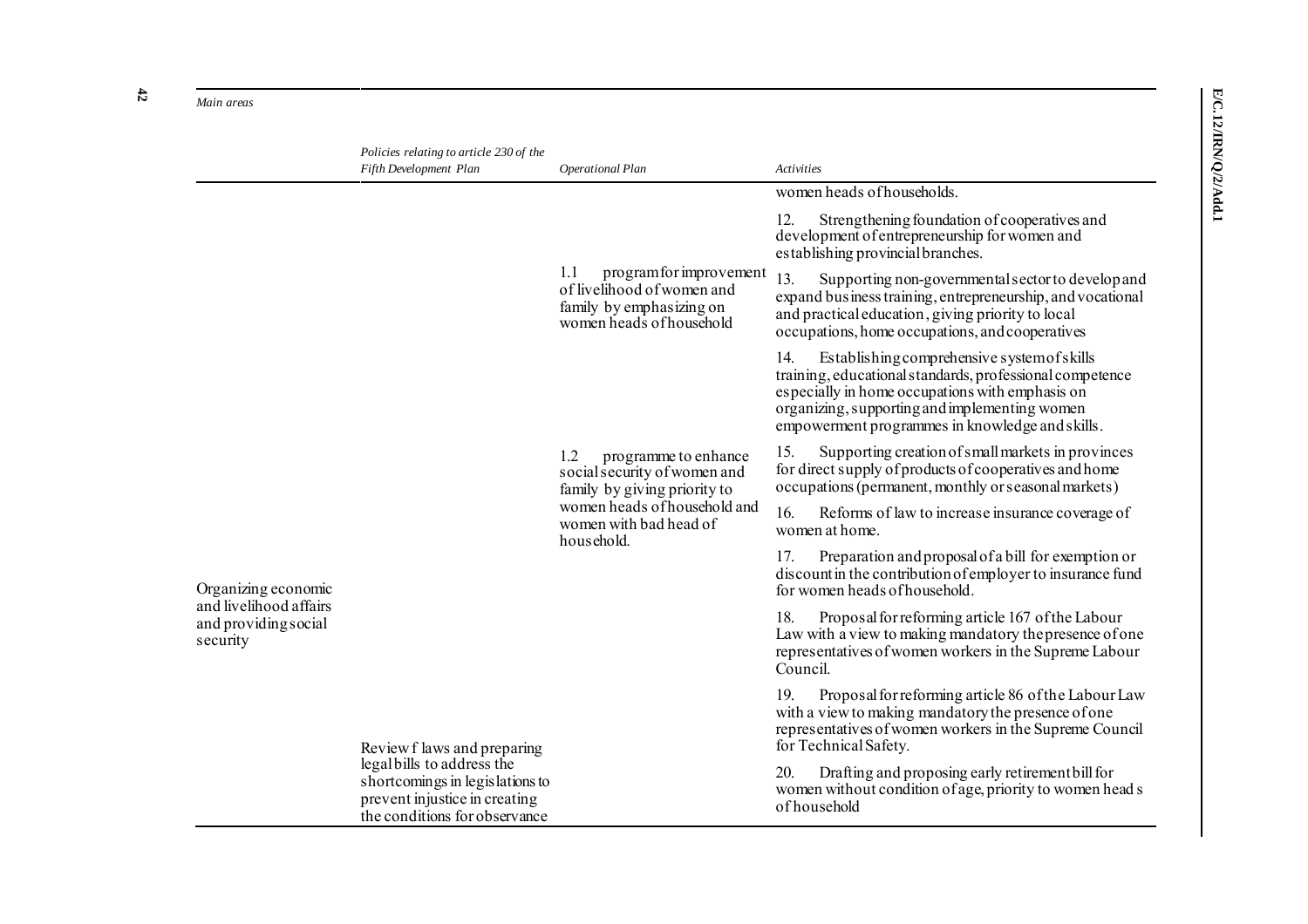*Main areas* 

**42**

|                                                            | Policies relating to article 230 of the<br>Fifth Development Plan                                                               | Operational Plan                                                                                                                                                    | <b>Activities</b>                                                                                                                                                                                                                                                     |  |  |
|------------------------------------------------------------|---------------------------------------------------------------------------------------------------------------------------------|---------------------------------------------------------------------------------------------------------------------------------------------------------------------|-----------------------------------------------------------------------------------------------------------------------------------------------------------------------------------------------------------------------------------------------------------------------|--|--|
|                                                            |                                                                                                                                 |                                                                                                                                                                     | women heads of households.                                                                                                                                                                                                                                            |  |  |
|                                                            |                                                                                                                                 |                                                                                                                                                                     | Strengthening foundation of cooperatives and<br>12.<br>development of entrepreneurship for women and<br>establishing provincial branches.                                                                                                                             |  |  |
|                                                            |                                                                                                                                 | 1.1<br>program for improvement<br>of livelihood of women and<br>family by emphasizing on<br>women heads of household                                                | 13.<br>Supporting non-governmental sector to develop and<br>expand business training, entrepreneurship, and vocational<br>and practical education, giving priority to local<br>occupations, home occupations, and cooperatives                                        |  |  |
|                                                            |                                                                                                                                 |                                                                                                                                                                     | Establishing comprehensive system of skills<br>14.<br>training, educational standards, professional competence<br>especially in home occupations with emphasis on<br>organizing, supporting and implementing women<br>empowerment programmes in knowledge and skills. |  |  |
|                                                            |                                                                                                                                 | 1.2<br>programme to enhance<br>social security of women and<br>family by giving priority to<br>women heads of household and<br>women with bad head of<br>household. | Supporting creation of small markets in provinces<br>15.<br>for direct supply of products of cooperatives and home<br>occupations (permanent, monthly or seasonal markets)                                                                                            |  |  |
|                                                            |                                                                                                                                 |                                                                                                                                                                     | 16.<br>Reforms of law to increase insurance coverage of<br>women at home.                                                                                                                                                                                             |  |  |
| Organizing economic                                        |                                                                                                                                 |                                                                                                                                                                     | Preparation and proposal of a bill for exemption or<br>17.<br>discount in the contribution of employer to insurance fund<br>for women heads of household.                                                                                                             |  |  |
| and livelihood affairs<br>and providing social<br>security |                                                                                                                                 |                                                                                                                                                                     | Proposal for reforming article 167 of the Labour<br>18.<br>Law with a view to making mandatory the presence of one<br>representatives of women workers in the Supreme Labour<br>Council.                                                                              |  |  |
|                                                            | Review f laws and preparing                                                                                                     |                                                                                                                                                                     | 19.<br>Proposal for reforming article 86 of the Labour Law<br>with a view to making mandatory the presence of one<br>representatives of women workers in the Supreme Council<br>for Technical Safety.                                                                 |  |  |
|                                                            | legal bills to address the<br>shortcomings in legislations to<br>prevent injustice in creating<br>the conditions for observance |                                                                                                                                                                     | Drafting and proposing early retirement bill for<br>20.<br>women without condition of age, priority to women head s<br>of household                                                                                                                                   |  |  |

E/C.12/IRN/Q/2/Add.1 **E/C.12/IRN/Q/2/Add.1**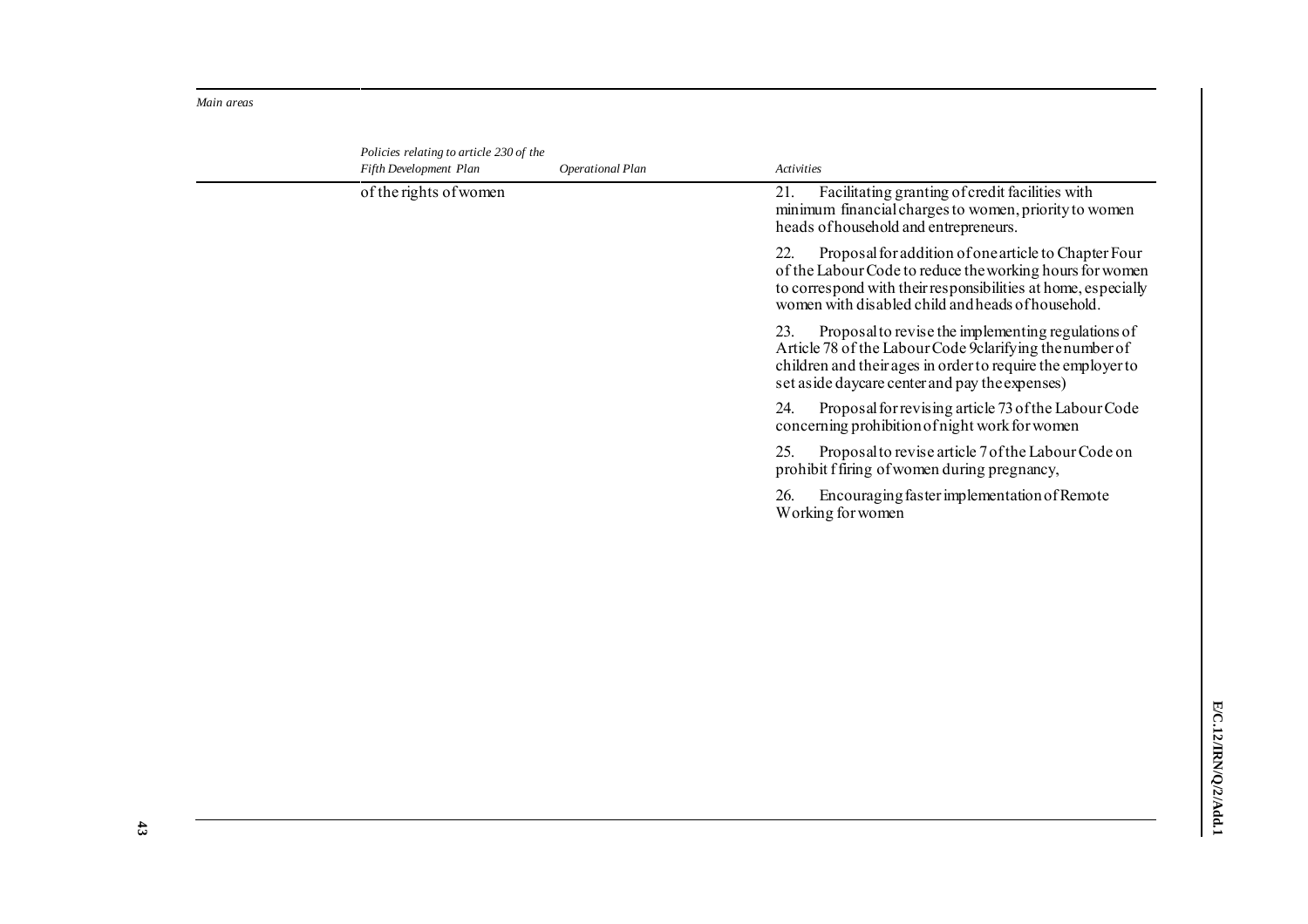*Main areas* 

| Policies relating to article 230 of the<br>Fifth Development Plan | Operational Plan | <b>Activities</b>                                                                                                                                                                                                                             |
|-------------------------------------------------------------------|------------------|-----------------------------------------------------------------------------------------------------------------------------------------------------------------------------------------------------------------------------------------------|
| of the rights of women                                            |                  | Facilitating granting of credit facilities with<br>21.<br>minimum financial charges to women, priority to women<br>heads of household and entrepreneurs.                                                                                      |
|                                                                   |                  | Proposal for addition of one article to Chapter Four<br>22.<br>of the Labour Code to reduce the working hours for women<br>to correspond with their responsibilities at home, especially<br>women with disabled child and heads of household. |
|                                                                   |                  | Proposal to revise the implementing regulations of<br>23.<br>Article 78 of the Labour Code 9 clarifying the number of<br>children and their ages in order to require the employer to<br>set aside daycare center and pay the expenses)        |
|                                                                   |                  | 24.<br>Proposal for revising article 73 of the Labour Code<br>concerning prohibition of night work for women                                                                                                                                  |
|                                                                   |                  | 25.<br>Proposal to revise article 7 of the Labour Code on<br>prohibit f firing of women during pregnancy,                                                                                                                                     |
|                                                                   |                  | Encouraging faster implementation of Remote<br>26.<br>Working for women                                                                                                                                                                       |
|                                                                   |                  |                                                                                                                                                                                                                                               |
|                                                                   |                  |                                                                                                                                                                                                                                               |
|                                                                   |                  |                                                                                                                                                                                                                                               |
|                                                                   |                  |                                                                                                                                                                                                                                               |
|                                                                   |                  |                                                                                                                                                                                                                                               |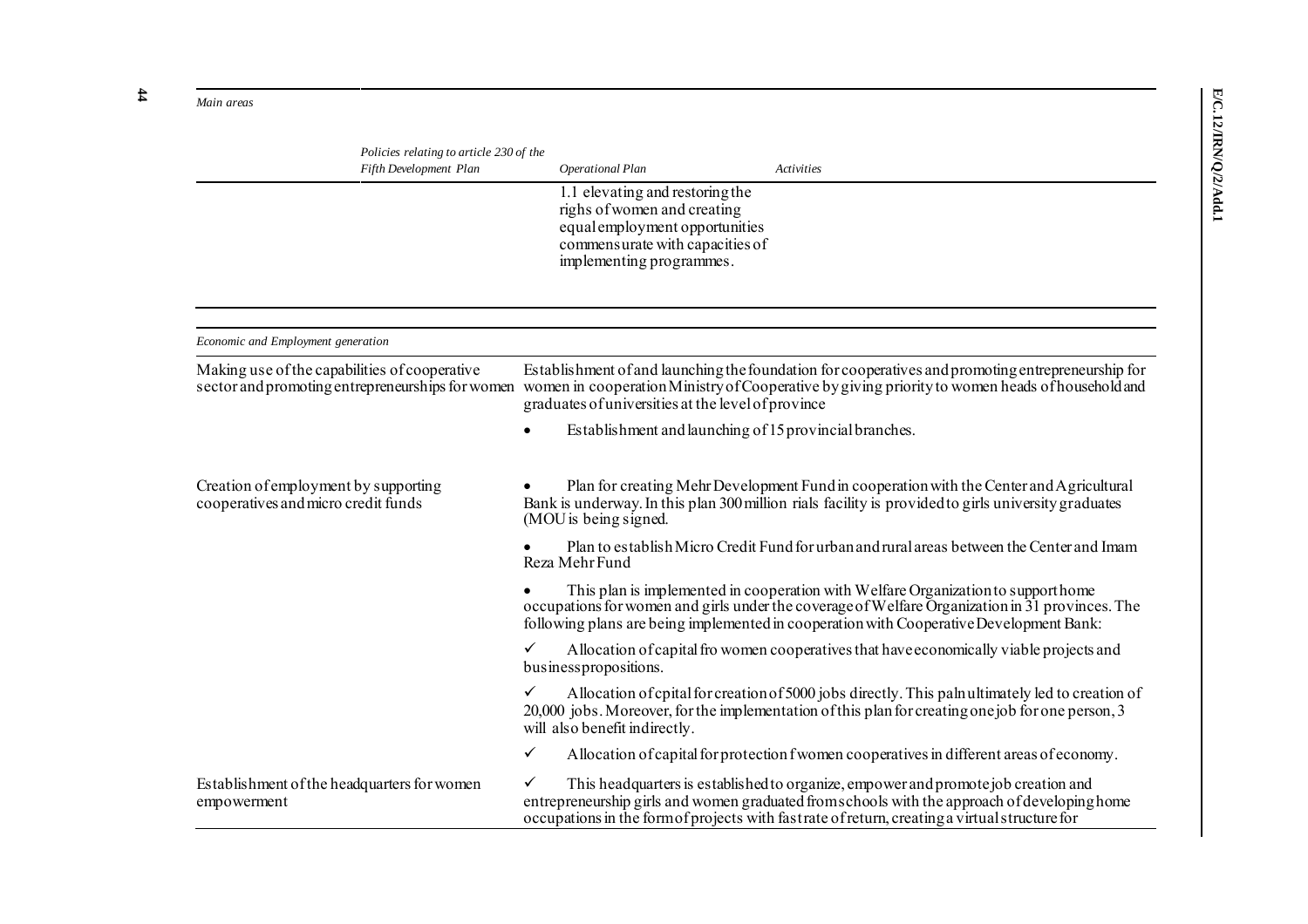*Main areas* 

| Policies relating to article 230 of the<br>Fifth Development Plan           | Operational Plan                                                                                                                                                                                       |                                                                                                                                                                 | Activities                                                                                                                                                                                                                                                                           |  |  |  |  |  |
|-----------------------------------------------------------------------------|--------------------------------------------------------------------------------------------------------------------------------------------------------------------------------------------------------|-----------------------------------------------------------------------------------------------------------------------------------------------------------------|--------------------------------------------------------------------------------------------------------------------------------------------------------------------------------------------------------------------------------------------------------------------------------------|--|--|--|--|--|
|                                                                             |                                                                                                                                                                                                        | 1.1 elevating and restoring the<br>righs of women and creating<br>equal employment opportunities<br>commensurate with capacities of<br>implementing programmes. |                                                                                                                                                                                                                                                                                      |  |  |  |  |  |
| Economic and Employment generation                                          |                                                                                                                                                                                                        |                                                                                                                                                                 |                                                                                                                                                                                                                                                                                      |  |  |  |  |  |
| Making use of the capabilities of cooperative                               |                                                                                                                                                                                                        |                                                                                                                                                                 | Establishment of and launching the foundation for cooperatives and promoting entrepreneurship for                                                                                                                                                                                    |  |  |  |  |  |
|                                                                             | sector and promoting entrepreneurships for women women in cooperation Ministry of Cooperative by giving priority to women heads of household and<br>graduates of universities at the level of province |                                                                                                                                                                 |                                                                                                                                                                                                                                                                                      |  |  |  |  |  |
|                                                                             |                                                                                                                                                                                                        |                                                                                                                                                                 | Establishment and launching of 15 provincial branches.                                                                                                                                                                                                                               |  |  |  |  |  |
| Creation of employment by supporting<br>cooperatives and micro credit funds | (MOU is being signed.                                                                                                                                                                                  |                                                                                                                                                                 | Plan for creating Mehr Development Fund in cooperation with the Center and Agricultural<br>Bank is underway. In this plan 300 million rials facility is provided to girls university graduates                                                                                       |  |  |  |  |  |
|                                                                             | Reza Mehr Fund                                                                                                                                                                                         |                                                                                                                                                                 | Plan to establish Micro Credit Fund for urban and rural areas between the Center and Imam                                                                                                                                                                                            |  |  |  |  |  |
|                                                                             |                                                                                                                                                                                                        |                                                                                                                                                                 | This plan is implemented in cooperation with Welfare Organization to support home<br>occupations for women and girls under the coverage of Welfare Organization in 31 provinces. The<br>following plans are being implemented in cooperation with Cooperative Development Bank:      |  |  |  |  |  |
|                                                                             | $\checkmark$<br>business propositions.                                                                                                                                                                 |                                                                                                                                                                 | Allocation of capital frowomen cooperatives that have economically viable projects and                                                                                                                                                                                               |  |  |  |  |  |
|                                                                             | $\checkmark$<br>will also benefit indirectly.                                                                                                                                                          |                                                                                                                                                                 | Allocation of cpital for creation of 5000 jobs directly. This palnultimately led to creation of<br>20,000 jobs. Moreover, for the implementation of this plan for creating one job for one person, 3                                                                                 |  |  |  |  |  |
|                                                                             | $\checkmark$                                                                                                                                                                                           |                                                                                                                                                                 | Allocation of capital for protection f women cooperatives in different areas of economy.                                                                                                                                                                                             |  |  |  |  |  |
| Establishment of the headquarters for women<br>empowerment                  | $\checkmark$                                                                                                                                                                                           |                                                                                                                                                                 | This headquarters is established to organize, empower and promote job creation and<br>entrepreneurship girls and women graduated from schools with the approach of developing home<br>occupations in the form of projects with fast rate of return, creating a virtual structure for |  |  |  |  |  |

**44**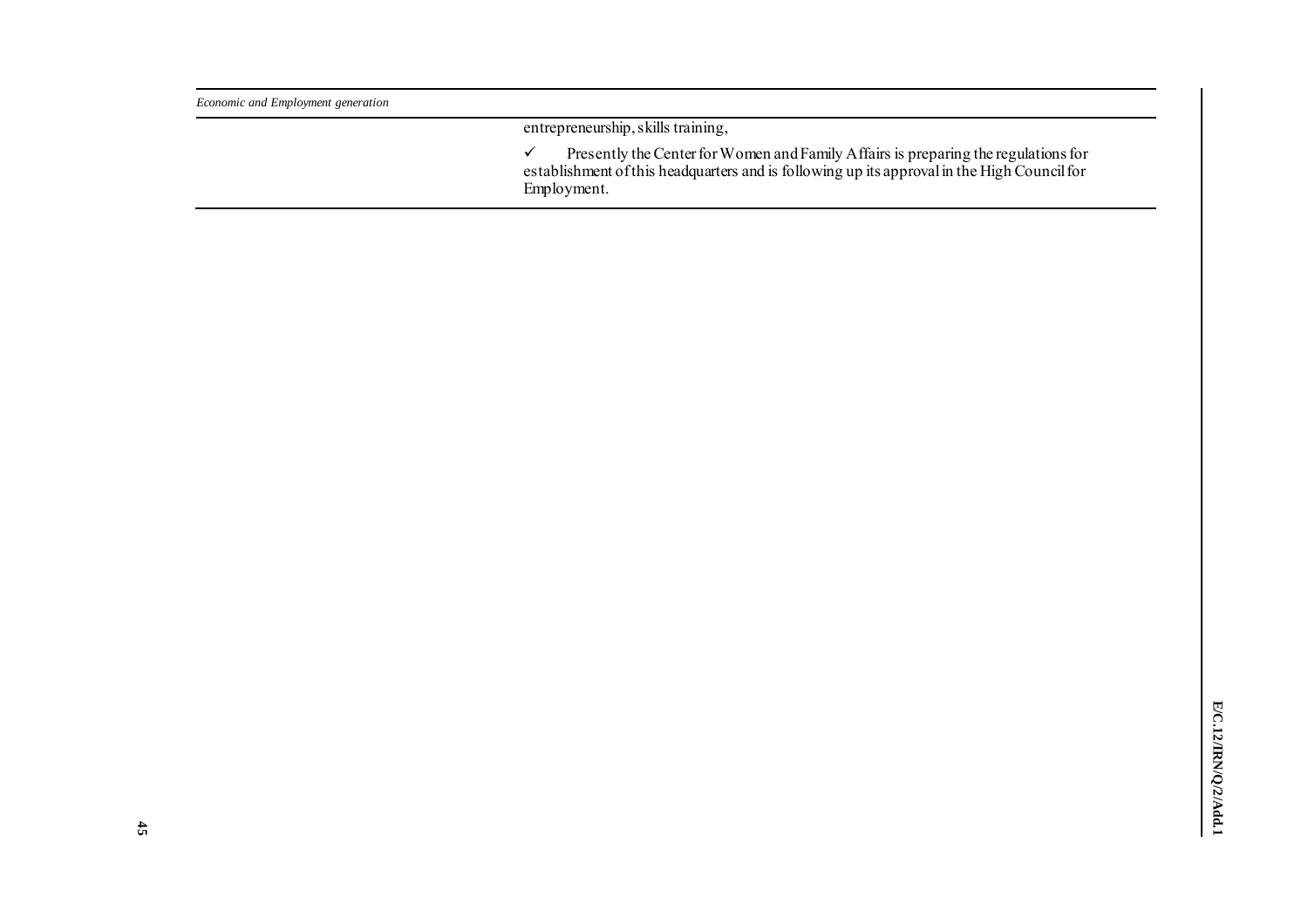| Economic and Employment generation |                                                                                                                                                                                                  |
|------------------------------------|--------------------------------------------------------------------------------------------------------------------------------------------------------------------------------------------------|
|                                    | entrepreneurship, skills training,                                                                                                                                                               |
|                                    | Presently the Center for Women and Family Affairs is preparing the regulations for<br>establishment of this headquarters and is following up its approval in the High Council for<br>Employment. |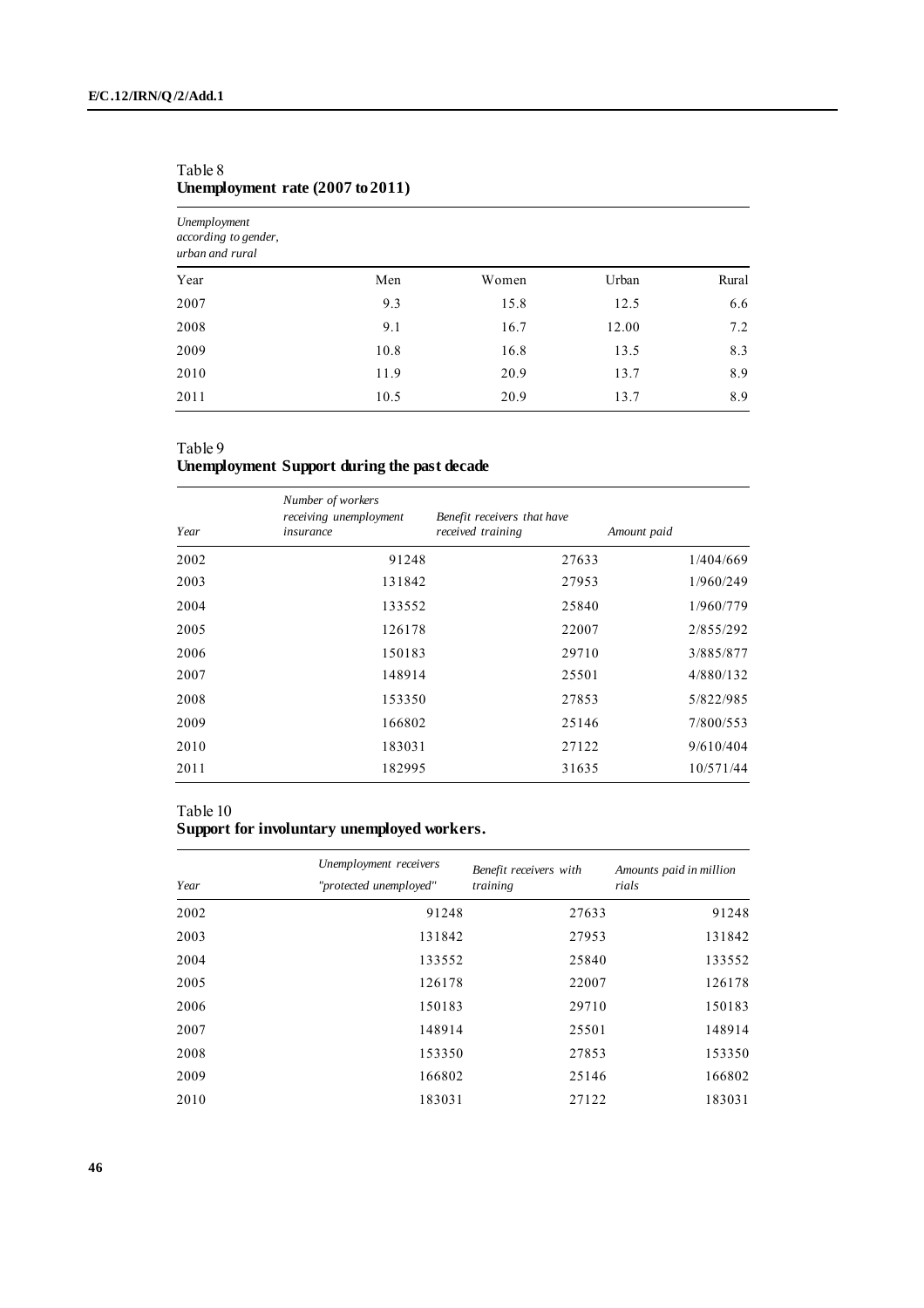| Unemployment<br>according to gender,<br>urban and rural |      |       |       |       |  |  |  |  |  |  |  |  |
|---------------------------------------------------------|------|-------|-------|-------|--|--|--|--|--|--|--|--|
| Year                                                    | Men  | Women | Urban | Rural |  |  |  |  |  |  |  |  |
| 2007                                                    | 9.3  | 15.8  | 12.5  | 6.6   |  |  |  |  |  |  |  |  |
| 2008                                                    | 9.1  | 16.7  | 12.00 | 7.2   |  |  |  |  |  |  |  |  |
| 2009                                                    | 10.8 | 16.8  | 13.5  | 8.3   |  |  |  |  |  |  |  |  |
| 2010                                                    | 11.9 | 20.9  | 13.7  | 8.9   |  |  |  |  |  |  |  |  |
| 2011                                                    | 10.5 | 20.9  | 13.7  | 8.9   |  |  |  |  |  |  |  |  |

### Table 8 **Unemployment rate (2007 to 2011)**

### Table 9

## **Unemployment Support during the past decade**

| Year | Number of workers<br>receiving unemployment<br>insurance | Benefit receivers that have<br>received training | Amount paid |  |  |
|------|----------------------------------------------------------|--------------------------------------------------|-------------|--|--|
| 2002 | 91248                                                    | 27633                                            | 1/404/669   |  |  |
| 2003 | 131842                                                   | 27953                                            | 1/960/249   |  |  |
| 2004 | 133552                                                   | 25840                                            | 1/960/779   |  |  |
| 2005 | 126178                                                   | 22007                                            | 2/855/292   |  |  |
| 2006 | 150183                                                   | 29710                                            | 3/885/877   |  |  |
| 2007 | 148914                                                   | 25501                                            | 4/880/132   |  |  |
| 2008 | 153350                                                   | 27853                                            | 5/822/985   |  |  |
| 2009 | 166802                                                   | 25146                                            | 7/800/553   |  |  |
| 2010 | 183031                                                   | 27122                                            | 9/610/404   |  |  |
| 2011 | 182995                                                   | 31635                                            | 10/571/44   |  |  |

### Table 10

### **Support for involuntary unemployed workers.**

| Year | Unemployment receivers<br>"protected unemployed" | Benefit receivers with<br>training | Amounts paid in million<br>rials |
|------|--------------------------------------------------|------------------------------------|----------------------------------|
| 2002 | 91248                                            | 27633                              | 91248                            |
| 2003 | 131842                                           | 27953                              | 131842                           |
| 2004 | 133552                                           | 25840                              | 133552                           |
| 2005 | 126178                                           | 22007                              | 126178                           |
| 2006 | 150183                                           | 29710                              | 150183                           |
| 2007 | 148914                                           | 25501                              | 148914                           |
| 2008 | 153350                                           | 27853                              | 153350                           |
| 2009 | 166802                                           | 25146                              | 166802                           |
| 2010 | 183031                                           | 27122                              | 183031                           |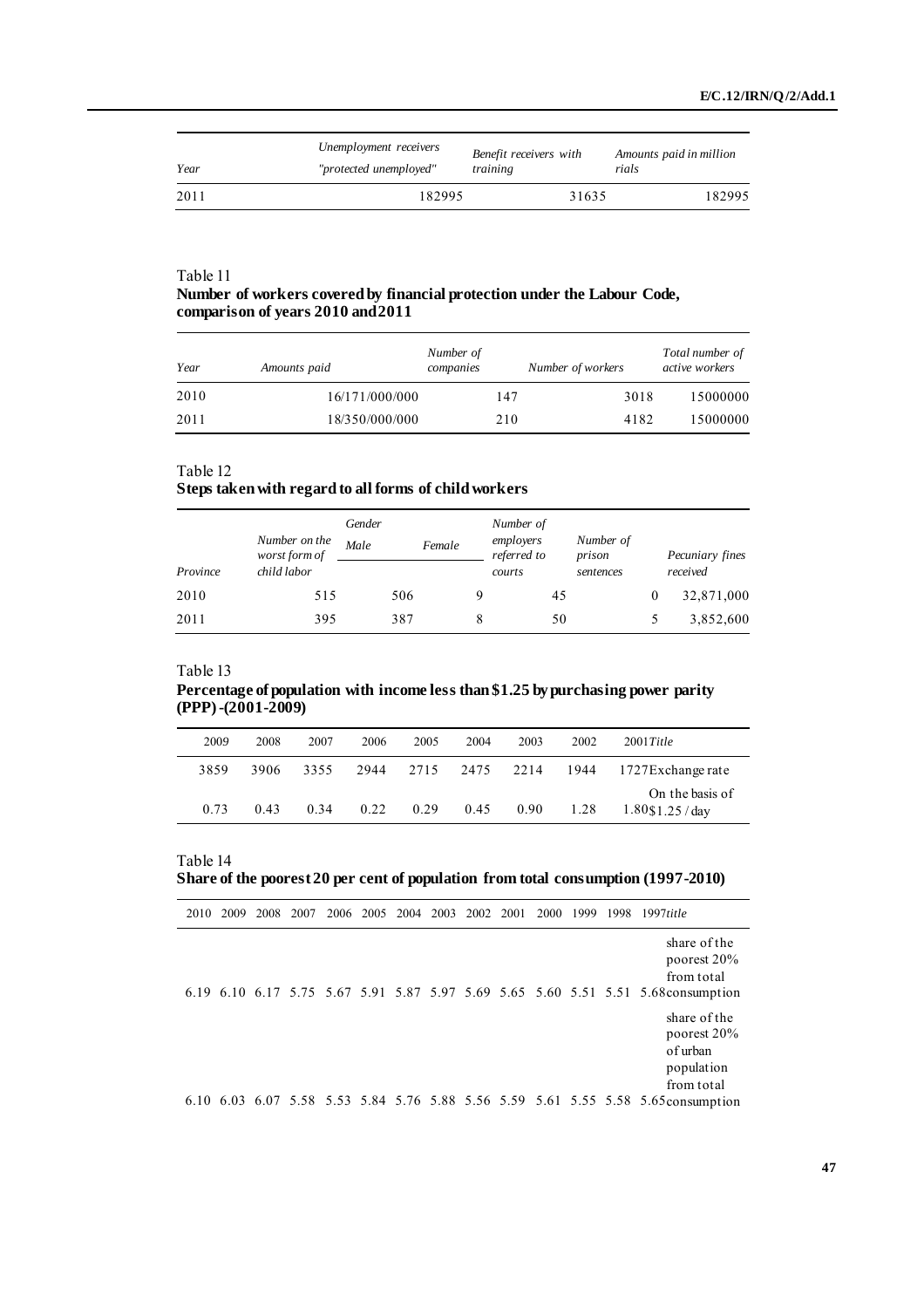| Year | Unemployment receivers | Benefit receivers with | Amounts paid in million |  |
|------|------------------------|------------------------|-------------------------|--|
|      | "protected unemployed" | training               | rials                   |  |
| 2011 | 182995                 | 31635                  | 182995                  |  |

### **Number of workers covered by financial protection under the Labour Code, comparison of years 2010 and 2011**

| Year | Amounts paid   | Number of<br>companies | Number of workers | Total number of<br>active workers |
|------|----------------|------------------------|-------------------|-----------------------------------|
| 2010 | 16/171/000/000 | 147                    | 3018              | 15000000                          |
| 2011 | 18/350/000/000 | 210                    | 4182              | 15000000                          |

### Table 12

#### **Steps taken with regard to all forms of child workers**

|          | Number on the<br>worst form of | Gender<br>Male | Female | Number of<br>employers<br>referred to |    | Number of<br>prison |   | Pecuniary fines |
|----------|--------------------------------|----------------|--------|---------------------------------------|----|---------------------|---|-----------------|
| Province | child labor                    |                |        | courts                                |    | sentences           |   | received        |
| 2010     | 515                            |                | 506    |                                       | 45 |                     | 0 | 32,871,000      |
| 2011     | 395                            |                | 387    |                                       | 50 |                     |   | 3,852,600       |

### Table 13

#### **Percentage of population with income less than \$1.25 by purchasing power parity (PPP) -(2001-2009)**

| 2009 | 2008 | 2007 | 2006 | 2005 | 2004 | 2003 | 2002 | $2001$ Title                           |
|------|------|------|------|------|------|------|------|----------------------------------------|
| 3859 | 3906 | 3355 | 2944 | 2715 | 2475 | 2214 | 1944 | 1727 Exchange rate                     |
| 0.73 | 0.43 | 0.34 | 0.22 | 0.29 | 0.45 | 0.90 | 1.28 | On the basis of<br>$1.80$ \$1.25 / day |

### Table 14

### **Share of the poorest 20 per cent of population from total consumption (1997-2010)**

| 2010 | 2009 | 2008 | 2007 | 2006 2005 2004 2003 2002 2001 |  |  | <b>2000</b> | 1999 | 1998 | $1997$ title                                                                                                                   |
|------|------|------|------|-------------------------------|--|--|-------------|------|------|--------------------------------------------------------------------------------------------------------------------------------|
|      |      |      |      |                               |  |  |             |      |      | share of the<br>poorest 20%<br>from total<br>6.19 6.10 6.17 5.75 5.67 5.91 5.87 5.97 5.69 5.65 5.60 5.51 5.51 5.68 consumption |
|      |      |      |      |                               |  |  |             |      |      | share of the<br>poorest 20%<br>of urban<br>population<br>from total                                                            |
|      |      |      |      |                               |  |  |             |      |      | 6.10 6.03 6.07 5.58 5.53 5.84 5.76 5.88 5.56 5.59 5.61 5.55 5.58 5.65 consumption                                              |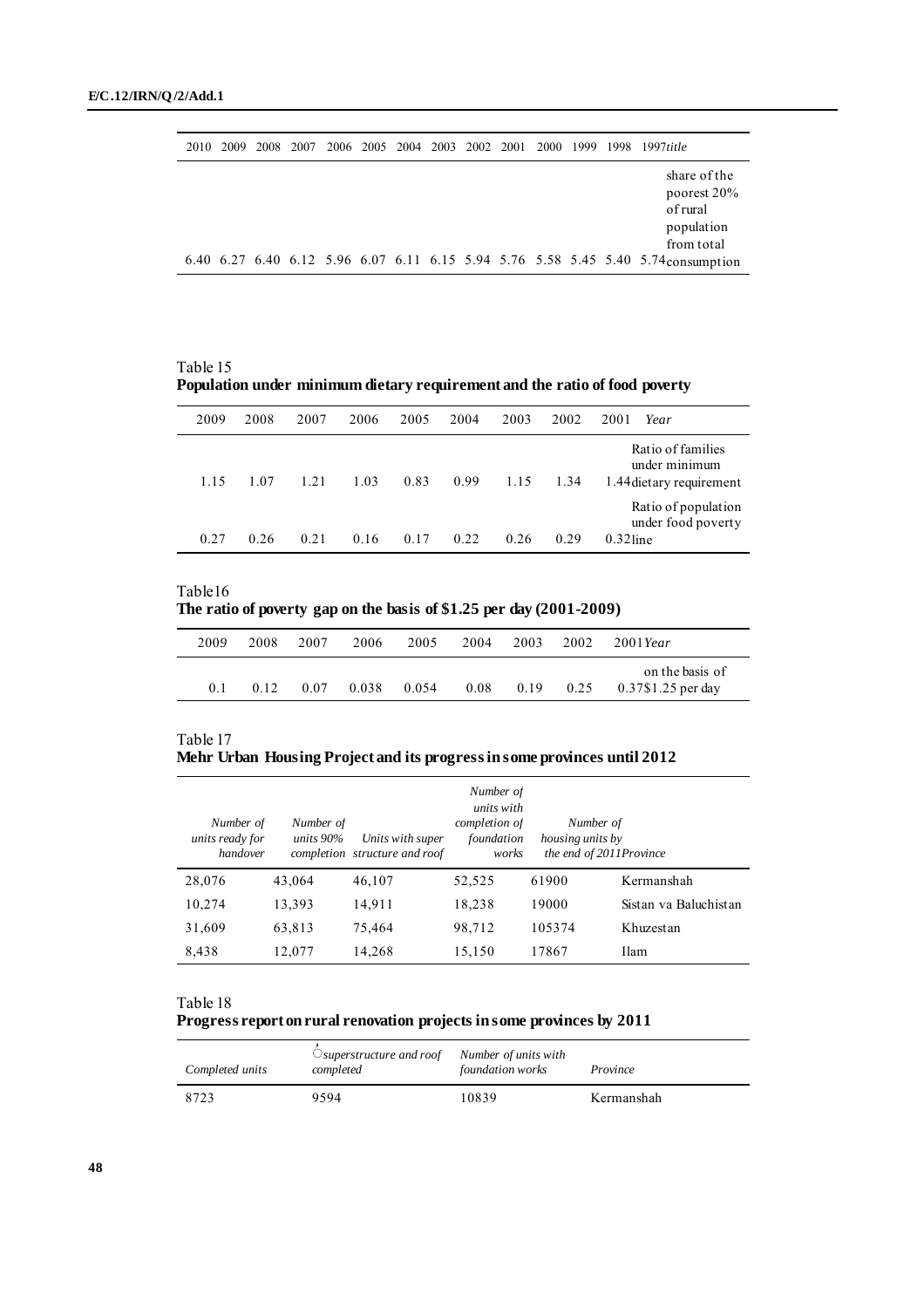| 2010 | 2009 2008 |  |  |  |  |  | 2007 2006 2005 2004 2003 2002 2001 2000 1999 1998 1997title                                                                                              |
|------|-----------|--|--|--|--|--|----------------------------------------------------------------------------------------------------------------------------------------------------------|
|      |           |  |  |  |  |  | share of the<br>poorest 20%<br>of rural<br>population<br>from total<br>6.40 6.27 6.40 6.12 5.96 6.07 6.11 6.15 5.94 5.76 5.58 5.45 5.40 5.74 consumption |

Table 15 **Population under minimum dietary requirement and the ratio of food poverty**

| 2009 | 2008  | 2007 | 2006 | 2005 | 2004 | 2003 | 2002 | 2001        | Year                                                           |
|------|-------|------|------|------|------|------|------|-------------|----------------------------------------------------------------|
| 1.15 | 1 0 7 | 1.21 | 1.03 | 0.83 | 0.99 | 1.15 | 1.34 |             | Ratio of families<br>under minimum<br>1.44 dietary requirement |
| 0.27 | 0.26  | 0.21 | 0.16 | 0.17 | 0.22 | 0.26 | 0.29 | $0.32$ line | Ratio of population<br>under food poverty                      |

Table16 **The ratio of poverty gap on the basis of \$1.25 per day (2001-2009)**

| 2009           | 2008 | 2007 | 2006  | 2005  | 2004 | 2003 | 2002 | $2001$ Year                             |
|----------------|------|------|-------|-------|------|------|------|-----------------------------------------|
| 0 <sup>1</sup> | 0.12 | 0.07 | 0.038 | 0.054 | 0.08 | 0.19 | 0.25 | on the basis of<br>$0.37\$ 1.25 per day |

| Table 17 |                                                                          |  |  |
|----------|--------------------------------------------------------------------------|--|--|
|          | Mehr Urban Housing Project and its progress in some provinces until 2012 |  |  |

| Number of<br>units ready for<br>handover | Number of<br>units $90\%$ | Units with super<br>completion structure and roof | Number of<br>units with<br>completion of<br>foundation<br>works | Number of<br>housing units by<br>the end of 2011Province |                       |
|------------------------------------------|---------------------------|---------------------------------------------------|-----------------------------------------------------------------|----------------------------------------------------------|-----------------------|
| 28,076                                   | 43,064                    | 46,107                                            | 52,525                                                          | 61900                                                    | Kermanshah            |
| 10,274                                   | 13,393                    | 14,911                                            | 18,238                                                          | 19000                                                    | Sistan va Baluchistan |
| 31,609                                   | 63,813                    | 75,464                                            | 98,712                                                          | 105374                                                   | Khuzestan             |
| 8,438                                    | 12,077                    | 14,268                                            | 15,150                                                          | 17867                                                    | Ilam                  |

**Progress report on rural renovation projects in some provinces by 2011**

| Completed units | $\bigcirc$ superstructure and roof<br>completed | Number of units with<br>foundation works | Province   |
|-----------------|-------------------------------------------------|------------------------------------------|------------|
| 8723            | 9594                                            | 10839                                    | Kermanshah |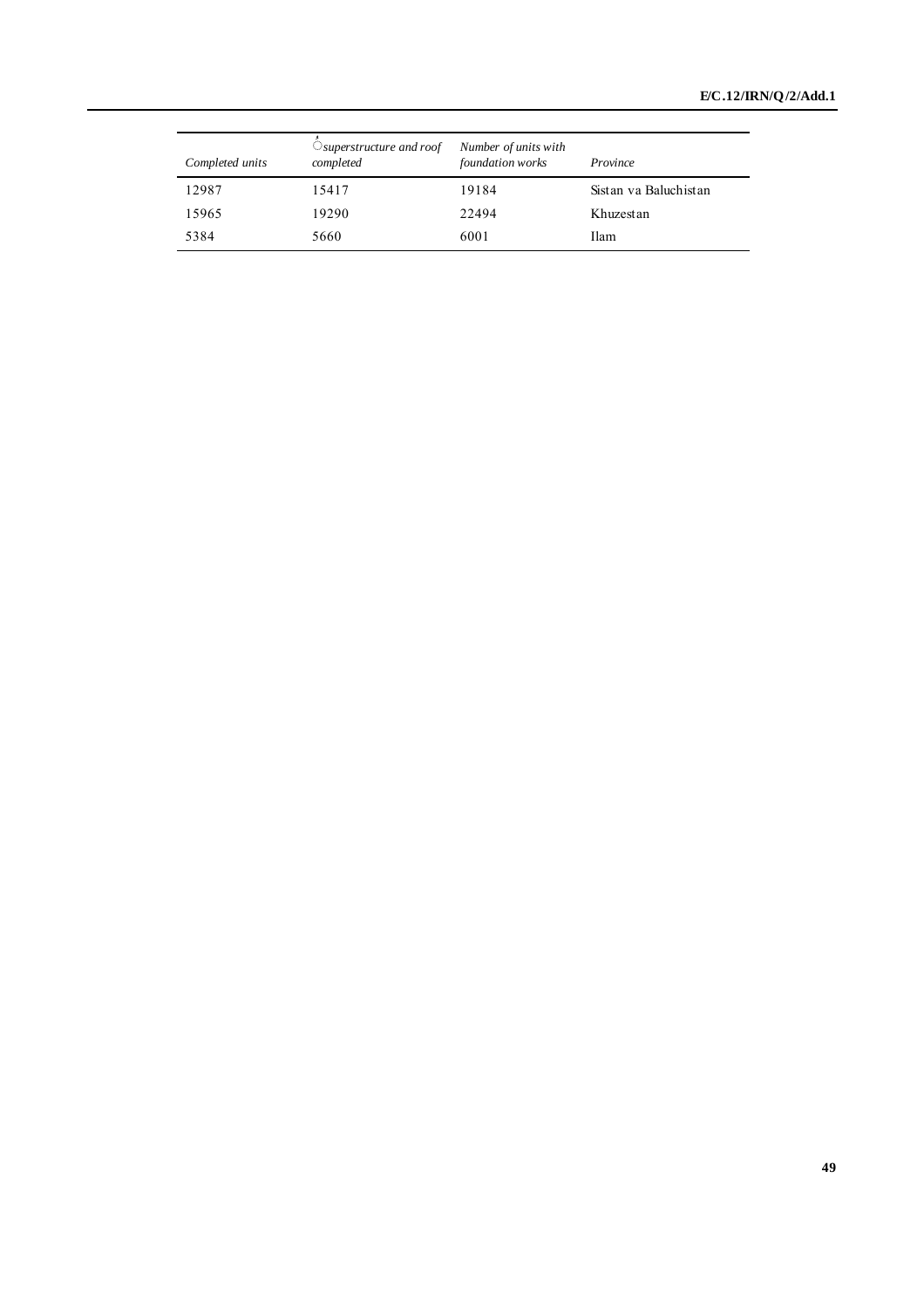| Completed units | $\bigcirc$ superstructure and roof<br>completed | Number of units with<br>foundation works | Province              |
|-----------------|-------------------------------------------------|------------------------------------------|-----------------------|
| 12987           | 15417                                           | 19184                                    | Sistan va Baluchistan |
| 15965           | 19290                                           | 22494                                    | Khuzestan             |
| 5384            | 5660                                            | 6001                                     | <b>Ilam</b>           |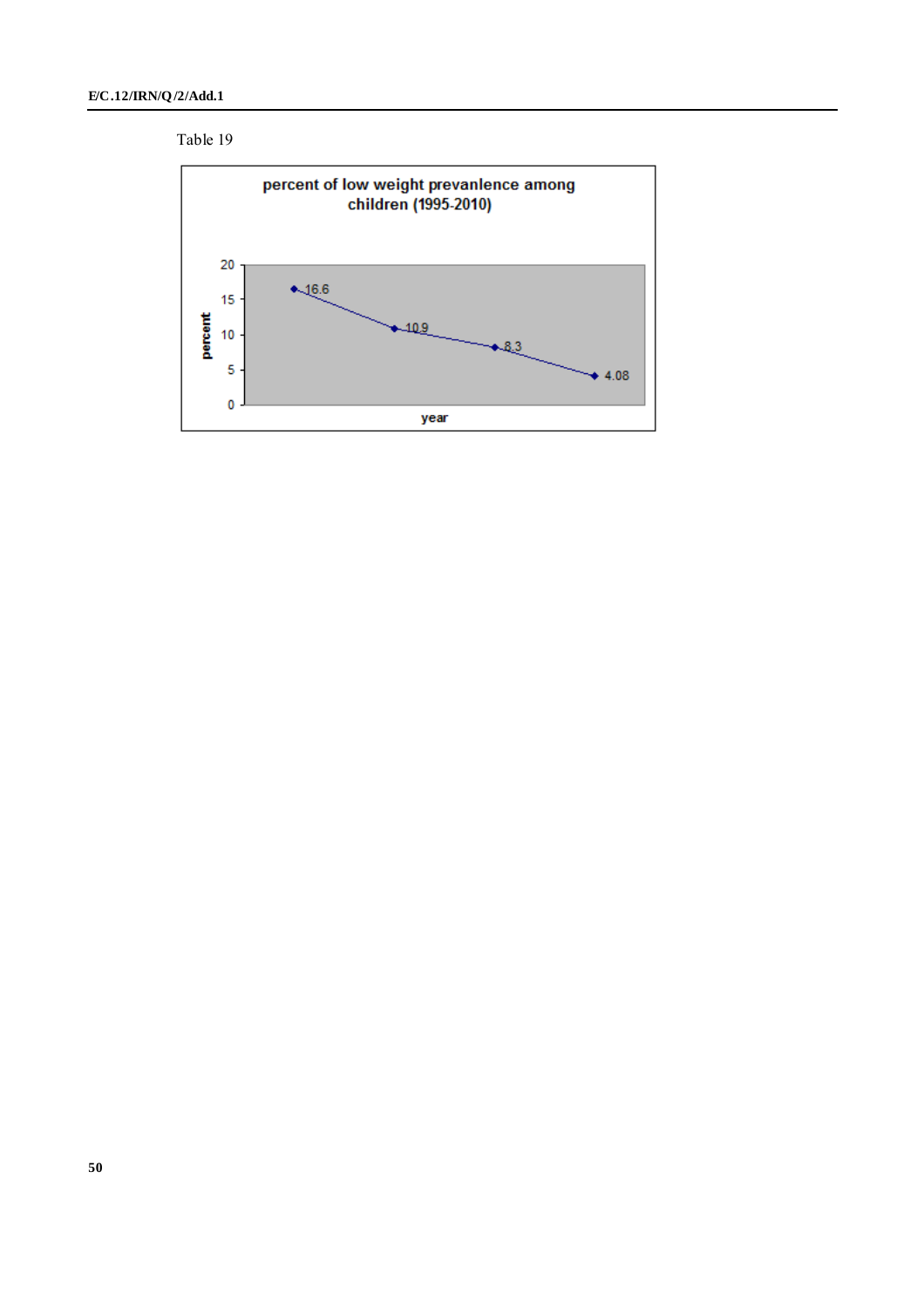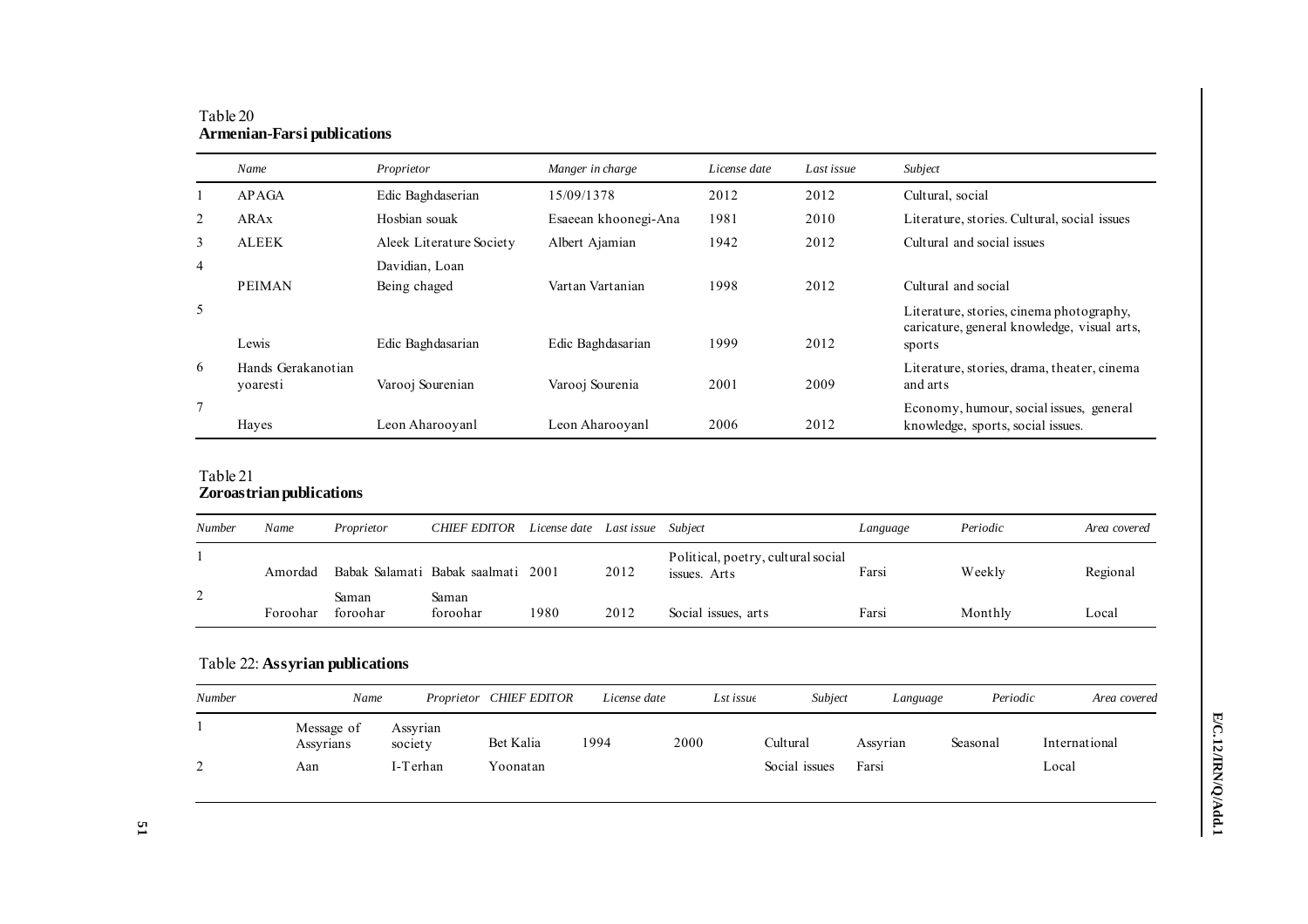|                | Name                           | Proprietor               | Manger in charge     | License date | Last issue | Subject                                                                                           |
|----------------|--------------------------------|--------------------------|----------------------|--------------|------------|---------------------------------------------------------------------------------------------------|
|                | <b>APAGA</b>                   | Edic Baghdaserian        | 15/09/1378           | 2012         | 2012       | Cultural, social                                                                                  |
| 2              | <b>ARAx</b>                    | Hosbian souak            | Esaeean khoonegi-Ana | 1981         | 2010       | Literature, stories. Cultural, social issues                                                      |
| 3              | <b>ALEEK</b>                   | Aleek Literature Society | Albert Ajamian       | 1942         | 2012       | Cultural and social issues                                                                        |
| $\overline{4}$ |                                | Davidian, Loan           |                      |              |            |                                                                                                   |
|                | <b>PEIMAN</b>                  | Being chaged             | Vartan Vartanian     | 1998         | 2012       | Cultural and social                                                                               |
| 5              | Lewis                          | Edic Baghdasarian        | Edic Baghdasarian    | 1999         | 2012       | Literature, stories, cinema photography,<br>caricature, general knowledge, visual arts,<br>sports |
| 6              | Hands Gerakanotian<br>yoaresti | Varooj Sourenian         | Varooj Sourenia      | 2001         | 2009       | Literature, stories, drama, theater, cinema<br>and arts                                           |
| $\overline{7}$ | Haves                          | Leon Aharooyanl          | Leon Aharooyanl      | 2006         | 2012       | Economy, humour, social issues, general<br>knowledge, sports, social issues.                      |

### Table 20 **Armenian-Farsi publications**

### Table 21 **Zoroastrian publications**

| Number             | Name     | Proprietor        | <b>CHIEF EDITOR</b>                | License date Last issue |      | Subiect                                            | Language | Periodic | Area covered |
|--------------------|----------|-------------------|------------------------------------|-------------------------|------|----------------------------------------------------|----------|----------|--------------|
|                    | Amordad  |                   | Babak Salamati Babak saalmati 2001 |                         | 2012 | Political, poetry, cultural social<br>issues. Arts | Farsi    | Weekly   | Regional     |
| $\mathcal{D}$<br>∠ | Foroohar | Saman<br>foroohar | Saman<br>foroohar                  | 1980                    | 2012 | Social issues, arts                                | Farsi    | Monthly  | Local        |

## Table 22: **Assyrian publications**

| Number    | Name                    |                     | Proprietor CHIEF EDITOR | License date |      | Lst issue | Subject       | Language | Periodic | Area covered  |
|-----------|-------------------------|---------------------|-------------------------|--------------|------|-----------|---------------|----------|----------|---------------|
|           | Message of<br>Assyrians | Assyrian<br>society | Bet Kalia               | 1994         | 2000 |           | Cultural      | Assyrian | Seasonal | International |
| $\bigcap$ | Aan                     | I-Terhan            | Yoonatan                |              |      |           | Social issues | Farsi    |          | Local         |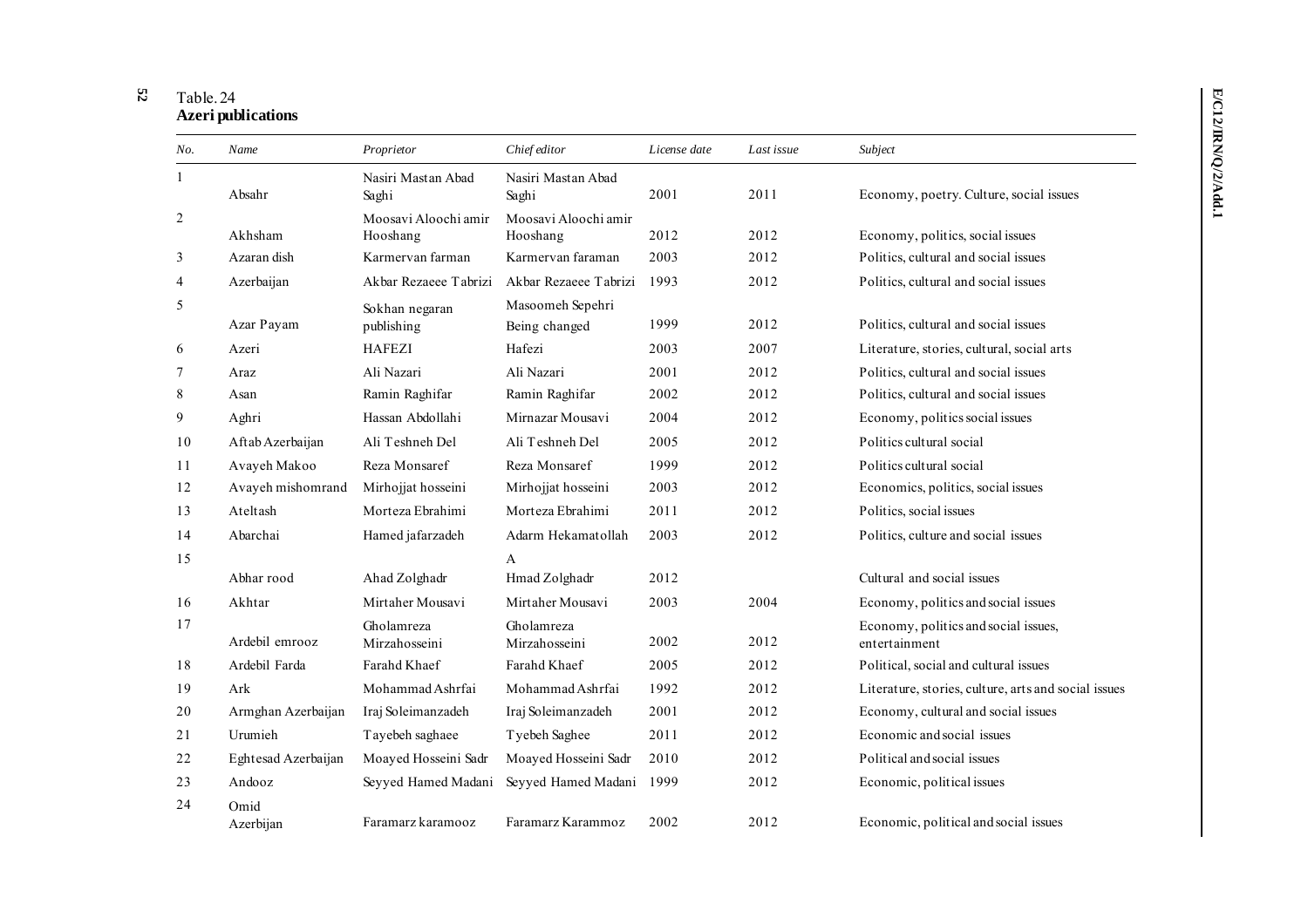#### **52** Table. 24 **Azeri publications**

| No.            | Name                | Proprietor                       | Chief editor                      | License date | Last issue | Subject                                               |
|----------------|---------------------|----------------------------------|-----------------------------------|--------------|------------|-------------------------------------------------------|
| 1              | Absahr              | Nasiri Mastan Abad<br>Saghi      | Nasiri Mastan Abad<br>Saghi       | 2001         | 2011       | Economy, poetry. Culture, social issues               |
| 2              | Akhsham             | Moosavi Aloochi amir<br>Hooshang | Moosavi Aloochi amir<br>Hooshang  | 2012         | 2012       | Economy, politics, social issues                      |
| 3              | Azaran dish         | Karmervan farman                 | Karmervan faraman                 | 2003         | 2012       | Politics, cultural and social issues                  |
| $\overline{4}$ | Azerbaijan          | Akbar Rezaeee Tabrizi            | Akbar Rezaeee Tabrizi             | 1993         | 2012       | Politics, cultural and social issues                  |
| 5              | Azar Payam          | Sokhan negaran<br>publishing     | Masoomeh Sepehri<br>Being changed | 1999         | 2012       | Politics, cultural and social issues                  |
| 6              | Azeri               | <b>HAFEZI</b>                    | Hafezi                            | 2003         | 2007       | Literature, stories, cultural, social arts            |
| 7              | Araz                | Ali Nazari                       | Ali Nazari                        | 2001         | 2012       | Politics, cultural and social issues                  |
| 8              | Asan                | Ramin Raghifar                   | Ramin Raghifar                    | 2002         | 2012       | Politics, cultural and social issues                  |
| 9              | Aghri               | Hassan Abdollahi                 | Mirnazar Mousavi                  | 2004         | 2012       | Economy, politics social issues                       |
| 10             | Aftab Azerbaijan    | Ali Teshneh Del                  | Ali Teshneh Del                   | 2005         | 2012       | Politics cultural social                              |
| 11             | Avayeh Makoo        | Reza Monsaref                    | Reza Monsaref                     | 1999         | 2012       | Politics cultural social                              |
| 12             | Avayeh mishomrand   | Mirhojjat hosseini               | Mirhojjat hosseini                | 2003         | 2012       | Economics, politics, social issues                    |
| 13             | Ateltash            | Morteza Ebrahimi                 | Morteza Ebrahimi                  | 2011         | 2012       | Politics, social issues                               |
| 14             | Abarchai            | Hamed jafarzadeh                 | Adarm Hekamatollah                | 2003         | 2012       | Politics, culture and social issues                   |
| 15             |                     |                                  | A                                 |              |            |                                                       |
|                | Abhar rood          | Ahad Zolghadr                    | Hmad Zolghadr                     | 2012         |            | Cultural and social issues                            |
| 16             | Akhtar              | Mirtaher Mousavi                 | Mirtaher Mousavi                  | 2003         | 2004       | Economy, politics and social issues                   |
| 17             | Ardebil emrooz      | Gholamreza<br>Mirzahosseini      | Gholamreza<br>Mirzahosseini       | 2002         | 2012       | Economy, politics and social issues,<br>entertainment |
| 18             | Ardebil Farda       | Farahd Khaef                     | Farahd Khaef                      | 2005         | 2012       | Political, social and cultural issues                 |
| 19             | Ark                 | Mohammad Ashrfai                 | Mohammad Ashrfai                  | 1992         | 2012       | Literature, stories, culture, arts and social issues  |
| 20             | Armghan Azerbaijan  | Iraj Soleimanzadeh               | Iraj Soleimanzadeh                | 2001         | 2012       | Economy, cultural and social issues                   |
| 21             | Urumieh             | Tayebeh saghaee                  | Tyebeh Saghee                     | 2011         | 2012       | Economic and social issues                            |
| 22             | Eghtesad Azerbaijan | Moayed Hosseini Sadr             | Moayed Hosseini Sadr              | 2010         | 2012       | Political and social issues                           |
| 23             | Andooz              | Seyyed Hamed Madani              | Seyyed Hamed Madani               | 1999         | 2012       | Economic, political issues                            |
| 24             | Omid<br>Azerbijan   | Faramarz karamooz                | Faramarz Karammoz                 | 2002         | 2012       | Economic, political and social issues                 |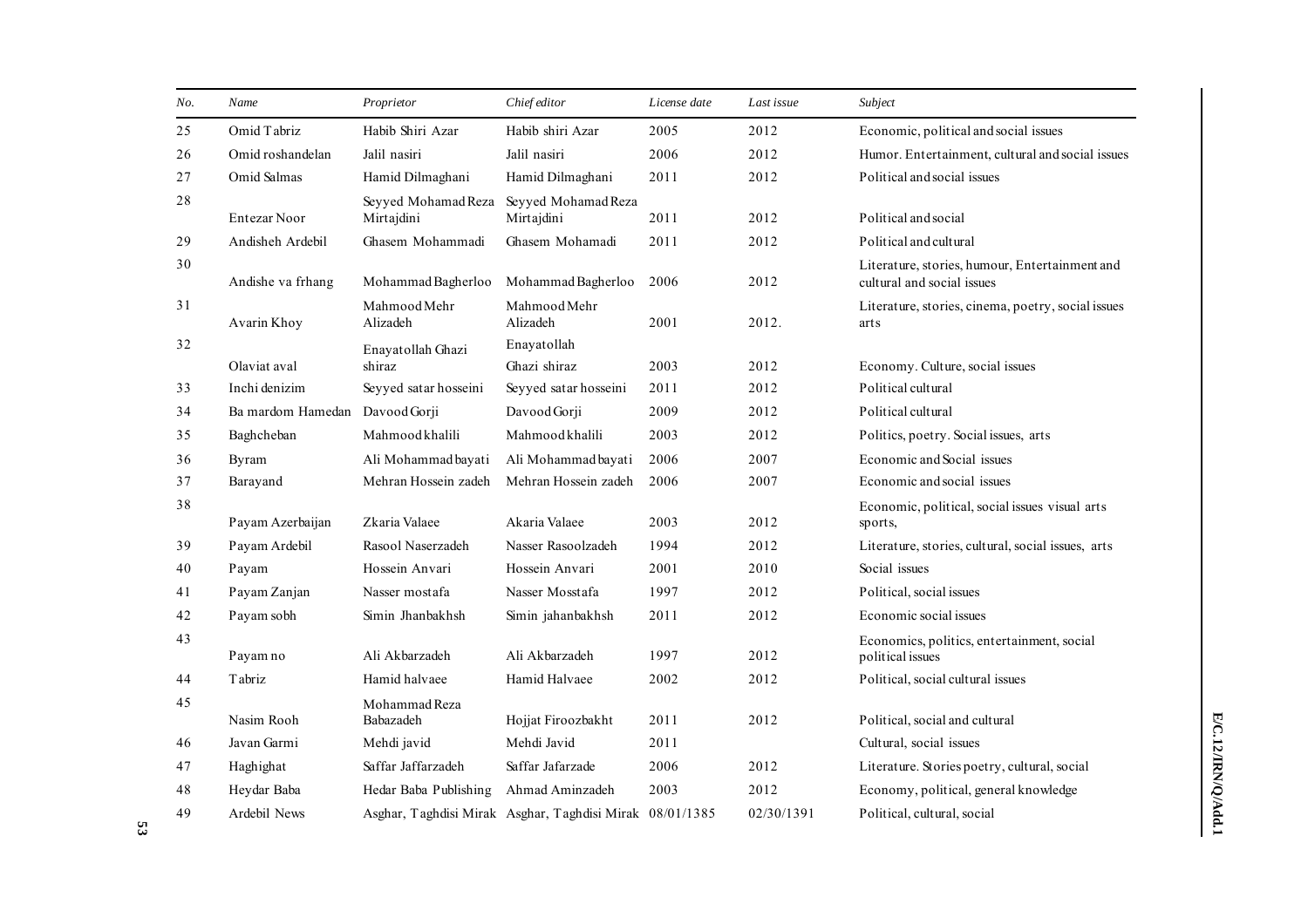| No. | Name              | Proprietor                        | Chief editor                                             | License date | Last issue | Subject                                                                      |
|-----|-------------------|-----------------------------------|----------------------------------------------------------|--------------|------------|------------------------------------------------------------------------------|
| 25  | Omid Tabriz       | Habib Shiri Azar                  | Habib shiri Azar                                         | 2005         | 2012       | Economic, political and social issues                                        |
| 26  | Omid roshandelan  | Jalil nasiri                      | Jalil nasiri                                             | 2006         | 2012       | Humor. Entertainment, cultural and social issues                             |
| 27  | Omid Salmas       | Hamid Dilmaghani                  | Hamid Dilmaghani                                         | 2011         | 2012       | Political and social issues                                                  |
| 28  | Entezar Noor      | Seyyed Mohamad Reza<br>Mirtajdini | Seyyed Mohamad Reza<br>Mirtajdini                        | 2011         | 2012       | Political and social                                                         |
| 29  | Andisheh Ardebil  | Ghasem Mohammadi                  | Ghasem Mohamadi                                          | 2011         | 2012       | Political and cultural                                                       |
| 30  | Andishe va frhang | Mohammad Bagherloo                | Mohammad Bagherloo                                       | 2006         | 2012       | Literature, stories, humour, Entertainment and<br>cultural and social issues |
| 31  | Avarin Khoy       | Mahmood Mehr<br>Alizadeh          | Mahmood Mehr<br>Alizadeh                                 | 2001         | 2012.      | Literature, stories, cinema, poetry, social issues<br>arts                   |
| 32  | Olaviat aval      | Enayatollah Ghazi<br>shiraz       | Enayatollah<br>Ghazi shiraz                              | 2003         | 2012       | Economy. Culture, social issues                                              |
| 33  | Inchi denizim     | Seyyed satar hosseini             | Seyyed satar hosseini                                    | 2011         | 2012       | Political cultural                                                           |
| 34  | Ba mardom Hamedan | Davood Gorji                      | Davood Gorji                                             | 2009         | 2012       | Political cultural                                                           |
| 35  | Baghcheban        | Mahmood khalili                   | Mahmoodkhalili                                           | 2003         | 2012       | Politics, poetry. Social issues, arts                                        |
| 36  | Byram             | Ali Mohammad bayati               | Ali Mohammad bayati                                      | 2006         | 2007       | Economic and Social issues                                                   |
| 37  | Barayand          | Mehran Hossein zadeh              | Mehran Hossein zadeh                                     | 2006         | 2007       | Economic and social issues                                                   |
| 38  | Payam Azerbaijan  | Zkaria Valaee                     | Akaria Valaee                                            | 2003         | 2012       | Economic, political, social issues visual arts<br>sports,                    |
| 39  | Payam Ardebil     | Rasool Naserzadeh                 | Nasser Rasoolzadeh                                       | 1994         | 2012       | Literature, stories, cultural, social issues, arts                           |
| 40  | Payam             | Hossein Anvari                    | Hossein Anvari                                           | 2001         | 2010       | Social issues                                                                |
| 41  | Payam Zanjan      | Nasser mostafa                    | Nasser Mosstafa                                          | 1997         | 2012       | Political, social issues                                                     |
| 42  | Payam sobh        | Simin Jhanbakhsh                  | Simin jahanbakhsh                                        | 2011         | 2012       | Economic social issues                                                       |
| 43  | Payam no          | Ali Akbarzadeh                    | Ali Akbarzadeh                                           | 1997         | 2012       | Economics, politics, entertainment, social<br>political issues               |
| 44  | Tabriz            | Hamid halvaee                     | Hamid Halvaee                                            | 2002         | 2012       | Political, social cultural issues                                            |
| 45  | Nasim Rooh        | Mohammad Reza<br>Babazadeh        | Hojjat Firoozbakht                                       | 2011         | 2012       | Political, social and cultural                                               |
| 46  | Javan Garmi       | Mehdi javid                       | Mehdi Javid                                              | 2011         |            | Cultural, social issues                                                      |
| 47  | Haghighat         | Saffar Jaffarzadeh                | Saffar Jafarzade                                         | 2006         | 2012       | Literature. Stories poetry, cultural, social                                 |
| 48  | Heydar Baba       | Hedar Baba Publishing             | Ahmad Aminzadeh                                          | 2003         | 2012       | Economy, political, general knowledge                                        |
| 49  | Ardebil News      |                                   | Asghar, Taghdisi Mirak Asghar, Taghdisi Mirak 08/01/1385 |              | 02/30/1391 | Political, cultural, social                                                  |

**53**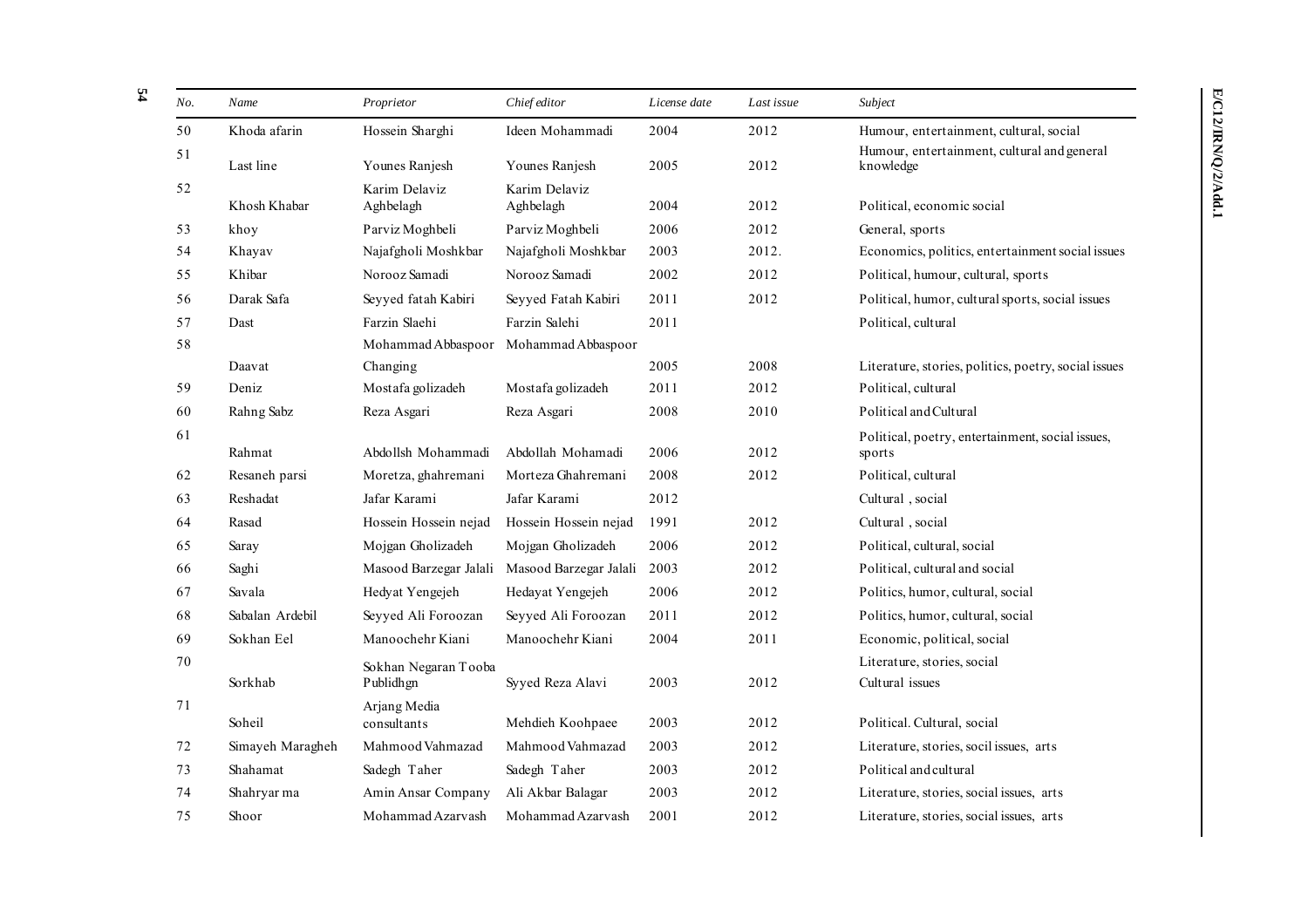| No.    | Name             | Proprietor                  | Chief editor               | License date | Last issue | Subject                                                    |
|--------|------------------|-----------------------------|----------------------------|--------------|------------|------------------------------------------------------------|
| 50     | Khoda afarin     | Hossein Sharghi             | Ideen Mohammadi            | 2004         | 2012       | Humour, entertainment, cultural, social                    |
| 51     | Last line        | Younes Ranjesh              | Younes Ranjesh             | 2005         | 2012       | Humour, entertainment, cultural and general<br>knowledge   |
| 52     | Khosh Khabar     | Karim Delaviz<br>Aghbelagh  | Karim Delaviz<br>Aghbelagh | 2004         | 2012       | Political, economic social                                 |
| 53     | khoy             | Parviz Moghbeli             | Parviz Moghbeli            | 2006         | 2012       | General, sports                                            |
| 54     | Khayav           | Najafgholi Moshkbar         | Najafgholi Moshkbar        | 2003         | 2012.      | Economics, politics, entertainment social issues           |
| 55     | Khibar           | Norooz Samadi               | Norooz Samadi              | 2002         | 2012       | Political, humour, cultural, sports                        |
| 56     | Darak Safa       | Seyyed fatah Kabiri         | Seyyed Fatah Kabiri        | 2011         | 2012       | Political, humor, cultural sports, social issues           |
| 57     | Dast             | Farzin Slaehi               | Farzin Salehi              | 2011         |            | Political, cultural                                        |
| 58     |                  | Mohammad Abbaspoor          | Mohammad Abbaspoor         |              |            |                                                            |
|        | Daavat           | Changing                    |                            | 2005         | 2008       | Literature, stories, politics, poetry, social issues       |
| 59     | Deniz            | Mostafa golizadeh           | Mostafa golizadeh          | 2011         | 2012       | Political, cultural                                        |
| 60     | Rahng Sabz       | Reza Asgari                 | Reza Asgari                | 2008         | 2010       | Political and Cultural                                     |
| 61     | Rahmat           | Abdollsh Mohammadi          | Abdollah Mohamadi          | 2006         | 2012       | Political, poetry, entertainment, social issues,<br>sports |
| 62     | Resaneh parsi    | Moretza, ghahremani         | Morteza Ghahremani         | 2008         | 2012       | Political, cultural                                        |
| 63     | Reshadat         | Jafar Karami                | Jafar Karami               | 2012         |            | Cultural, social                                           |
| 64     | Rasad            | Hossein Hossein nejad       | Hossein Hossein nejad      | 1991         | 2012       | Cultural, social                                           |
| 65     | Saray            | Mojgan Gholizadeh           | Mojgan Gholizadeh          | 2006         | 2012       | Political, cultural, social                                |
| 66     | Saghi            | Masood Barzegar Jalali      | Masood Barzegar Jalali     | 2003         | 2012       | Political, cultural and social                             |
| 67     | Savala           | Hedyat Yengejeh             | Hedayat Yengejeh           | 2006         | 2012       | Politics, humor, cultural, social                          |
| 68     | Sabalan Ardebil  | Seyyed Ali Foroozan         | Seyyed Ali Foroozan        | 2011         | 2012       | Politics, humor, cultural, social                          |
| 69     | Sokhan Eel       | Manoochehr Kiani            | Manoochehr Kiani           | 2004         | 2011       | Economic, political, social                                |
| $70\,$ |                  | Sokhan Negaran Tooba        |                            |              |            | Literature, stories, social                                |
|        | Sorkhab          | Publidhgn                   | Syyed Reza Alavi           | 2003         | 2012       | Cultural issues                                            |
| 71     | Soheil           | Arjang Media<br>consultants | Mehdieh Koohpaee           | 2003         | 2012       | Political. Cultural, social                                |
| 72     | Simayeh Maragheh | Mahmood Vahmazad            | Mahmood Vahmazad           | 2003         | 2012       | Literature, stories, socil issues, arts                    |
| 73     | Shahamat         | Sadegh Taher                | Sadegh Taher               | 2003         | 2012       | Political and cultural                                     |
| 74     | Shahryar ma      | Amin Ansar Company          | Ali Akbar Balagar          | 2003         | 2012       | Literature, stories, social issues, arts                   |
| 75     | Shoor            | Mohammad Azarvash           | Mohammad Azarvash          | 2001         | 2012       | Literature, stories, social issues, arts                   |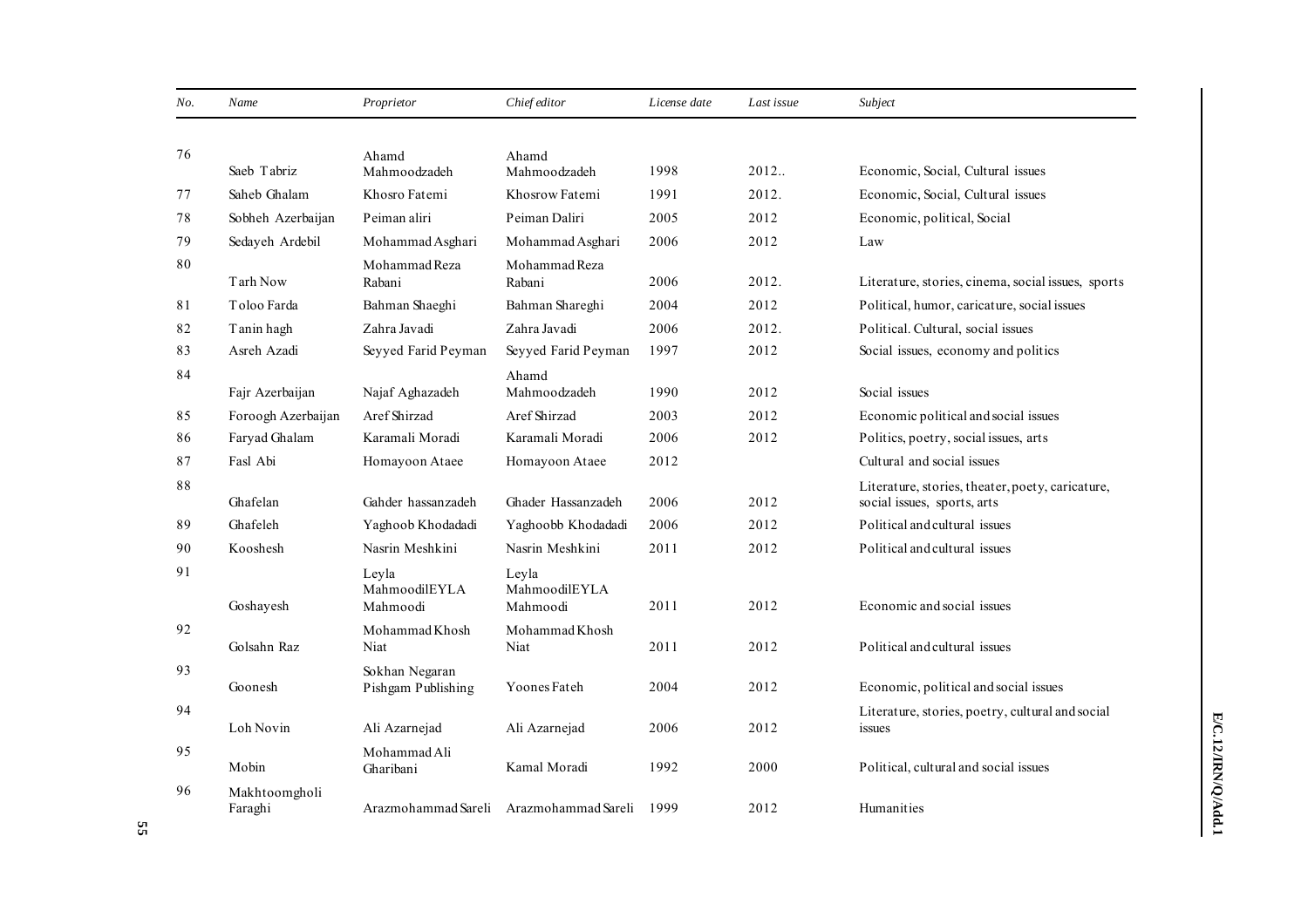| No. | Name                     | Proprietor                           | Chief editor                            | License date | Last issue | Subject                                                                         |
|-----|--------------------------|--------------------------------------|-----------------------------------------|--------------|------------|---------------------------------------------------------------------------------|
|     |                          |                                      |                                         |              |            |                                                                                 |
| 76  | Saeb Tabriz              | Ahamd<br>Mahmoodzadeh                | Ahamd<br>Mahmoodzadeh                   | 1998         | 2012       | Economic, Social, Cultural issues                                               |
| 77  | Saheb Ghalam             | Khosro Fatemi                        | Khosrow Fatemi                          | 1991         | 2012.      | Economic, Social, Cultural issues                                               |
| 78  | Sobheh Azerbaijan        | Peiman aliri                         | Peiman Daliri                           | 2005         | 2012       | Economic, political, Social                                                     |
| 79  | Sedayeh Ardebil          | Mohammad Asghari                     | Mohammad Asghari                        | 2006         | 2012       | Law                                                                             |
| 80  | Tarh Now                 | Mohammad Reza<br>Rabani              | Mohammad Reza<br>Rabani                 | 2006         | 2012.      | Literature, stories, cinema, social issues, sports                              |
| 81  | Toloo Farda              | Bahman Shaeghi                       | Bahman Shareghi                         | 2004         | 2012       | Political, humor, caricature, social issues                                     |
| 82  | Tanin hagh               | Zahra Javadi                         | Zahra Javadi                            | 2006         | 2012.      | Political. Cultural, social issues                                              |
| 83  | Asreh Azadi              | Seyyed Farid Peyman                  | Seyyed Farid Peyman                     | 1997         | 2012       | Social issues, economy and politics                                             |
| 84  | Fajr Azerbaijan          | Najaf Aghazadeh                      | Ahamd<br>Mahmoodzadeh                   | 1990         | 2012       | Social issues                                                                   |
| 85  | Foroogh Azerbaijan       | Aref Shirzad                         | Aref Shirzad                            | 2003         | 2012       | Economic political and social issues                                            |
| 86  | Faryad Ghalam            | Karamali Moradi                      | Karamali Moradi                         | 2006         | 2012       | Politics, poetry, social issues, arts                                           |
| 87  | Fasl Abi                 | Homayoon Ataee                       | Homayoon Ataee                          | 2012         |            | Cultural and social issues                                                      |
| 88  | Ghafelan                 | Gahder hassanzadeh                   | Ghader Hassanzadeh                      | 2006         | 2012       | Literature, stories, theater, poety, caricature,<br>social issues, sports, arts |
| 89  | Ghafeleh                 | Yaghoob Khodadadi                    | Yaghoobb Khodadadi                      | 2006         | 2012       | Political and cultural issues                                                   |
| 90  | Kooshesh                 | Nasrin Meshkini                      | Nasrin Meshkini                         | 2011         | 2012       | Political and cultural issues                                                   |
| 91  | Goshayesh                | Leyla<br>MahmoodilEYLA<br>Mahmoodi   | Leyla<br>MahmoodilEYLA<br>Mahmoodi      | 2011         | 2012       | Economic and social issues                                                      |
| 92  | Golsahn Raz              | Mohammad Khosh<br>Niat               | Mohammad Khosh<br>Niat                  | 2011         | 2012       | Political and cultural issues                                                   |
| 93  | Goonesh                  | Sokhan Negaran<br>Pishgam Publishing | Yoones Fateh                            | 2004         | 2012       | Economic, political and social issues                                           |
| 94  | Loh Novin                | Ali Azarnejad                        | Ali Azarnejad                           | 2006         | 2012       | Literature, stories, poetry, cultural and social<br>issues                      |
| 95  | Mobin                    | Mohammad Ali<br>Gharibani            | Kamal Moradi                            | 1992         | 2000       | Political, cultural and social issues                                           |
| 96  | Makhtoomgholi<br>Faraghi |                                      | Arazmohammad Sareli Arazmohammad Sareli | 1999         | 2012       | Humanities                                                                      |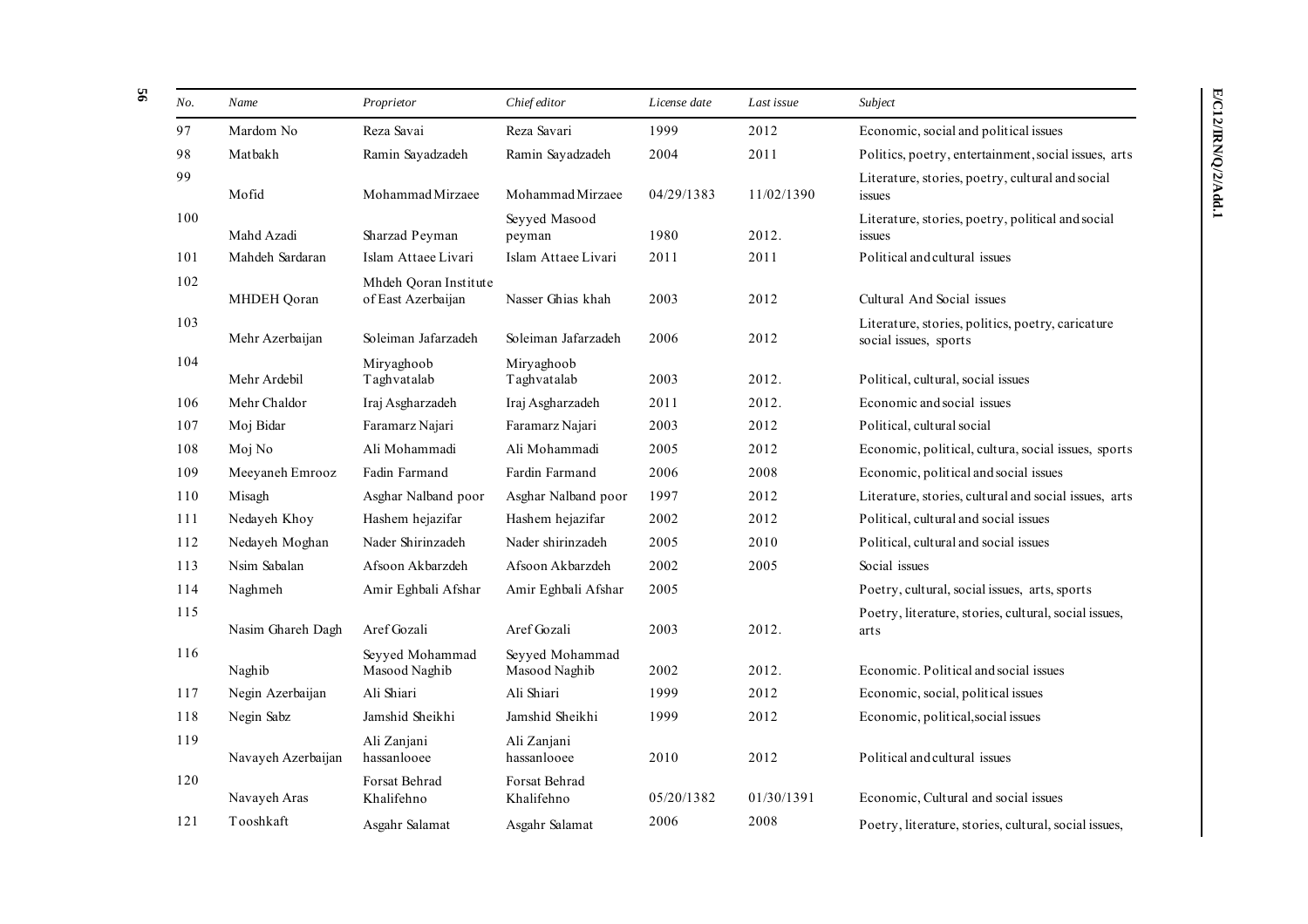| No. | Name               | Proprietor                                  | Chief editor                     | License date | Last issue | Subject                                                                    |
|-----|--------------------|---------------------------------------------|----------------------------------|--------------|------------|----------------------------------------------------------------------------|
| 97  | Mardom No          | Reza Savai                                  | Reza Savari                      | 1999         | 2012       | Economic, social and political issues                                      |
| 98  | Matbakh            | Ramin Sayadzadeh                            | Ramin Sayadzadeh                 | 2004         | 2011       | Politics, poetry, entertainment, social issues, arts                       |
| 99  | Mofid              | Mohammad Mirzaee                            | Mohammad Mirzaee                 | 04/29/1383   | 11/02/1390 | Literature, stories, poetry, cultural and social<br>issues                 |
| 100 | Mahd Azadi         | Sharzad Peyman                              | Seyyed Masood<br>peyman          | 1980         | 2012.      | Literature, stories, poetry, political and social<br>issues                |
| 101 | Mahdeh Sardaran    | Islam Attaee Livari                         | Islam Attaee Livari              | 2011         | 2011       | Political and cultural issues                                              |
| 102 | MHDEH Qoran        | Mhdeh Qoran Institute<br>of East Azerbaijan | Nasser Ghias khah                | 2003         | 2012       | Cultural And Social issues                                                 |
| 103 | Mehr Azerbaijan    | Soleiman Jafarzadeh                         | Soleiman Jafarzadeh              | 2006         | 2012       | Literature, stories, politics, poetry, caricature<br>social issues, sports |
| 104 | Mehr Ardebil       | Miryaghoob<br>Taghvatalab                   | Miryaghoob<br>Taghvatalab        | 2003         | 2012.      | Political, cultural, social issues                                         |
| 106 | Mehr Chaldor       | Iraj Asgharzadeh                            | Iraj Asgharzadeh                 | 2011         | 2012.      | Economic and social issues                                                 |
| 107 | Moj Bidar          | Faramarz Najari                             | Faramarz Najari                  | 2003         | 2012       | Political, cultural social                                                 |
| 108 | Moj No             | Ali Mohammadi                               | Ali Mohammadi                    | 2005         | 2012       | Economic, political, cultura, social issues, sports                        |
| 109 | Meeyaneh Emrooz    | Fadin Farmand                               | Fardin Farmand                   | 2006         | 2008       | Economic, political and social issues                                      |
| 110 | Misagh             | Asghar Nalband poor                         | Asghar Nalband poor              | 1997         | 2012       | Literature, stories, cultural and social issues, arts                      |
| 111 | Nedayeh Khoy       | Hashem hejazifar                            | Hashem hejazifar                 | 2002         | 2012       | Political, cultural and social issues                                      |
| 112 | Nedayeh Moghan     | Nader Shirinzadeh                           | Nader shirinzadeh                | 2005         | 2010       | Political, cultural and social issues                                      |
| 113 | Nsim Sabalan       | Afsoon Akbarzdeh                            | Afsoon Akbarzdeh                 | 2002         | 2005       | Social issues                                                              |
| 114 | Naghmeh            | Amir Eghbali Afshar                         | Amir Eghbali Afshar              | 2005         |            | Poetry, cultural, social issues, arts, sports                              |
| 115 | Nasim Ghareh Dagh  | Aref Gozali                                 | Aref Gozali                      | 2003         | 2012.      | Poetry, literature, stories, cultural, social issues,<br>arts              |
| 116 | Naghib             | Seyyed Mohammad<br>Masood Naghib            | Seyyed Mohammad<br>Masood Naghib | 2002         | 2012.      | Economic. Political and social issues                                      |
| 117 | Negin Azerbaijan   | Ali Shiari                                  | Ali Shiari                       | 1999         | 2012       | Economic, social, political issues                                         |
| 118 | Negin Sabz         | Jamshid Sheikhi                             | Jamshid Sheikhi                  | 1999         | 2012       | Economic, political, social issues                                         |
| 119 | Navayeh Azerbaijan | Ali Zanjani<br>hassanlooee                  | Ali Zanjani<br>hassanlooee       | 2010         | 2012       | Political and cultural issues                                              |
| 120 | Navayeh Aras       | Forsat Behrad<br>Khalifehno                 | Forsat Behrad<br>Khalifehno      | 05/20/1382   | 01/30/1391 | Economic, Cultural and social issues                                       |
| 121 | Tooshkaft          | Asgahr Salamat                              | Asgahr Salamat                   | 2006         | 2008       | Poetry, literature, stories, cultural, social issues,                      |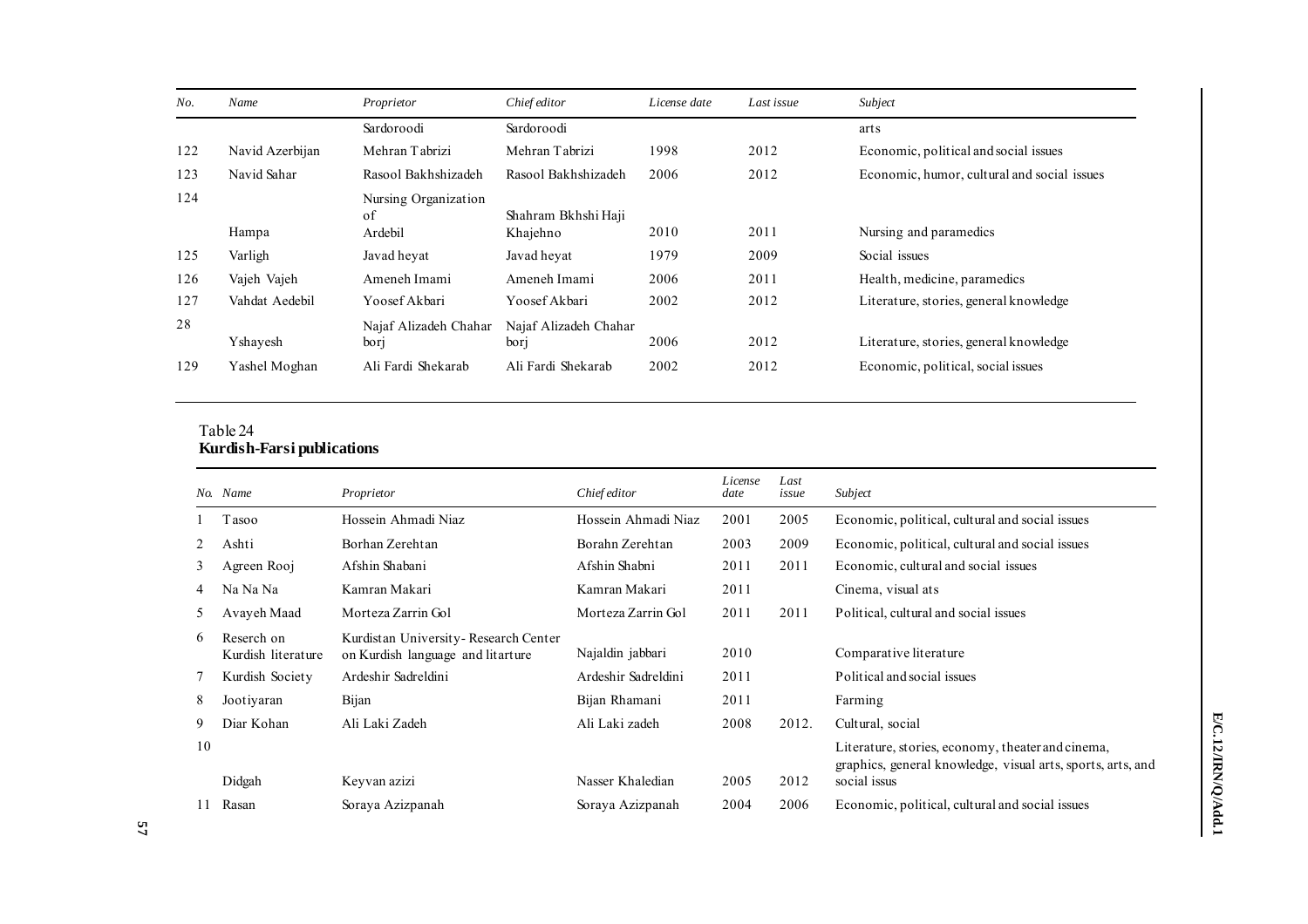| No. | Name            | Proprietor                            | Chief editor                    | License date | Last issue | Subject                                     |
|-----|-----------------|---------------------------------------|---------------------------------|--------------|------------|---------------------------------------------|
|     |                 | Sardoroodi                            | Sardoroodi                      |              |            | arts                                        |
| 122 | Navid Azerbijan | Mehran Tabrizi                        | Mehran Tabrizi                  | 1998         | 2012       | Economic, political and social issues       |
| 123 | Navid Sahar     | Rasool Bakhshizadeh                   | Rasool Bakhshizadeh             | 2006         | 2012       | Economic, humor, cultural and social issues |
| 124 | Hampa           | Nursing Organization<br>of<br>Ardebil | Shahram Bkhshi Haji<br>Khajehno | 2010         | 2011       | Nursing and paramedics                      |
| 125 | Varligh         | Javad heyat                           | Javad hevat                     | 1979         | 2009       | Social issues                               |
| 126 | Vajeh Vajeh     | Ameneh Imami                          | Ameneh Imami                    | 2006         | 2011       | Health, medicine, paramedics                |
| 127 | Vahdat Aedebil  | Yoosef Akbari                         | Yoosef Akbari                   | 2002         | 2012       | Literature, stories, general knowledge      |
| 28  | Yshavesh        | Najaf Alizadeh Chahar<br>bori         | Najaf Alizadeh Chahar<br>bori   | 2006         | 2012       | Literature, stories, general knowledge      |
| 129 | Yashel Moghan   | Ali Fardi Shekarab                    | Ali Fardi Shekarab              | 2002         | 2012       | Economic, political, social issues          |

#### Table 24 **Kurdish-Farsi publications**

|    | No. Name                         | Proprietor                                                                | Chief editor        | License<br>date | Last<br>issue | Subject                                                                                                          |
|----|----------------------------------|---------------------------------------------------------------------------|---------------------|-----------------|---------------|------------------------------------------------------------------------------------------------------------------|
|    | T asoo                           | Hossein Ahmadi Niaz                                                       | Hossein Ahmadi Niaz | 2001            | 2005          | Economic, political, cultural and social issues                                                                  |
| 2  | Ashti                            | Borhan Zerehtan                                                           | Borahn Zerehtan     | 2003            | 2009          | Economic, political, cultural and social issues                                                                  |
| 3  | Agreen Rooj                      | Afshin Shabani                                                            | Afshin Shabni       | 2011            | 2011          | Economic, cultural and social issues                                                                             |
| 4  | Na Na Na                         | Kamran Makari                                                             | Kamran Makari       | 2011            |               | Cinema, visual ats                                                                                               |
| 5  | Avayeh Maad                      | Morteza Zarrin Gol                                                        | Morteza Zarrin Gol  | 2011            | 2011          | Political, cultural and social issues                                                                            |
| 6  | Reserch on<br>Kurdish literature | Kurdistan University-Research Center<br>on Kurdish language and litarture | Najaldin jabbari    | 2010            |               | Comparative literature                                                                                           |
| 7  | Kurdish Society                  | Ardeshir Sadreldini                                                       | Ardeshir Sadreldini | 2011            |               | Political and social issues                                                                                      |
| 8  | Jootiyaran                       | Bijan                                                                     | Bijan Rhamani       | 2011            |               | Farming                                                                                                          |
| 9  | Diar Kohan                       | Ali Laki Zadeh                                                            | Ali Laki zadeh      | 2008            | 2012.         | Cultural, social                                                                                                 |
| 10 |                                  |                                                                           |                     |                 |               | Literature, stories, economy, theater and cinema,<br>graphics, general knowledge, visual arts, sports, arts, and |
|    | Didgah                           | Keyvan azizi                                                              | Nasser Khaledian    | 2005            | 2012          | social issus                                                                                                     |
| 11 | Rasan                            | Soraya Azizpanah                                                          | Soraya Azizpanah    | 2004            | 2006          | Economic, political, cultural and social issues                                                                  |

E/C.12/IRN/Q/Add.1 **E/C.12/IRN/Q/Add.1**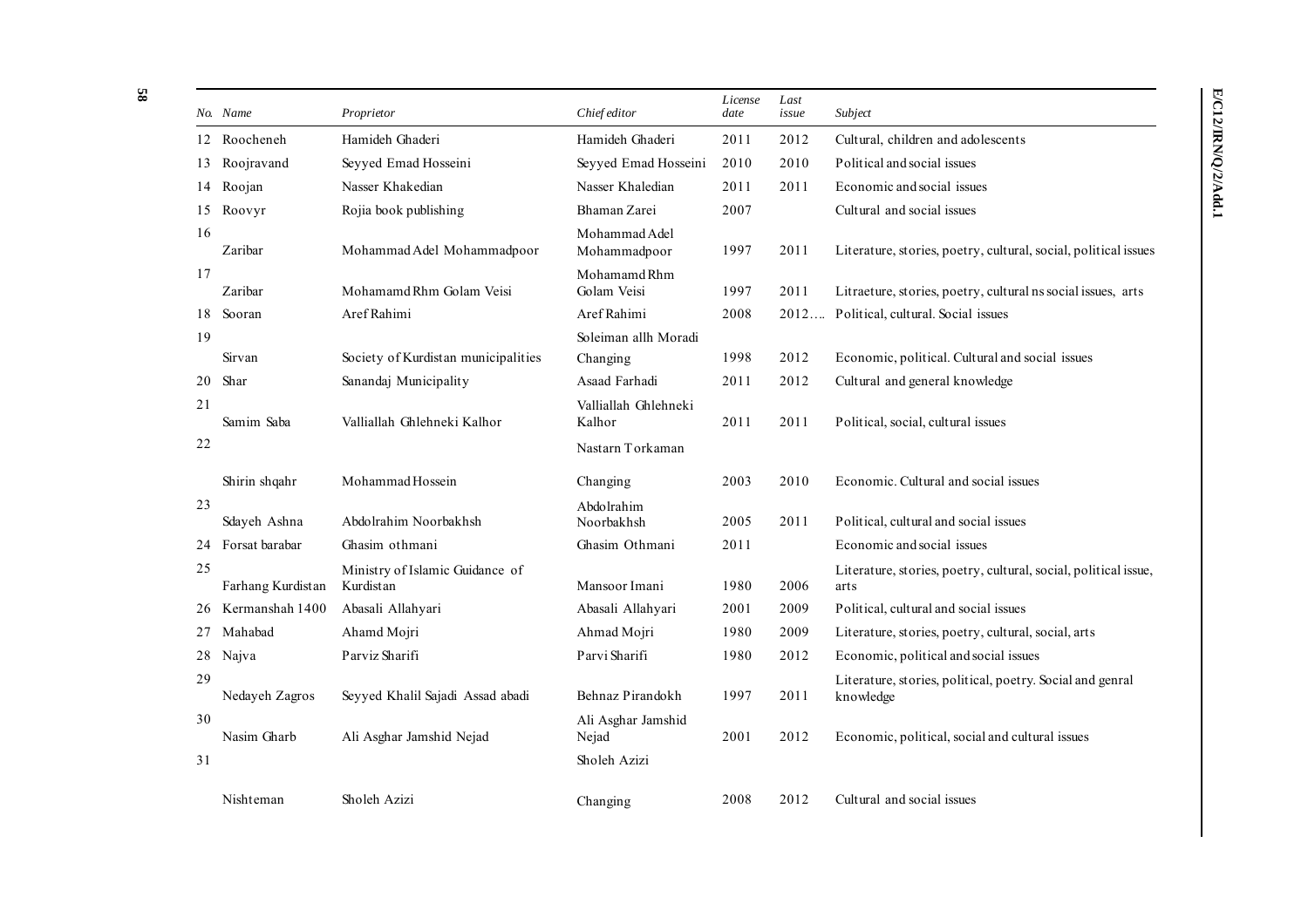|    | No. Name          | Proprietor                                   | Chief editor                   | License<br>date | Last<br>issue | Subject                                                                 |
|----|-------------------|----------------------------------------------|--------------------------------|-----------------|---------------|-------------------------------------------------------------------------|
|    | 12 Roocheneh      | Hamideh Ghaderi                              | Hamideh Ghaderi                | 2011            | 2012          | Cultural, children and adolescents                                      |
| 13 | Roojravand        | Seyyed Emad Hosseini                         | Seyyed Emad Hosseini           | 2010            | 2010          | Political and social issues                                             |
| 14 | Roojan            | Nasser Khakedian                             | Nasser Khaledian               | 2011            | 2011          | Economic and social issues                                              |
|    | 15 Roovyr         | Rojia book publishing                        | Bhaman Zarei                   | 2007            |               | Cultural and social issues                                              |
| 16 | Zaribar           | Mohammad Adel Mohammadpoor                   | Mohammad Adel<br>Mohammadpoor  | 1997            | 2011          | Literature, stories, poetry, cultural, social, political issues         |
| 17 | Zaribar           | Mohamamd Rhm Golam Veisi                     | Mohamamd Rhm<br>Golam Veisi    | 1997            | 2011          | Litraeture, stories, poetry, cultural ns social issues, arts            |
| 18 | Sooran            | Aref Rahimi                                  | Aref Rahimi                    | 2008            | 2012          | Political, cultural. Social issues                                      |
| 19 |                   |                                              | Soleiman allh Moradi           |                 |               |                                                                         |
|    | Sirvan            | Society of Kurdistan municipalities          | Changing                       | 1998            | 2012          | Economic, political. Cultural and social issues                         |
| 20 | Shar              | Sanandaj Municipality                        | Asaad Farhadi                  | 2011            | 2012          | Cultural and general knowledge                                          |
| 21 | Samim Saba        | Valliallah Ghlehneki Kalhor                  | Valliallah Ghlehneki<br>Kalhor | 2011            | 2011          | Political, social, cultural issues                                      |
| 22 |                   |                                              | Nastarn Torkaman               |                 |               |                                                                         |
|    | Shirin shqahr     | Mohammad Hossein                             | Changing                       | 2003            | 2010          | Economic. Cultural and social issues                                    |
| 23 | Sdayeh Ashna      | Abdolrahim Noorbakhsh                        | Abdolrahim<br>Noorbakhsh       | 2005            | 2011          | Political, cultural and social issues                                   |
|    | 24 Forsat barabar | Ghasim othmani                               | Ghasim Othmani                 | 2011            |               | Economic and social issues                                              |
| 25 | Farhang Kurdistan | Ministry of Islamic Guidance of<br>Kurdistan | Mansoor Imani                  | 1980            | 2006          | Literature, stories, poetry, cultural, social, political issue,<br>arts |
| 26 | Kermanshah 1400   | Abasali Allahyari                            | Abasali Allahyari              | 2001            | 2009          | Political, cultural and social issues                                   |
| 27 | Mahabad           | Ahamd Mojri                                  | Ahmad Mojri                    | 1980            | 2009          | Literature, stories, poetry, cultural, social, arts                     |
|    | 28 Najva          | Parviz Sharifi                               | Parvi Sharifi                  | 1980            | 2012          | Economic, political and social issues                                   |
| 29 | Nedayeh Zagros    | Seyyed Khalil Sajadi Assad abadi             | Behnaz Pirandokh               | 1997            | 2011          | Literature, stories, political, poetry. Social and genral<br>knowledge  |
| 30 | Nasim Gharb       | Ali Asghar Jamshid Nejad                     | Ali Asghar Jamshid<br>Nejad    | 2001            | 2012          | Economic, political, social and cultural issues                         |
| 31 |                   |                                              | Sholeh Azizi                   |                 |               |                                                                         |
|    | Nishteman         | Sholeh Azizi                                 | Changing                       | 2008            | 2012          | Cultural and social issues                                              |